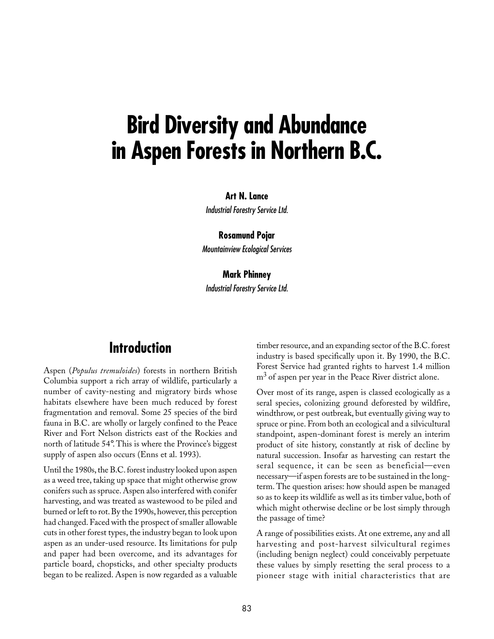# **Bird Diversity and Abundance in Aspen Forests in Northern B.C.**

#### **Art N. Lance**

Industrial Forestry Service Ltd.

**Rosamund Pojar** Mountainview Ecological Services

#### **Mark Phinney**

Industrial Forestry Service Ltd.

# **Introduction**

Aspen (*Populus tremuloides*) forests in northern British Columbia support a rich array of wildlife, particularly a number of cavity-nesting and migratory birds whose habitats elsewhere have been much reduced by forest fragmentation and removal. Some 25 species of the bird fauna in B.C. are wholly or largely confined to the Peace River and Fort Nelson districts east of the Rockies and north of latitude 54°. This is where the Province's biggest supply of aspen also occurs (Enns et al. 1993).

Until the 1980s, the B.C. forest industry looked upon aspen as a weed tree, taking up space that might otherwise grow conifers such as spruce. Aspen also interfered with conifer harvesting, and was treated as wastewood to be piled and burned or left to rot. By the 1990s, however, this perception had changed. Faced with the prospect of smaller allowable cuts in other forest types, the industry began to look upon aspen as an under-used resource. Its limitations for pulp and paper had been overcome, and its advantages for particle board, chopsticks, and other specialty products began to be realized. Aspen is now regarded as a valuable

timber resource, and an expanding sector of the B.C. forest industry is based specifically upon it. By 1990, the B.C. Forest Service had granted rights to harvest 1.4 million m<sup>3</sup> of aspen per year in the Peace River district alone.

Over most of its range, aspen is classed ecologically as a seral species, colonizing ground deforested by wildfire, windthrow, or pest outbreak, but eventually giving way to spruce or pine. From both an ecological and a silvicultural standpoint, aspen-dominant forest is merely an interim product of site history, constantly at risk of decline by natural succession. Insofar as harvesting can restart the seral sequence, it can be seen as beneficial—even necessary—if aspen forests are to be sustained in the longterm. The question arises: how should aspen be managed so as to keep its wildlife as well as its timber value, both of which might otherwise decline or be lost simply through the passage of time?

A range of possibilities exists. At one extreme, any and all harvesting and post-harvest silvicultural regimes (including benign neglect) could conceivably perpetuate these values by simply resetting the seral process to a pioneer stage with initial characteristics that are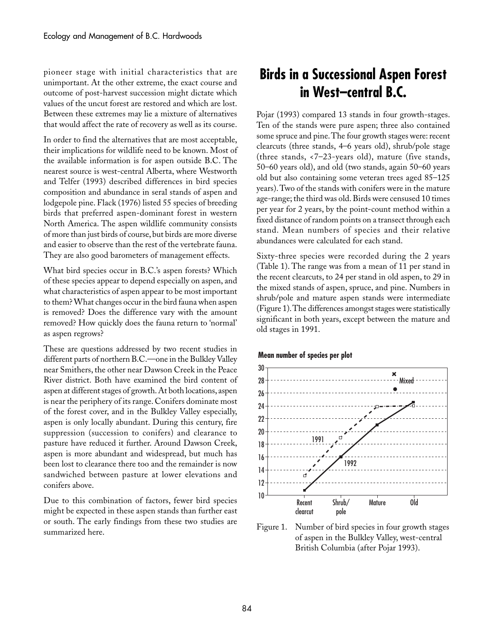pioneer stage with initial characteristics that are unimportant. At the other extreme, the exact course and outcome of post-harvest succession might dictate which values of the uncut forest are restored and which are lost. Between these extremes may lie a mixture of alternatives that would affect the rate of recovery as well as its course.

In order to find the alternatives that are most acceptable, their implications for wildlife need to be known. Most of the available information is for aspen outside B.C. The nearest source is west-central Alberta, where Westworth and Telfer (1993) described differences in bird species composition and abundance in seral stands of aspen and lodgepole pine. Flack (1976) listed 55 species of breeding birds that preferred aspen-dominant forest in western North America. The aspen wildlife community consists of more than just birds of course, but birds are more diverse and easier to observe than the rest of the vertebrate fauna. They are also good barometers of management effects.

What bird species occur in B.C.'s aspen forests? Which of these species appear to depend especially on aspen, and what characteristics of aspen appear to be most important to them? What changes occur in the bird fauna when aspen is removed? Does the difference vary with the amount removed? How quickly does the fauna return to 'normal' as aspen regrows?

These are questions addressed by two recent studies in different parts of northern B.C.—one in the Bulkley Valley near Smithers, the other near Dawson Creek in the Peace River district. Both have examined the bird content of aspen at different stages of growth. At both locations, aspen is near the periphery of its range. Conifers dominate most of the forest cover, and in the Bulkley Valley especially, aspen is only locally abundant. During this century, fire suppression (succession to conifers) and clearance to pasture have reduced it further. Around Dawson Creek, aspen is more abundant and widespread, but much has been lost to clearance there too and the remainder is now sandwiched between pasture at lower elevations and conifers above.

Due to this combination of factors, fewer bird species might be expected in these aspen stands than further east or south. The early findings from these two studies are summarized here.

# **Birds in a Successional Aspen Forest in West–central B.C.**

Pojar (1993) compared 13 stands in four growth-stages. Ten of the stands were pure aspen; three also contained some spruce and pine. The four growth stages were: recent clearcuts (three stands, 4–6 years old), shrub/pole stage (three stands, <7–23-years old), mature (five stands, 50–60 years old), and old (two stands, again 50–60 years old but also containing some veteran trees aged 85–125 years). Two of the stands with conifers were in the mature age-range; the third was old. Birds were censused 10 times per year for 2 years, by the point-count method within a fixed distance of random points on a transect through each stand. Mean numbers of species and their relative abundances were calculated for each stand.

Sixty-three species were recorded during the 2 years (Table␣ 1). The range was from a mean of 11 per stand in the recent clearcuts, to 24 per stand in old aspen, to 29 in the mixed stands of aspen, spruce, and pine. Numbers in shrub/pole and mature aspen stands were intermediate (Figure 1). The differences amongst stages were statistically significant in both years, except between the mature and old stages in 1991.

#### **Mean number of species per plot**



Figure 1. Number of bird species in four growth stages of aspen in the Bulkley Valley, west-central British Columbia (after Pojar 1993).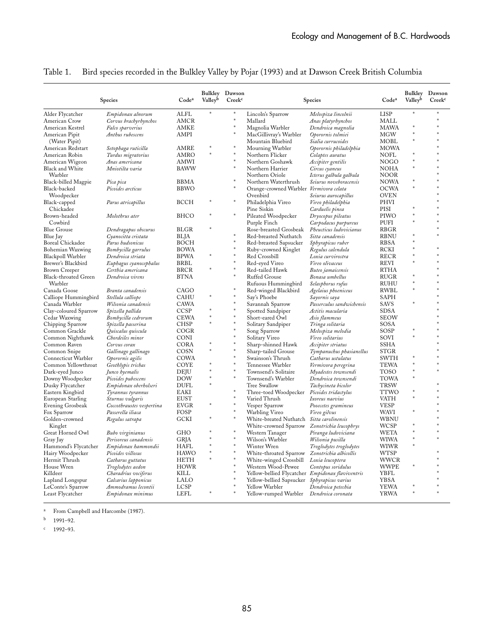|                       | Species                   | Code <sup>a</sup> | Valleyb | Bulkley Dawson<br>Creek <sup>c</sup> | Species                                          |                           | Code <sup>a</sup> | Valleyb | Bulkley Dawson<br>Creek <sup>c</sup> |
|-----------------------|---------------------------|-------------------|---------|--------------------------------------|--------------------------------------------------|---------------------------|-------------------|---------|--------------------------------------|
| Alder Flycatcher      | Empidonax alnorum         | ALFL              | $\ast$  |                                      | Lincoln's Sparrow                                | Melospiza lincolnii       | <b>LISP</b>       |         |                                      |
| American Crow         | Corvus brachyrhynchos     | AMCR              |         |                                      | Mallard                                          | Anas platyrhynchos        | MALL              |         |                                      |
| American Kestrel      | Falco sparverius          | AMKE              |         |                                      | Magnolia Warbler                                 | Dendroica magnolia        | <b>MAWA</b>       |         |                                      |
| American Pipit        | Anthus rubescens          | AMPI              |         |                                      | MacGillivray's Warbler                           | Oporornis tolmiei         | <b>MGW</b>        | $\ast$  |                                      |
| (Water Pipit)         |                           |                   |         |                                      | Mountain Bluebird                                | Sialia currucoides        | MOBL              | $\ast$  |                                      |
| American Redstart     | Setophaga ruticilla       | AMRE              |         |                                      | Mourning Warbler                                 | Oporornis philadelphia    | <b>MOWA</b>       |         |                                      |
| American Robin        | Turdus migratorius        | <b>AMRO</b>       | $\ast$  | ×                                    | Northern Flicker                                 | Colaptes auratus          | NOFL              |         |                                      |
| American Wigeon       | Anas americana            | AMWI              |         |                                      | Northern Goshawk                                 | Accipiter gentilis        | <b>NOGO</b>       | $\ast$  |                                      |
| Black and White       | Mniotilta varia           | <b>BAWW</b>       |         |                                      | Northern Harrier                                 | Circus cyaneus            | NOHA              |         |                                      |
| Warbler               |                           |                   |         |                                      | Northern Oriole                                  | Icterus galbula galbula   | <b>NOOR</b>       |         |                                      |
| Black-billed Magpie   | Pica pica                 | BBMA              |         |                                      | Northern Waterthrush                             | Seiurus noveboracensis    | <b>NOWA</b>       | $\ast$  |                                      |
| Black-backed          | Picoides arcticus         | <b>BBWO</b>       |         |                                      | Orange-crowned Warbler Vermivora celata          |                           | <b>OCWA</b>       | $\ast$  |                                      |
| Woodpecker            |                           |                   |         |                                      | Ovenbird                                         | Seiurus aurocapillus      | <b>OVEN</b>       |         |                                      |
| Black-capped          | Parus atricapillus        | <b>BCCH</b>       |         | $\ast$                               | Philadelphia Vireo                               | Vireo philadelphia        | PHVI              |         |                                      |
| Chickadee             |                           |                   |         |                                      | Pine Siskin                                      | Carduelis pinea           | PISI              |         |                                      |
| Brown-headed          | Molothrus ater            | BHCO              |         |                                      | Pileated Woodpecker                              | Dryocopus pileatus        | PIWO              | $\ast$  |                                      |
| Cowbird               |                           |                   |         |                                      | Purple Finch                                     | Carpodacus purpureus      | PUFI              | $\ast$  |                                      |
| <b>Blue Grouse</b>    | Dendragapus obscurus      | <b>BLGR</b>       |         |                                      | Rose-breasted Grosbeak                           | Pheucticus ludovicianus   | <b>RBGR</b>       |         |                                      |
| Blue Jay              | Cyanocitta cristata       | BLJA              |         |                                      | Red-breasted Nuthatch                            | Sitta canadensis          | <b>RBNU</b>       |         |                                      |
| Boreal Chickadee      | Parus hudsonicus          | <b>BOCH</b>       |         | $\ast$                               | Red-breasted Sapsucker                           | Sphyrapicus ruber         | <b>RBSA</b>       | $\ast$  |                                      |
| Bohemian Waxwing      | Bombycilla garrulus       | <b>BOWA</b>       |         | $\ast$                               | Ruby-crowned Kinglet                             | Regulus calendula         | RCKI              | $\ast$  |                                      |
| Blackpoll Warbler     | Dendroica striata         | <b>BPWA</b>       | $\ast$  | ×                                    | Red Crossbill                                    | Loxia curvirostra         | <b>RECR</b>       | $\ast$  |                                      |
| Brewer's Blackbird    | Euphagus cyanocephalus    | <b>BRBL</b>       |         |                                      | Red-eyed Vireo                                   | Vireo olivaceus           | <b>REVI</b>       | $\ast$  |                                      |
| Brown Creeper         | Certhia americana         | <b>BRCR</b>       |         |                                      | Red-tailed Hawk                                  | Buteo jamaicensis         | <b>RTHA</b>       |         |                                      |
| Black-throated Green  | Dendroica virens          | <b>BTNA</b>       |         |                                      | Ruffed Grouse                                    | Bonasa umbellus           | <b>RUGR</b>       | $\ast$  |                                      |
| Warbler               |                           |                   |         |                                      | Rufuous Hummingbird                              | Selasphorus rufus         | <b>RUHU</b>       | $\ast$  |                                      |
| Canada Goose          | Branta canadensis         | CAGO              |         |                                      | Red-winged Blackbird                             | Agelaius phoeniceus       | RWBL              | $\ast$  |                                      |
| Calliope Hummingbird  | Stellula calliope         | <b>CAHU</b>       | $\ast$  | $\ast$                               | Say's Phoebe                                     | Sayornis saya             | SAPH              |         |                                      |
| Canada Warbler        | Wilsonia canadensis       | CAWA              |         | $\ast$                               | Savannah Sparrow                                 | Passerculus sandwichensis | <b>SAVS</b>       |         |                                      |
| Clay-coloured Sparrow | Spizella pallida          | <b>CCSP</b>       |         | $\ast$                               | Spotted Sandpiper                                | Actitis macularia         | <b>SDSA</b>       |         |                                      |
| Cedar Waxwing         | Bombycilla cedrorum       | <b>CEWA</b>       | *       | \$                                   | Short-eared Owl                                  | Asio flammeus             | <b>SEOW</b>       |         |                                      |
| Chipping Sparrow      | Spizella passerina        | <b>CHSP</b>       | \$      | $\ast$                               | Solitary Sandpiper                               | Tringa solitaria          | SOSA              |         |                                      |
| Common Grackle        | Quiscalus quiscula        | COGR              |         | $\ast$                               | Song Sparrow                                     | Melospiza melodia         | SOSP              |         |                                      |
| Common Nighthawk      | Chordeiles minor          | CONI              |         |                                      | Solitary Vireo                                   | Vireo solitarius          | SOVI              |         |                                      |
| Common Raven          | Corvus corax              | CORA              | *       | $\ast$                               | Sharp-shinned Hawk                               | Accipiter striatus        | <b>SSHA</b>       |         |                                      |
| Common Snipe          | Gallinago gallinago       | COSN              | $\ast$  | ×                                    | Sharp-tailed Grouse                              | Tympanuchus phasianellus  | <b>STGR</b>       |         |                                      |
| Connecticut Warbler   | Oporornis agilis          | COWA              |         |                                      | Swainson's Thrush                                | Catharus ustulatus        | <b>SWTH</b>       |         |                                      |
| Common Yellowthroat   | Geothlypis trichas        | COYE              |         |                                      | Tennessee Warbler                                | Vermivora peregrina       | <b>TEWA</b>       |         |                                      |
| Dark-eyed Junco       | Junco hyemalis            | DEJU              | s.      | $\ast$                               | Townsend's Solitaire                             | Myadestes townsendi       | TOSO              | $\ast$  |                                      |
| Downy Woodpecker      | Picoides pubescens        | <b>DOW</b>        | $\ast$  | $\ast$                               | Townsend's Warbler                               | Dendroica townsendi       | TOWA              | $\ast$  |                                      |
| Dusky Flycatcher      | Empidonax oberholseri     | <b>DUFL</b>       | $\ast$  |                                      | Tree Swallow                                     | Tachycineta bicolor       | <b>TRSW</b>       |         |                                      |
| Eastern Kingbird      | Tyrannus tyrannus         | EAKI              |         |                                      | Three-toed Woodpecker                            | Picoides tridactylus      | TTWO              |         |                                      |
| European Starling     | Sturnus vulgaris          | EUST              |         | $\ast$                               | Varied Thrush                                    | Ixoreus naevius           | VATH              |         |                                      |
| Evening Grosbeak      | Coccothraustes vespertina | <b>EVGR</b>       |         |                                      | Vesper Sparrow                                   | Pooecetes gramineus       | <b>VESP</b>       |         |                                      |
| Fox Sparrow           | Passerella iliaca         | FOSP              |         |                                      | Warbling Vireo                                   | Vireo gilvus              | <b>WAVI</b>       |         |                                      |
| Golden-crowned        | Regulus satrapa           | <b>GCKI</b>       |         | $\ast$                               | White-breated Nuthatch                           | Sitta carolinensis        | WBNU              |         |                                      |
| Kinglet               |                           |                   |         |                                      | White-crowned Sparrow                            | Zonotrichia leucophrys    | <b>WCSP</b>       |         |                                      |
| Great Horned Owl      | Bubo virginianus          | <b>GHO</b>        |         | $\ast$                               | Western Tanager                                  | Piranga ludoviciana       | <b>WETA</b>       | $\ast$  |                                      |
| Gray Jay              | Perisoreus canadensis     | <b>GRJA</b>       | $\ast$  | $\ast$                               | Wilson's Warbler                                 | Wilsonia pusilla          | WIWA              | $\ast$  |                                      |
| Hammond's Flycatcher  | Empidonax hammondii       | <b>HAFL</b>       | \$      | $\ast$                               | Winter Wren                                      | Troglodytes troglodytes   | <b>WIWR</b>       | $\ast$  |                                      |
| Hairy Woodpecker      | Picoides villosus         | <b>HAWO</b>       |         | $\ast$                               | White-throated Sparrow                           | Zonotrichia albicollis    | WTSP              |         |                                      |
| Hermit Thrush         | Catharus guttatus         | <b>HETH</b>       |         | $\ast$                               | White-winged Crossbill                           | Loxia leucoptera          | WWCR              |         |                                      |
| House Wren            | Troglodytes aedon         | <b>HOWR</b>       |         |                                      | Western Wood-Pewee                               | Contopus soridulus        | <b>WWPE</b>       |         |                                      |
| Killdeer              | Charadrius vociferus      | KILL              |         |                                      | Yellow-bellied Flycatcher Empidonax flaviventris |                           | YBFL              |         |                                      |
| Lapland Longspur      | Calcarius lapponicus      | LALO              |         |                                      | Yellow-bellied Sapsucker Sphyrapicus varius      |                           | <b>YBSA</b>       |         |                                      |
| LeConte's Sparrow     | Ammodramus lecontii       | LCSP              |         | $\ast$                               | Yellow Warbler                                   | Dendroica petechia        | <b>YEWA</b>       |         |                                      |
| Least Flycatcher      | Empidonax minimus         | LEFL              |         |                                      | Yellow-rumped Warbler Dendroica coronata         |                           | YRWA              |         |                                      |
|                       |                           |                   |         |                                      |                                                  |                           |                   |         |                                      |

#### Table 1. Bird species recorded in the Bulkley Valley by Pojar (1993) and at Dawson Creek British Columbia

From Campbell and Harcombe (1987).

 $b = 1991 - 92$ .

 $c = 1992 - 93.$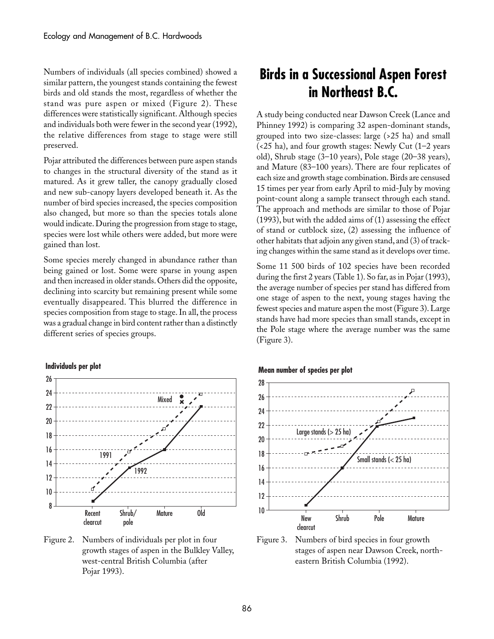Numbers of individuals (all species combined) showed a similar pattern, the youngest stands containing the fewest birds and old stands the most, regardless of whether the stand was pure aspen or mixed (Figure 2). These differences were statistically significant. Although species and individuals both were fewer in the second year (1992), the relative differences from stage to stage were still preserved.

Pojar attributed the differences between pure aspen stands to changes in the structural diversity of the stand as it matured. As it grew taller, the canopy gradually closed and new sub-canopy layers developed beneath it. As the number of bird species increased, the species composition also changed, but more so than the species totals alone would indicate. During the progression from stage to stage, species were lost while others were added, but more were gained than lost.

Some species merely changed in abundance rather than being gained or lost. Some were sparse in young aspen and then increased in older stands. Others did the opposite, declining into scarcity but remaining present while some eventually disappeared. This blurred the difference in species composition from stage to stage. In all, the process was a gradual change in bird content rather than a distinctly different series of species groups.

#### **Individuals per plot**



Figure 2. Numbers of individuals per plot in four growth stages of aspen in the Bulkley Valley, west-central British Columbia (after Pojar 1993).

# **Birds in a Successional Aspen Forest in Northeast B.C.**

A study being conducted near Dawson Creek (Lance and Phinney 1992) is comparing 32 aspen-dominant stands, grouped into two size-classes: large (>25 ha) and small (<25 ha), and four growth stages: Newly Cut (1–2 years old), Shrub stage (3–10 years), Pole stage (20–38 years), and Mature (83–100 years). There are four replicates of each size and growth stage combination. Birds are censused 15 times per year from early April to mid-July by moving point-count along a sample transect through each stand. The approach and methods are similar to those of Pojar (1993), but with the added aims of (1) assessing the effect of stand or cutblock size, (2) assessing the influence of other habitats that adjoin any given stand, and (3) of tracking changes within the same stand as it develops over time.

Some 11 500 birds of 102 species have been recorded during the first 2 years (Table 1). So far, as in Pojar (1993), the average number of species per stand has differed from one stage of aspen to the next, young stages having the fewest species and mature aspen the most (Figure 3). Large stands have had more species than small stands, except in the Pole stage where the average number was the same (Figure 3).

#### **Mean number of species per plot**



Figure 3. Numbers of bird species in four growth stages of aspen near Dawson Creek, northeastern British Columbia (1992).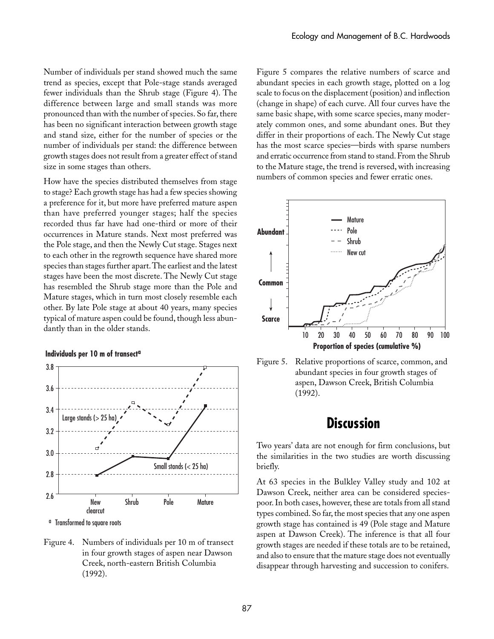Number of individuals per stand showed much the same trend as species, except that Pole-stage stands averaged fewer individuals than the Shrub stage (Figure 4). The difference between large and small stands was more pronounced than with the number of species. So far, there has been no significant interaction between growth stage and stand size, either for the number of species or the number of individuals per stand: the difference between growth stages does not result from a greater effect of stand size in some stages than others.

How have the species distributed themselves from stage to stage? Each growth stage has had a few species showing a preference for it, but more have preferred mature aspen than have preferred younger stages; half the species recorded thus far have had one-third or more of their occurrences in Mature stands. Next most preferred was the Pole stage, and then the Newly Cut stage. Stages next to each other in the regrowth sequence have shared more species than stages further apart. The earliest and the latest stages have been the most discrete. The Newly Cut stage has resembled the Shrub stage more than the Pole and Mature stages, which in turn most closely resemble each other. By late Pole stage at about 40 years, many species typical of mature aspen could be found, though less abundantly than in the older stands.

#### **Individuals per 10 m of transecta**



a Transformed to square roots

Figure 4. Numbers of individuals per 10 m of transect in four growth stages of aspen near Dawson Creek, north-eastern British Columbia (1992).

Figure 5 compares the relative numbers of scarce and abundant species in each growth stage, plotted on a log scale to focus on the displacement (position) and inflection (change in shape) of each curve. All four curves have the same basic shape, with some scarce species, many moderately common ones, and some abundant ones. But they differ in their proportions of each. The Newly Cut stage has the most scarce species—birds with sparse numbers and erratic occurrence from stand to stand. From the Shrub to the Mature stage, the trend is reversed, with increasing numbers of common species and fewer erratic ones.





# **Discussion**

Two years' data are not enough for firm conclusions, but the similarities in the two studies are worth discussing briefly.

At 63 species in the Bulkley Valley study and 102 at Dawson Creek, neither area can be considered speciespoor. In both cases, however, these are totals from all stand types combined. So far, the most species that any one aspen growth stage has contained is 49 (Pole stage and Mature aspen at Dawson Creek). The inference is that all four growth stages are needed if these totals are to be retained, and also to ensure that the mature stage does not eventually disappear through harvesting and succession to conifers.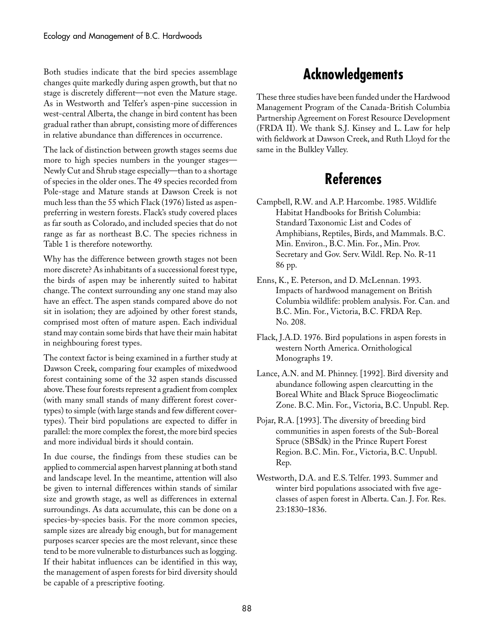Both studies indicate that the bird species assemblage changes quite markedly during aspen growth, but that no stage is discretely different—not even the Mature stage. As in Westworth and Telfer's aspen-pine succession in west-central Alberta, the change in bird content has been gradual rather than abrupt, consisting more of differences in relative abundance than differences in occurrence.

The lack of distinction between growth stages seems due more to high species numbers in the younger stages-Newly Cut and Shrub stage especially—than to a shortage of species in the older ones. The 49 species recorded from Pole-stage and Mature stands at Dawson Creek is not much less than the 55 which Flack (1976) listed as aspenpreferring in western forests. Flack's study covered places as far south as Colorado, and included species that do not range as far as northeast B.C. The species richness in Table 1 is therefore noteworthy.

Why has the difference between growth stages not been more discrete? As inhabitants of a successional forest type, the birds of aspen may be inherently suited to habitat change. The context surrounding any one stand may also have an effect. The aspen stands compared above do not sit in isolation; they are adjoined by other forest stands, comprised most often of mature aspen. Each individual stand may contain some birds that have their main habitat in neighbouring forest types.

The context factor is being examined in a further study at Dawson Creek, comparing four examples of mixedwood forest containing some of the 32 aspen stands discussed above. These four forests represent a gradient from complex (with many small stands of many different forest covertypes) to simple (with large stands and few different covertypes). Their bird populations are expected to differ in parallel: the more complex the forest, the more bird species and more individual birds it should contain.

In due course, the findings from these studies can be applied to commercial aspen harvest planning at both stand and landscape level. In the meantime, attention will also be given to internal differences within stands of similar size and growth stage, as well as differences in external surroundings. As data accumulate, this can be done on a species-by-species basis. For the more common species, sample sizes are already big enough, but for management purposes scarcer species are the most relevant, since these tend to be more vulnerable to disturbances such as logging. If their habitat influences can be identified in this way, the management of aspen forests for bird diversity should be capable of a prescriptive footing.

# **Acknowledgements**

These three studies have been funded under the Hardwood Management Program of the Canada-British Columbia Partnership Agreement on Forest Resource Development (FRDA II). We thank S.J. Kinsey and L. Law for help with fieldwork at Dawson Creek, and Ruth Lloyd for the same in the Bulkley Valley.

# **References**

- Campbell, R.W. and A.P. Harcombe. 1985. Wildlife Habitat Handbooks for British Columbia: Standard Taxonomic List and Codes of Amphibians, Reptiles, Birds, and Mammals. B.C. Min. Environ., B.C. Min. For., Min. Prov. Secretary and Gov. Serv. Wildl. Rep. No. R-11 86␣ pp.
- Enns, K., E. Peterson, and D. McLennan. 1993. Impacts of hardwood management on British Columbia wildlife: problem analysis. For. Can. and B.C. Min. For., Victoria, B.C. FRDA Rep. No. 208.
- Flack, J.A.D. 1976. Bird populations in aspen forests in western North America. Ornithological Monographs 19.
- Lance, A.N. and M. Phinney. [1992]. Bird diversity and abundance following aspen clearcutting in the Boreal White and Black Spruce Biogeoclimatic Zone. B.C. Min. For., Victoria, B.C. Unpubl. Rep.
- Pojar, R.A. [1993]. The diversity of breeding bird communities in aspen forests of the Sub-Boreal Spruce (SBSdk) in the Prince Rupert Forest Region. B.C. Min. For., Victoria, B.C. Unpubl. Rep.
- Westworth, D.A. and E.S. Telfer. 1993. Summer and winter bird populations associated with five ageclasses of aspen forest in Alberta. Can. J. For. Res. 23:1830–1836.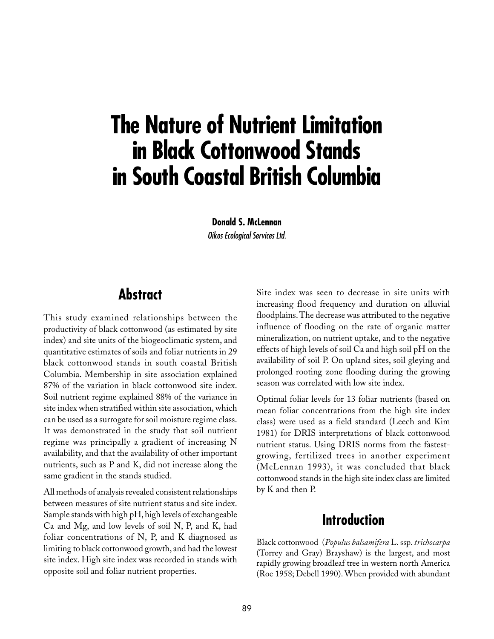# **The Nature of Nutrient Limitation in Black Cottonwood Stands in South Coastal British Columbia**

**Donald S. McLennan** Oikos Ecological Services Ltd.

# **Abstract**

This study examined relationships between the productivity of black cottonwood (as estimated by site index) and site units of the biogeoclimatic system, and quantitative estimates of soils and foliar nutrients in 29 black cottonwood stands in south coastal British Columbia. Membership in site association explained 87% of the variation in black cottonwood site index. Soil nutrient regime explained 88% of the variance in site index when stratified within site association, which can be used as a surrogate for soil moisture regime class. It was demonstrated in the study that soil nutrient regime was principally a gradient of increasing N availability, and that the availability of other important nutrients, such as P and K, did not increase along the same gradient in the stands studied.

All methods of analysis revealed consistent relationships between measures of site nutrient status and site index. Sample stands with high pH, high levels of exchangeable Ca and Mg, and low levels of soil N, P, and K, had foliar concentrations of N, P, and K diagnosed as limiting to black cottonwood growth, and had the lowest site index. High site index was recorded in stands with opposite soil and foliar nutrient properties.

Site index was seen to decrease in site units with increasing flood frequency and duration on alluvial floodplains. The decrease was attributed to the negative influence of flooding on the rate of organic matter mineralization, on nutrient uptake, and to the negative effects of high levels of soil Ca and high soil pH on the availability of soil P. On upland sites, soil gleying and prolonged rooting zone flooding during the growing season was correlated with low site index.

Optimal foliar levels for 13 foliar nutrients (based on mean foliar concentrations from the high site index class) were used as a field standard (Leech and Kim 1981) for DRIS interpretations of black cottonwood nutrient status. Using DRIS norms from the fastestgrowing, fertilized trees in another experiment (McLennan 1993), it was concluded that black cottonwood stands in the high site index class are limited by K and then P.

# **Introduction**

Black cottonwood (*Populus balsamifera* L. ssp. *trichocarpa* (Torrey and Gray) Brayshaw) is the largest, and most rapidly growing broadleaf tree in western north America (Roe 1958; Debell 1990). When provided with abundant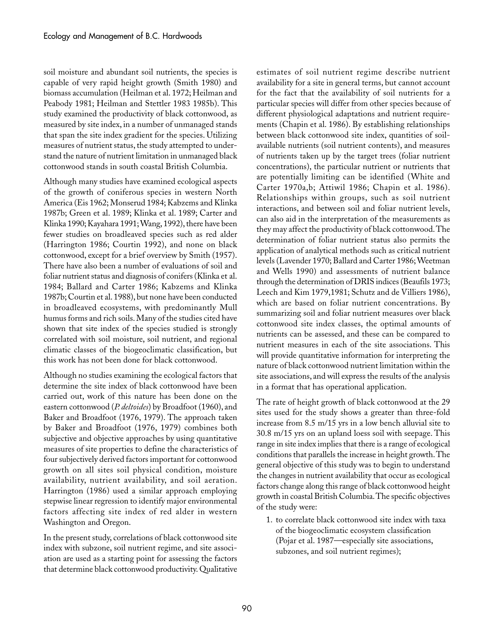soil moisture and abundant soil nutrients, the species is capable of very rapid height growth (Smith 1980) and biomass accumulation (Heilman et al. 1972; Heilman and Peabody 1981; Heilman and Stettler 1983 1985b). This study examined the productivity of black cottonwood, as measured by site index, in a number of unmanaged stands that span the site index gradient for the species. Utilizing measures of nutrient status, the study attempted to understand the nature of nutrient limitation in unmanaged black cottonwood stands in south coastal British Columbia.

Although many studies have examined ecological aspects of the growth of coniferous species in western North America (Eis 1962; Monserud 1984; Kabzems and Klinka 1987b; Green et al. 1989; Klinka et al. 1989; Carter and Klinka 1990; Kayahara 1991; Wang, 1992), there have been fewer studies on broadleaved species such as red alder (Harrington 1986; Courtin 1992), and none on black cottonwood, except for a brief overview by Smith (1957). There have also been a number of evaluations of soil and foliar nutrient status and diagnosis of conifers (Klinka et al. 1984; Ballard and Carter 1986; Kabzems and Klinka 1987b; Courtin et al. 1988), but none have been conducted in broadleaved ecosystems, with predominantly Mull humus forms and rich soils. Many of the studies cited have shown that site index of the species studied is strongly correlated with soil moisture, soil nutrient, and regional climatic classes of the biogeoclimatic classification, but this work has not been done for black cottonwood.

Although no studies examining the ecological factors that determine the site index of black cottonwood have been carried out, work of this nature has been done on the eastern cottonwood (*P. deltoides*) by Broadfoot (1960), and Baker and Broadfoot (1976, 1979). The approach taken by Baker and Broadfoot (1976, 1979) combines both subjective and objective approaches by using quantitative measures of site properties to define the characteristics of four subjectively derived factors important for cottonwood growth on all sites soil physical condition, moisture availability, nutrient availability, and soil aeration. Harrington (1986) used a similar approach employing stepwise linear regression to identify major environmental factors affecting site index of red alder in western Washington and Oregon.

In the present study, correlations of black cottonwood site index with subzone, soil nutrient regime, and site association are used as a starting point for assessing the factors that determine black cottonwood productivity. Qualitative

estimates of soil nutrient regime describe nutrient availability for a site in general terms, but cannot account for the fact that the availability of soil nutrients for a particular species will differ from other species because of different physiological adaptations and nutrient requirements (Chapin et al. 1986). By establishing relationships between black cottonwood site index, quantities of soilavailable nutrients (soil nutrient contents), and measures of nutrients taken up by the target trees (foliar nutrient concentrations), the particular nutrient or nutrients that are potentially limiting can be identified (White and Carter 1970a,b; Attiwil 1986; Chapin et al. 1986). Relationships within groups, such as soil nutrient interactions, and between soil and foliar nutrient levels, can also aid in the interpretation of the measurements as they may affect the productivity of black cottonwood. The determination of foliar nutrient status also permits the application of analytical methods such as critical nutrient levels (Lavender 1970; Ballard and Carter 1986; Weetman and Wells 1990) and assessments of nutrient balance through the determination of DRIS indices (Beaufils 1973; Leech and Kim 1979,1981; Schutz and de Villiers 1986), which are based on foliar nutrient concentrations. By summarizing soil and foliar nutrient measures over black cottonwood site index classes, the optimal amounts of nutrients can be assessed, and these can be compared to nutrient measures in each of the site associations. This will provide quantitative information for interpreting the nature of black cottonwood nutrient limitation within the site associations, and will express the results of the analysis in a format that has operational application.

The rate of height growth of black cottonwood at the 29 sites used for the study shows a greater than three-fold increase from 8.5 m/15 yrs in a low bench alluvial site to 30.8 m/15 yrs on an upland loess soil with seepage. This range in site index implies that there is a range of ecological conditions that parallels the increase in height growth. The general objective of this study was to begin to understand the changes in nutrient availability that occur as ecological factors change along this range of black cottonwood height growth in coastal British Columbia. The specific objectives of the study were:

1. to correlate black cottonwood site index with taxa of the biogeoclimatic ecosystem classification (Pojar et al. 1987—especially site associations, subzones, and soil nutrient regimes);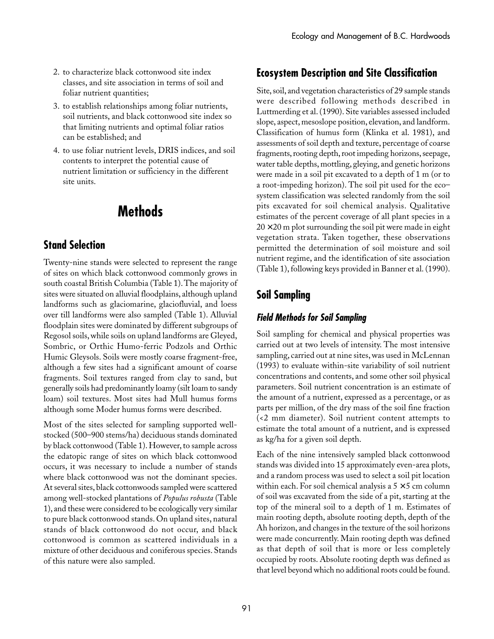- 2. to characterize black cottonwood site index classes, and site association in terms of soil and foliar nutrient quantities;
- 3. to establish relationships among foliar nutrients, soil nutrients, and black cottonwood site index so that limiting nutrients and optimal foliar ratios can be established; and
- 4. to use foliar nutrient levels, DRIS indices, and soil contents to interpret the potential cause of nutrient limitation or sufficiency in the different site units.

# **Methods**

## **Stand Selection**

Twenty-nine stands were selected to represent the range of sites on which black cottonwood commonly grows in south coastal British Columbia (Table 1). The majority of sites were situated on alluvial floodplains, although upland landforms such as glaciomarine, glaciofluvial, and loess over till landforms were also sampled (Table 1). Alluvial floodplain sites were dominated by different subgroups of Regosol soils, while soils on upland landforms are Gleyed, Sombric, or Orthic Humo-ferric Podzols and Orthic Humic Gleysols. Soils were mostly coarse fragment-free, although a few sites had a significant amount of coarse fragments. Soil textures ranged from clay to sand, but generally soils had predominantly loamy (silt loam to sandy loam) soil textures. Most sites had Mull humus forms although some Moder humus forms were described.

Most of the sites selected for sampling supported wellstocked (500–900 stems/ha) deciduous stands dominated by black cottonwood (Table 1). However, to sample across the edatopic range of sites on which black cottonwood occurs, it was necessary to include a number of stands where black cottonwood was not the dominant species. At several sites, black cottonwoods sampled were scattered among well-stocked plantations of *Populus robusta* (Table 1), and these were considered to be ecologically very similar to pure black cottonwood stands. On upland sites, natural stands of black cottonwood do not occur, and black cottonwood is common as scattered individuals in a mixture of other deciduous and coniferous species. Stands of this nature were also sampled.

## **Ecosystem Description and Site Classification**

Site, soil, and vegetation characteristics of 29 sample stands were described following methods described in Luttmerding et al. (1990). Site variables assessed included slope, aspect, mesoslope position, elevation, and landform. Classification of humus form (Klinka et al. 1981), and assessments of soil depth and texture, percentage of coarse fragments, rooting depth, root impeding horizons, seepage, water table depths, mottling, gleying, and genetic horizons were made in a soil pit excavated to a depth of 1 m (or to a root-impeding horizon). The soil pit used for the eco– system classification was selected randomly from the soil pits excavated for soil chemical analysis. Qualitative estimates of the percent coverage of all plant species in a  $20 \times 20$  m plot surrounding the soil pit were made in eight vegetation strata. Taken together, these observations permitted the determination of soil moisture and soil nutrient regime, and the identification of site association (Table 1), following keys provided in Banner et al. (1990).

# **Soil Sampling**

### **Field Methods for Soil Sampling**

Soil sampling for chemical and physical properties was carried out at two levels of intensity. The most intensive sampling, carried out at nine sites, was used in McLennan (1993) to evaluate within-site variability of soil nutrient concentrations and contents, and some other soil physical parameters. Soil nutrient concentration is an estimate of the amount of a nutrient, expressed as a percentage, or as parts per million, of the dry mass of the soil fine fraction (<2 mm diameter). Soil nutrient content attempts to estimate the total amount of a nutrient, and is expressed as kg/ha for a given soil depth.

Each of the nine intensively sampled black cottonwood stands was divided into 15 approximately even-area plots, and a random process was used to select a soil pit location within each. For soil chemical analysis a  $5 \times 5$  cm column of soil was excavated from the side of a pit, starting at the top of the mineral soil to a depth of 1 m. Estimates of main rooting depth, absolute rooting depth, depth of the Ah horizon, and changes in the texture of the soil horizons were made concurrently. Main rooting depth was defined as that depth of soil that is more or less completely occupied by roots. Absolute rooting depth was defined as that level beyond which no additional roots could be found.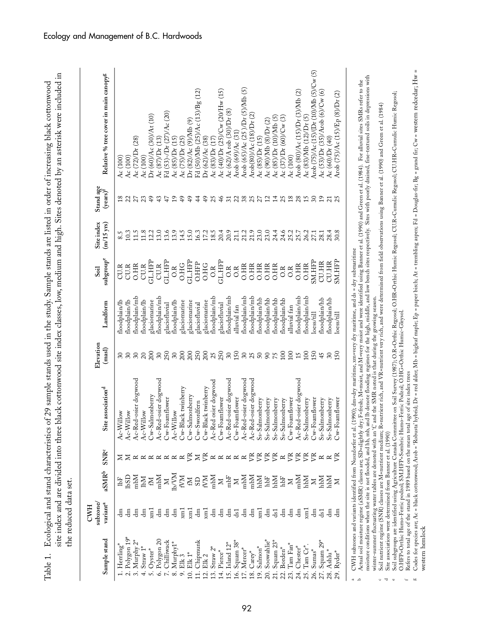|                                                      | subzone,<br><b>CWH</b> |                        |                  |                                                                                                               | Elevation       |               | Soil                            | Site index                                             | $\frac{\text{Stand age}}{\text{(years)}^\text{f}}$ |                                                   |
|------------------------------------------------------|------------------------|------------------------|------------------|---------------------------------------------------------------------------------------------------------------|-----------------|---------------|---------------------------------|--------------------------------------------------------|----------------------------------------------------|---------------------------------------------------|
| Sample stand                                         | variant <sup>a</sup>   | aSMRb                  | SNR <sup>c</sup> | Site association <sup>d</sup>                                                                                 | (max)           | Landform      | subgroup <sup>e</sup>           | $(m/15 \text{ yrs})$                                   |                                                    | Relative % tree cover in main canopy <sup>g</sup> |
| $Herling^*$                                          |                        | ĿЕ                     |                  | Ac-Willow                                                                                                     |                 | floodplain/lb | CU.R                            | 8.5                                                    |                                                    | Ac $(100)$                                        |
| Polygon 19'                                          | ᇃ                      | СGql                   | ΣZ               | Ac-Willow                                                                                                     | $\frac{30}{20}$ | floodplain/lb | CU.R                            | 10.3                                                   | $18$ $22$                                          | Ac (100)                                          |
| Murphy 2*<br>$\ddot{\mathrm{s}}$                     | ᇃ                      | $m$ bM                 |                  | Ac-Red-osier dogwood                                                                                          | $rac{30}{20}$   | floodplain/mb | <b>O.HR</b>                     | 11.5                                                   | 27                                                 | Ac (72)/Dr (28)                                   |
| $Straw 1$ <sup>*</sup><br>$\vec{r}$                  | ᇃ                      | IМ                     | <b>RRRRRR</b>    | Ac-Willow                                                                                                     |                 | floodplain/lb | CU.R                            | 11.8                                                   |                                                    | Ac (100)                                          |
| $O$ yster $^*$<br>$\ddot{ }$                         | rm<br>E                | $\mathbb N$            |                  | Cw-Salmonberry                                                                                                | 200             | glaciomarine  | GL.HFP                          | 12.2                                                   | 49                                                 | Dr (60)/Ac (30)/At (10)                           |
| Polygon 20<br>$\acute{\circ}$                        | £                      | Mdm                    |                  | Ac-Red-osier dogwood                                                                                          | $30\,$          | floodplain/mb | CU.R                            | 13.0                                                   | 43                                                 | Ac $(87)$ /Dr $(13)$                              |
| Chilliwack<br>$\sim \infty$                          | £                      | $\mathbb{Z}$           |                  | Cw-Foamflower                                                                                                 | 250             | glaciofluvial | GL.HFP                          | 13.6                                                   | 47                                                 | Fd (53)-/Dr (27)/Ac (20)                          |
| Murphy1*                                             | ᇃ                      | IP/AN                  |                  | Ac-Willow                                                                                                     | $30\,$          | floodplain/lb | O.R                             | $\begin{array}{c} 13.9 \\ 14.5 \\ 15.0 \\ \end{array}$ | 19                                                 | $Ac(85)$ / $Dr(15)$                               |
| $9. \; {\rm Elk} \, 3 \atop 10. \; {\rm Elk} \, 1^*$ | $\sum_{x}$             | KМ                     |                  | Cw-Black twinberry                                                                                            | 200             | glaciomarine  | <b>O.HG</b>                     |                                                        | $\overline{49}$                                    | Ac (75)/Dr (25)                                   |
|                                                      | km <sub>1</sub>        | $\mathbb N$            | ę                | Cw-Salmonberry                                                                                                | 200             | glaciomarine  | <b>GL.HFP</b>                   |                                                        | $\ddot{ }$                                         | Dr (82)/Ac (9)/Mb (9)                             |
| Chipmunk<br>$\overline{a}$                           | đ                      | GS                     | $\geq$           | Cw-Swordfern                                                                                                  | 250             | glaciofluvial | <b>O.HFP</b>                    | 16.3                                                   | $\frac{4}{4}$                                      | Fd (50)/Mb (25)/Ac (13)/Bg (12)                   |
| Elk <sub>2</sub><br>$\overline{2}$ .                 | $\overline{a}$         | N<br>Nata<br>N         | 医                | Cw-Black twinberry                                                                                            | $200$<br>$250$  | glaciomarine  | O.HG                            | 17.2                                                   | 49                                                 | Dr (62)/Ac (38)                                   |
| 13. Straw $2^*$                                      | đ                      |                        |                  | Ac-Red osier dogwood                                                                                          |                 | floodplain/mb | $\frac{R}{C}$                   | $18.5\,$                                               | 25                                                 | Ac $(83)/Dr(17)$                                  |
| 14. Pierce*                                          | 팀                      |                        |                  | Cw-Foamflower                                                                                                 |                 | glaciofluvial | <b>GL.HFP</b>                   | 20.4                                                   |                                                    | Ac (40)/Dr (25)/Cw (20/Hw (15)                    |
| 15. Island 12*                                       | £                      | ${\rm mbf}$            | RRRRR            | Ac-Red-osier dogwood                                                                                          | $30\,$          | floodplain/mb | $\overline{O}$ . $\overline{R}$ | 20.9                                                   | 51                                                 | Ac $(62)/A$ rob $(30)/Dr$ $(8)$                   |
| Squam 38<br>16.                                      | $\overline{d}$         | $\mathbf{z}$           |                  | Cw-Foamflower                                                                                                 |                 | alluvial fan  | 0.8                             |                                                        |                                                    | Arob (69)/Ac (31)                                 |
| 17. Mercer*                                          | 튐                      | mbM                    |                  | Ac-Red-osier dogwood<br>Ac-Red-osier dogwood                                                                  |                 | floodplain/mb | <b>O.HR</b>                     | 21.1<br>21.2<br>21.9                                   | 2887                                               | Arob (65)/Ac (25)/Dr (5)/Mb (5)                   |
| $Carev^*$<br>18.                                     | 팀                      | Mdm                    | $E \gtrsim$      |                                                                                                               |                 | floodplain/mb | <b>O.HR</b>                     |                                                        |                                                    | Arob(80)/Ac (18)/Dr (2)                           |
| Salmon <sup>*</sup><br>19.                           | Furx                   | hbМ                    |                  | Ss-Salmonberry                                                                                                |                 | floodplain/hb | <b>O.HR</b>                     | 23.0                                                   |                                                    | $Ac$ (85) $D$ r (15)                              |
| Soowahlie*<br>20.                                    | ᇃ                      | NAM<br>Nam<br>Nam<br>N | $E \nsubseteq K$ | Ss-Salmonberry                                                                                                | $15888888$      | floodplain/hb | <b>O.HR</b>                     |                                                        |                                                    | Ac (90)/Mb (8)/Dr (2)                             |
| Squam 23*<br>21.                                     | ds1                    |                        |                  | $\begin{array}{c} \text{Ss-S} \text{almonb} \text{erry} \\ \text{Ss-S} \text{almonb} \text{erry} \end{array}$ |                 | floodplain/hb | <b>O.HR</b>                     |                                                        |                                                    | $Ac$ (85)/ $Dr$ (10)/ $Mb$ (5)                    |
| Borden*<br>22.                                       | £                      |                        |                  |                                                                                                               | 100             | floodplain/hb | 0.8                             |                                                        |                                                    | Ac $(37)/Dr$ (60)/ $Cw$ (3)                       |
| Tam Fan*<br>23.                                      | 톱                      |                        |                  | Cw-Foamflower                                                                                                 | 100             | alluvial fan  | $\overline{OA}$                 |                                                        |                                                    | Ac (100)                                          |
| Chester*<br>24.                                      | £                      | Mdm                    |                  | Ac-Red-osier dogwood                                                                                          | 15              | floodplain/mb | <b>O.HR</b>                     | 25.7                                                   |                                                    | Arob $(80)/$ Ac $(15)/$ Dr $(3)/$ Mb $(2)$        |
| Tam Cr <sup>*</sup><br>25.                           | km <sub>1</sub>        | Ndd                    | ÈŘ               | Ss-Salmonberry                                                                                                | 100             | floodplain/mb | <b>O.HR</b>                     | 26.2                                                   | $21582898$                                         | Ac $(83)/Mb$ $(12)/Dr$ $(5)$                      |
| $Sumas^*$<br>26.                                     | 멸                      | $\geq$                 |                  | Cw-Foamflower                                                                                                 | 150             | loess/till    | <b>SM.HFP</b>                   | 27.1                                                   |                                                    | Arob (75)/Ac (15)/(Dr (10)/Mb (5)/Cw (5)          |
| 27. Squam 29*                                        | ds1                    | Ndr                    | $\simeq$         | Ss-Salmonberry                                                                                                | 45              | floodplain/hb | <b>CU.HR</b>                    | 28.1                                                   | 19                                                 | Ac $(53)/Dr (35)/Arob (6)/Cw (6)$                 |
| 28. Ashlu <sup>*</sup>                               | ᇃ                      | Ndd                    | $R \times$       |                                                                                                               | $30\,$          | floodplain/hb | CU.HR                           | 28.4                                                   | $\overline{c}$                                     | Ac (60)/Dr (40)                                   |
| Ryder*<br>29.                                        | 电                      | $\Sigma$               |                  | $\begin{array}{c} \text{Ss-Salmonberry} \\ \text{Cw-Foamflower} \end{array}$                                  | 150             | loess/till    | SM.HFP                          | 30.8                                                   |                                                    | Arob (75)/Ac (15)/Ep (8)/Dr (2)                   |

winter-summer fluctuating water tables are denoted with an 'f; and the SMR noted is that during the growing season.<br>Soil nutrient regime (SNR) classes are M=nutrient medium; R=nutrient rich, and VR=nutrient very rich, and winter-summer fluctuating water tables are denoted with an 'f,' and the SMR noted is that during the growing season.

 $\sigma$  and  $\sigma$ <sup>c</sup> Soil nutient regime (SNR) classes are M=nutrient medium; R=nutrient rich, and VR=nutrient very rich, and were determined from field observations using Banner et al. (1990) and Green et al. (1984)<br><sup>d</sup> Site associations

O.HFP=Orthic Humo-Ferric podzol; SM.HFP=Sombric Humo-Ferric Podzol; O.HG=Orthic Humic-Gleysol.

t Refers to total age of the stand in 1989 based on the mean total age of site index trees<br>8 Codes for species are; Ac = black cottonwood; Arob = 'Robusta' hybrid; Dr = red alder; Nb = bigleaf maple; Ep = paper birch; At = western hemlock western hemlock $f_{\text{m}}$  as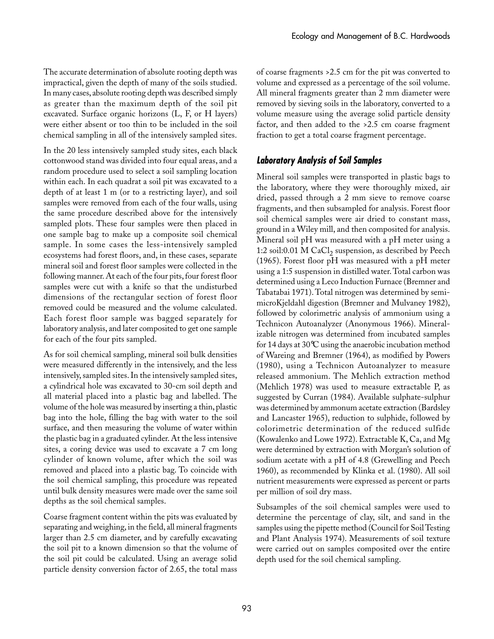The accurate determination of absolute rooting depth was impractical, given the depth of many of the soils studied. In many cases, absolute rooting depth was described simply as greater than the maximum depth of the soil pit excavated. Surface organic horizons (L, F, or H layers) were either absent or too thin to be included in the soil chemical sampling in all of the intensively sampled sites.

In the 20 less intensively sampled study sites, each black cottonwood stand was divided into four equal areas, and a random procedure used to select a soil sampling location within each. In each quadrat a soil pit was excavated to a depth of at least 1 m (or to a restricting layer), and soil samples were removed from each of the four walls, using the same procedure described above for the intensively sampled plots. These four samples were then placed in one sample bag to make up a composite soil chemical sample. In some cases the less-intensively sampled ecosystems had forest floors, and, in these cases, separate mineral soil and forest floor samples were collected in the following manner. At each of the four pits, four forest floor samples were cut with a knife so that the undisturbed dimensions of the rectangular section of forest floor removed could be measured and the volume calculated. Each forest floor sample was bagged separately for laboratory analysis, and later composited to get one sample for each of the four pits sampled.

As for soil chemical sampling, mineral soil bulk densities were measured differently in the intensively, and the less intensively, sampled sites. In the intensively sampled sites, a cylindrical hole was excavated to 30-cm soil depth and all material placed into a plastic bag and labelled. The volume of the hole was measured by inserting a thin, plastic bag into the hole, filling the bag with water to the soil surface, and then measuring the volume of water within the plastic bag in a graduated cylinder. At the less intensive sites, a coring device was used to excavate a 7 cm long cylinder of known volume, after which the soil was removed and placed into a plastic bag. To coincide with the soil chemical sampling, this procedure was repeated until bulk density measures were made over the same soil depths as the soil chemical samples.

Coarse fragment content within the pits was evaluated by separating and weighing, in the field, all mineral fragments larger than 2.5 cm diameter, and by carefully excavating the soil pit to a known dimension so that the volume of the soil pit could be calculated. Using an average solid particle density conversion factor of 2.65, the total mass

of coarse fragments >2.5 cm for the pit was converted to volume and expressed as a percentage of the soil volume. All mineral fragments greater than 2 mm diameter were removed by sieving soils in the laboratory, converted to a volume measure using the average solid particle density factor, and then added to the >2.5 cm coarse fragment fraction to get a total coarse fragment percentage.

#### **Laboratory Analysis of Soil Samples**

Mineral soil samples were transported in plastic bags to the laboratory, where they were thoroughly mixed, air dried, passed through a 2 mm sieve to remove coarse fragments, and then subsampled for analysis. Forest floor soil chemical samples were air dried to constant mass, ground in a Wiley mill, and then composited for analysis. Mineral soil pH was measured with a pH meter using a 1:2 soil:0.01 M CaCl, suspension, as described by Peech (1965). Forest floor pH was measured with a pH meter using a 1:5 suspension in distilled water. Total carbon was determined using a Leco Induction Furnace (Bremner and Tabatabai 1971). Total nitrogen was determined by semimicroKjeldahl digestion (Bremner and Mulvaney 1982), followed by colorimetric analysis of ammonium using a Technicon Autoanalyzer (Anonymous 1966). Mineralizable nitrogen was determined from incubated samples for 14 days at 30°C using the anaerobic incubation method of Wareing and Bremner (1964), as modified by Powers (1980), using a Technicon Autoanalyzer to measure released ammonium. The Mehlich extraction method (Mehlich 1978) was used to measure extractable P, as suggested by Curran (1984). Available sulphate-sulphur was determined by ammonum acetate extraction (Bardsley and Lancaster 1965), reduction to sulphide, followed by colorimetric determination of the reduced sulfide (Kowalenko and Lowe 1972). Extractable K, Ca, and Mg were determined by extraction with Morgan's solution of sodium acetate with a pH of 4.8 (Grewelling and Peech 1960), as recommended by Klinka et al. (1980). All soil nutrient measurements were expressed as percent or parts per million of soil dry mass.

Subsamples of the soil chemical samples were used to determine the percentage of clay, silt, and sand in the samples using the pipette method (Council for Soil Testing and Plant Analysis 1974). Measurements of soil texture were carried out on samples composited over the entire depth used for the soil chemical sampling.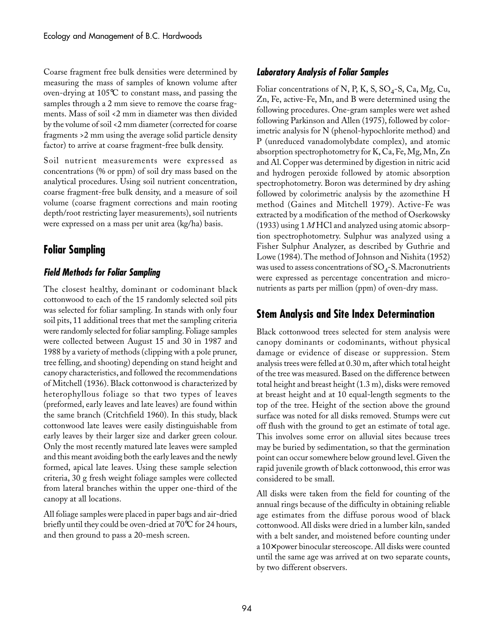Coarse fragment free bulk densities were determined by measuring the mass of samples of known volume after oven-drying at 105°C to constant mass, and passing the samples through a 2 mm sieve to remove the coarse fragments. Mass of soil <2 mm in diameter was then divided by the volume of soil <2 mm diameter (corrected for coarse fragments >2 mm using the average solid particle density factor) to arrive at coarse fragment-free bulk density.

Soil nutrient measurements were expressed as concentrations (% or ppm) of soil dry mass based on the analytical procedures. Using soil nutrient concentration, coarse fragment-free bulk density, and a measure of soil volume (coarse fragment corrections and main rooting depth/root restricting layer measurements), soil nutrients were expressed on a mass per unit area (kg/ha) basis.

## **Foliar Sampling**

### **Field Methods for Foliar Sampling**

The closest healthy, dominant or codominant black cottonwood to each of the 15 randomly selected soil pits was selected for foliar sampling. In stands with only four soil pits, 11 additional trees that met the sampling criteria were randomly selected for foliar sampling. Foliage samples were collected between August 15 and 30 in 1987 and 1988 by a variety of methods (clipping with a pole pruner, tree felling, and shooting) depending on stand height and canopy characteristics, and followed the recommendations of Mitchell (1936). Black cottonwood is characterized by heterophyllous foliage so that two types of leaves (preformed, early leaves and late leaves) are found within the same branch (Critchfield 1960). In this study, black cottonwood late leaves were easily distinguishable from early leaves by their larger size and darker green colour. Only the most recently matured late leaves were sampled and this meant avoiding both the early leaves and the newly formed, apical late leaves. Using these sample selection criteria, 30 g fresh weight foliage samples were collected from lateral branches within the upper one-third of the canopy at all locations.

All foliage samples were placed in paper bags and air-dried briefly until they could be oven-dried at 70°C for 24 hours, and then ground to pass a 20-mesh screen.

#### **Laboratory Analysis of Foliar Samples**

Foliar concentrations of N, P, K, S,  $SO_4$ -S, Ca, Mg, Cu, Zn, Fe, active-Fe, Mn, and B were determined using the following procedures. One-gram samples were wet ashed following Parkinson and Allen (1975), followed by colorimetric analysis for N (phenol-hypochlorite method) and P (unreduced vanadomolybdate complex), and atomic absorption spectrophotometry for K, Ca, Fe, Mg, Mn, Zn and Al. Copper was determined by digestion in nitric acid and hydrogen peroxide followed by atomic absorption spectrophotometry. Boron was determined by dry ashing followed by colorimetric analysis by the azomethine H method (Gaines and Mitchell 1979). Active-Fe was extracted by a modification of the method of Oserkowsky (1933) using 1 *M* HCl and analyzed using atomic absorption spectrophotometry. Sulphur was analyzed using a Fisher Sulphur Analyzer, as described by Guthrie and Lowe (1984). The method of Johnson and Nishita (1952) was used to assess concentrations of  $\mathrm{SO}_4$ -S. Macronutrients were expressed as percentage concentration and micronutrients as parts per million (ppm) of oven-dry mass.

## **Stem Analysis and Site Index Determination**

Black cottonwood trees selected for stem analysis were canopy dominants or codominants, without physical damage or evidence of disease or suppression. Stem analysis trees were felled at 0.30 m, after which total height of the tree was measured. Based on the difference between total height and breast height (1.3 m), disks were removed at breast height and at 10 equal-length segments to the top of the tree. Height of the section above the ground surface was noted for all disks removed. Stumps were cut off flush with the ground to get an estimate of total age. This involves some error on alluvial sites because trees may be buried by sedimentation, so that the germination point can occur somewhere below ground level. Given the rapid juvenile growth of black cottonwood, this error was considered to be small.

All disks were taken from the field for counting of the annual rings because of the difficulty in obtaining reliable age estimates from the diffuse porous wood of black cottonwood. All disks were dried in a lumber kiln, sanded with a belt sander, and moistened before counting under a 10× power binocular stereoscope. All disks were counted until the same age was arrived at on two separate counts, by two different observers.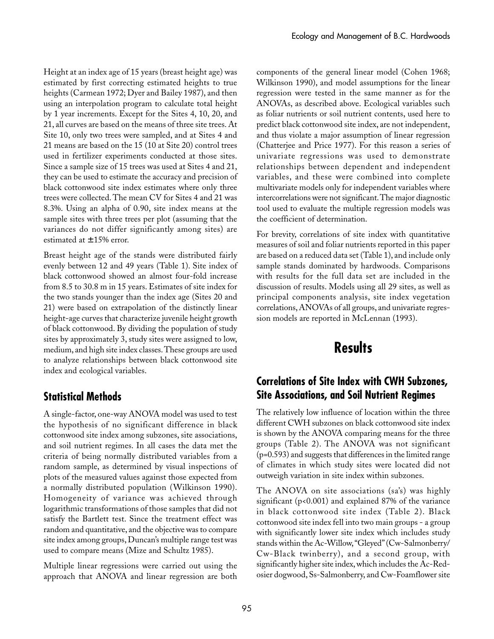Height at an index age of 15 years (breast height age) was estimated by first correcting estimated heights to true heights (Carmean 1972; Dyer and Bailey 1987), and then using an interpolation program to calculate total height by 1 year increments. Except for the Sites 4, 10, 20, and 21, all curves are based on the means of three site trees. At Site 10, only two trees were sampled, and at Sites 4 and 21 means are based on the 15 (10 at Site 20) control trees used in fertilizer experiments conducted at those sites. Since a sample size of 15 trees was used at Sites 4 and 21, they can be used to estimate the accuracy and precision of black cottonwood site index estimates where only three trees were collected. The mean CV for Sites 4 and 21 was 8.3%. Using an alpha of 0.90, site index means at the sample sites with three trees per plot (assuming that the variances do not differ significantly among sites) are estimated at  $\pm$  15% error.

Breast height age of the stands were distributed fairly evenly between 12 and 49 years (Table 1). Site index of black cottonwood showed an almost four-fold increase from 8.5 to 30.8 m in 15 years. Estimates of site index for the two stands younger than the index age (Sites 20 and 21) were based on extrapolation of the distinctly linear height-age curves that characterize juvenile height growth of black cottonwood. By dividing the population of study sites by approximately 3, study sites were assigned to low, medium, and high site index classes. These groups are used to analyze relationships between black cottonwood site index and ecological variables.

## **Statistical Methods**

A single-factor, one-way ANOVA model was used to test the hypothesis of no significant difference in black cottonwood site index among subzones, site associations, and soil nutrient regimes. In all cases the data met the criteria of being normally distributed variables from a random sample, as determined by visual inspections of plots of the measured values against those expected from a normally distributed population (Wilkinson 1990). Homogeneity of variance was achieved through logarithmic transformations of those samples that did not satisfy the Bartlett test. Since the treatment effect was random and quantitative, and the objective was to compare site index among groups, Duncan's multiple range test was used to compare means (Mize and Schultz 1985).

Multiple linear regressions were carried out using the approach that ANOVA and linear regression are both components of the general linear model (Cohen 1968; Wilkinson 1990), and model assumptions for the linear regression were tested in the same manner as for the ANOVAs, as described above. Ecological variables such as foliar nutrients or soil nutrient contents, used here to predict black cottonwood site index, are not independent, and thus violate a major assumption of linear regression (Chatterjee and Price 1977). For this reason a series of univariate regressions was used to demonstrate relationships between dependent and independent variables, and these were combined into complete multivariate models only for independent variables where intercorrelations were not significant. The major diagnostic tool used to evaluate the multiple regression models was the coefficient of determination.

For brevity, correlations of site index with quantitative measures of soil and foliar nutrients reported in this paper are based on a reduced data set (Table 1), and include only sample stands dominated by hardwoods. Comparisons with results for the full data set are included in the discussion of results. Models using all 29 sites, as well as principal components analysis, site index vegetation correlations, ANOVAs of all groups, and univariate regression models are reported in McLennan (1993).

# **Results**

## **Correlations of Site Index with CWH Subzones, Site Associations, and Soil Nutrient Regimes**

The relatively low influence of location within the three different CWH subzones on black cottonwood site index is shown by the ANOVA comparing means for the three groups (Table 2). The ANOVA was not significant (p=0.593) and suggests that differences in the limited range of climates in which study sites were located did not outweigh variation in site index within subzones.

The ANOVA on site associations (sa's) was highly significant (p<0.001) and explained 87% of the variance in black cottonwood site index (Table 2). Black cottonwood site index fell into two main groups - a group with significantly lower site index which includes study stands within the Ac-Willow, "Gleyed" (Cw-Salmonberry/ Cw-Black twinberry), and a second group, with significantly higher site index, which includes the Ac-Redosier dogwood, Ss-Salmonberry, and Cw-Foamflower site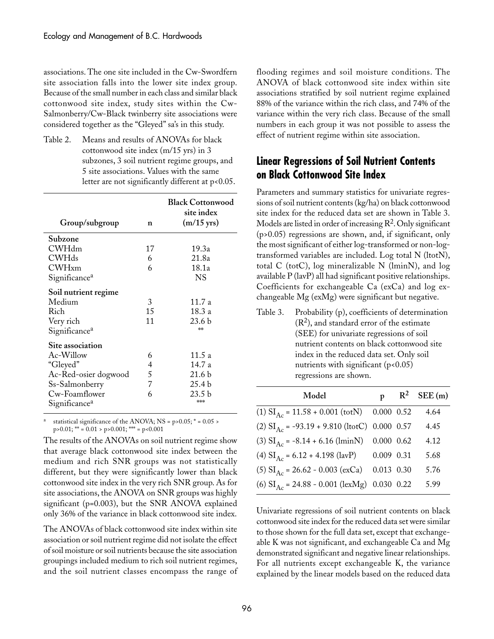associations. The one site included in the Cw-Swordfern site association falls into the lower site index group. Because of the small number in each class and similar black cottonwood site index, study sites within the Cw-Salmonberry/Cw-Black twinberry site associations were considered together as the "Gleyed" sa's in this study.

Table 2. Means and results of ANOVAs for black cottonwood site index (m/15 yrs) in 3 subzones, 3 soil nutrient regime groups, and 5 site associations. Values with the same letter are not significantly different at p<0.05.

| Group/subgroup                                                                   | n             | <b>Black Cottonwood</b><br>site index<br>$(m/15$ yrs) |
|----------------------------------------------------------------------------------|---------------|-------------------------------------------------------|
| Subzone                                                                          |               |                                                       |
| <b>CWHdm</b>                                                                     | 17            | 19.3a                                                 |
| CWHds                                                                            | 6             | 21.8a                                                 |
| <b>CWH</b> xm                                                                    | 6             | 18.1a                                                 |
| Significance <sup>a</sup>                                                        |               | <b>NS</b>                                             |
| Soil nutrient regime<br>Medium<br>Rich<br>Very rich<br>Significance <sup>a</sup> | 3<br>15<br>11 | 11.7 a<br>18.3 a<br>23.6 <sub>b</sub><br>**           |
| Site association                                                                 |               |                                                       |
| Ac-Willow                                                                        | 6             | 11.5 a                                                |
| "Gleyed"                                                                         | 4             | 14.7 a                                                |
| Ac-Red-osier dogwood                                                             | 5             | 21.6 b                                                |
| Ss-Salmonberry                                                                   | 7             | 25.4 <sub>b</sub>                                     |
| Cw-Foamflower<br>Significance <sup>a</sup>                                       | 6             | 23.5 <sub>b</sub><br>***                              |

statistical significance of the ANOVA; NS =  $p > 0.05$ ; \* = 0.05 >  $p > 0.01$ ; \*\* = 0.01 >  $p > 0.001$ ; \*\*\* =  $p < 0.001$ 

The results of the ANOVAs on soil nutrient regime show that average black cottonwood site index between the medium and rich SNR groups was not statistically different, but they were significantly lower than black cottonwood site index in the very rich SNR group. As for site associations, the ANOVA on SNR groups was highly significant (p=0.003), but the SNR ANOVA explained only 36% of the variance in black cottonwood site index.

The ANOVAs of black cottonwood site index within site association or soil nutrient regime did not isolate the effect of soil moisture or soil nutrients because the site association groupings included medium to rich soil nutrient regimes, and the soil nutrient classes encompass the range of

flooding regimes and soil moisture conditions. The ANOVA of black cottonwood site index within site associations stratified by soil nutrient regime explained 88% of the variance within the rich class, and 74% of the variance within the very rich class. Because of the small numbers in each group it was not possible to assess the effect of nutrient regime within site association.

## **Linear Regressions of Soil Nutrient Contents on Black Cottonwood Site Index**

Parameters and summary statistics for univariate regressions of soil nutrient contents (kg/ha) on black cottonwood site index for the reduced data set are shown in Table 3. Models are listed in order of increasing  $R^2$ . Only significant (p>0.05) regressions are shown, and, if significant, only the most significant of either log-transformed or non-logtransformed variables are included. Log total N (ltotN), total C (totC), log mineralizable N (lminN), and log available P (lavP) all had significant positive relationships. Coefficients for exchangeable Ca (exCa) and log exchangeable Mg (exMg) were significant but negative.

| Table 3. | Probability (p), coefficients of determination |  |  |  |  |
|----------|------------------------------------------------|--|--|--|--|
|          | $(R2)$ , and standard error of the estimate    |  |  |  |  |
|          | (SEE) for univariate regressions of soil       |  |  |  |  |
|          | nutrient contents on black cottonwood site     |  |  |  |  |
|          | index in the reduced data set. Only soil       |  |  |  |  |
|          | nutrients with significant (p<0.05)            |  |  |  |  |
|          | regressions are shown.                         |  |  |  |  |
|          |                                                |  |  |  |  |

| Model                                                    | $\mathbf{p}$ | $R^2$ SEE (m) |
|----------------------------------------------------------|--------------|---------------|
| $(1) SIAc = 11.58 + 0.001 (totN)$ 0.000 0.52             |              | 4.64          |
| (2) $SI_{Ac} = -93.19 + 9.810$ (ltotC) 0.000 0.57        |              | 4.45          |
| $(3)$ SI <sub>Ac</sub> = -8.14 + 6.16 (lminN) 0.000 0.62 |              | 4.12          |
| (4) $SI_{Ac} = 6.12 + 4.198$ (lavP) 0.009 0.31           |              | 5.68          |
| $(5)$ SI <sub>Ac</sub> = 26.62 - 0.003 (exCa) 0.013 0.30 |              | 5.76          |
| (6) $SI_{Ac} = 24.88 - 0.001$ (lexMg) 0.030 0.22         |              | 5.99          |

Univariate regressions of soil nutrient contents on black cottonwood site index for the reduced data set were similar to those shown for the full data set, except that exchangeable K was not significant, and exchangeable Ca and Mg demonstrated significant and negative linear relationships. For all nutrients except exchangeable K, the variance explained by the linear models based on the reduced data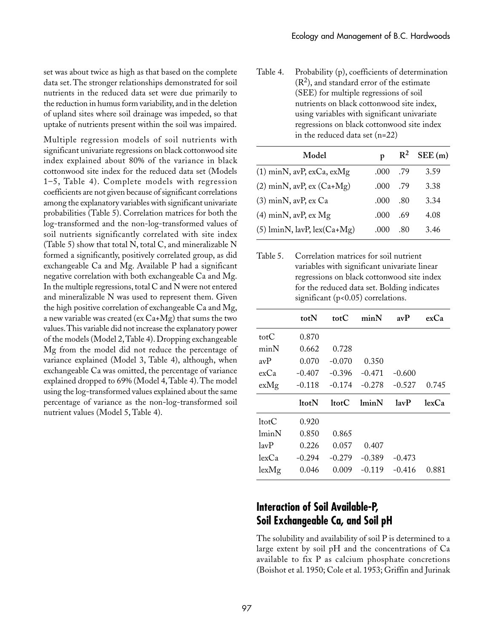set was about twice as high as that based on the complete data set. The stronger relationships demonstrated for soil nutrients in the reduced data set were due primarily to the reduction in humus form variability, and in the deletion of upland sites where soil drainage was impeded, so that uptake of nutrients present within the soil was impaired.

Multiple regression models of soil nutrients with significant univariate regressions on black cottonwood site index explained about 80% of the variance in black cottonwood site index for the reduced data set (Models 1–5, Table 4). Complete models with regression coefficients are not given because of significant correlations among the explanatory variables with significant univariate probabilities (Table 5). Correlation matrices for both the log-transformed and the non-log-transformed values of soil nutrients significantly correlated with site index (Table 5) show that total N, total C, and mineralizable N formed a significantly, positively correlated group, as did exchangeable Ca and Mg. Available P had a significant negative correlation with both exchangeable Ca and Mg. In the multiple regressions, total C and N were not entered and mineralizable N was used to represent them. Given the high positive correlation of exchangeable Ca and Mg, a new variable was created (ex Ca+Mg) that sums the two values. This variable did not increase the explanatory power of the models (Model 2, Table 4). Dropping exchangeable Mg from the model did not reduce the percentage of variance explained (Model 3, Table 4), although, when exchangeable Ca was omitted, the percentage of variance explained dropped to 69% (Model 4, Table 4). The model using the log-transformed values explained about the same percentage of variance as the non-log-transformed soil nutrient values (Model 5, Table 4).

Table 4. Probability (p), coefficients of determination  $(R<sup>2</sup>)$ , and standard error of the estimate (SEE) for multiple regressions of soil nutrients on black cottonwood site index, using variables with significant univariate regressions on black cottonwood site index in the reduced data set (n=22)

| Model                            | D    |     | $R^2$ SEE (m) |
|----------------------------------|------|-----|---------------|
| $(1)$ minN, avP, exCa, exMg      | .000 | .79 | 3.59          |
| $(2)$ minN, avP, ex $(Ca+Mg)$    | .000 | .79 | 3.38          |
| $(3)$ minN, avP, ex Ca           | .000 | .80 | 3.34          |
| $(4)$ minN, avP, ex Mg           | .000 | .69 | 4.08          |
| $(5)$ lminN, lavP, lex $(Ca+Mg)$ | .000 | .80 | 3.46          |

Table 5. Correlation matrices for soil nutrient variables with significant univariate linear regressions on black cottonwood site index for the reduced data set. Bolding indicates significant (p<0.05) correlations.

|             | totN     | tot $C$  | minN     | avP            | exCa  |
|-------------|----------|----------|----------|----------------|-------|
| totC        | 0.870    |          |          |                |       |
| minN        | 0.662    | 0.728    |          |                |       |
| avP         | 0.070    | $-0.070$ | 0.350    |                |       |
| exCa        | $-0.407$ | $-0.396$ | $-0.471$ | $-0.600$       |       |
| exMg        | $-0.118$ | $-0.174$ | $-0.278$ | $-0.527$       | 0.745 |
|             |          |          |          |                |       |
|             | 1totN    | 1totC    | lminN    | $1a\mathbf{v}$ | lexCa |
| $1$ tot $C$ | 0.920    |          |          |                |       |
| lminN       | 0.850    | 0.865    |          |                |       |
| lavP        | 0.226    | 0.057    | 0.407    |                |       |
| lexCa       | $-0.294$ | $-0.279$ | $-0.389$ | $-0.473$       |       |

## **Interaction of Soil Available-P, Soil␣ Exchangeable Ca, and Soil pH**

The solubility and availability of soil P is determined to a large extent by soil pH and the concentrations of Ca available to fix P as calcium phosphate concretions (Boishot et al. 1950; Cole et al. 1953; Griffin and Jurinak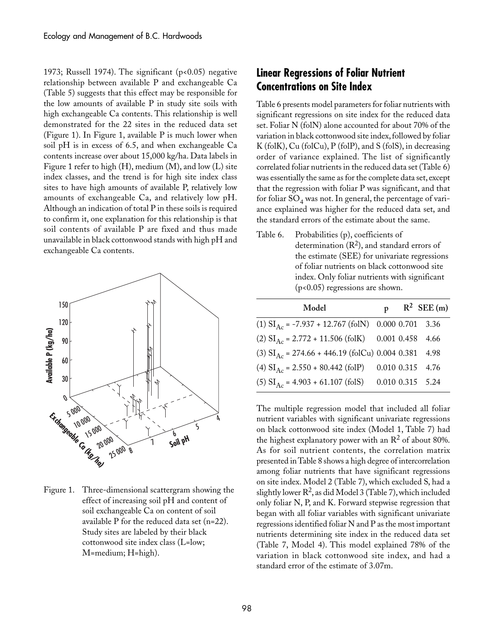1973; Russell 1974). The significant (p<0.05) negative relationship between available P and exchangeable Ca (Table 5) suggests that this effect may be responsible for the low amounts of available P in study site soils with high exchangeable Ca contents. This relationship is well demonstrated for the 22 sites in the reduced data set (Figure 1). In Figure 1, available P is much lower when soil pH is in excess of 6.5, and when exchangeable Ca contents increase over about 15,000 kg/ha. Data labels in Figure 1 refer to high  $(H)$ , medium  $(M)$ , and low  $(L)$  site index classes, and the trend is for high site index class sites to have high amounts of available P, relatively low amounts of exchangeable Ca, and relatively low pH. Although an indication of total P in these soils is required to confirm it, one explanation for this relationship is that soil contents of available P are fixed and thus made unavailable in black cottonwood stands with high pH and exchangeable Ca contents.



Figure 1. Three-dimensional scattergram showing the effect of increasing soil pH and content of soil exchangeable Ca on content of soil available P for the reduced data set (n=22). Study sites are labeled by their black cottonwood site index class (L=low; M=medium; H=high).

## **Linear Regressions of Foliar Nutrient Concentrations on Site Index**

Table 6 presents model parameters for foliar nutrients with significant regressions on site index for the reduced data set. Foliar N (folN) alone accounted for about 70% of the variation in black cottonwood site index, followed by foliar K (folK), Cu (folCu), P (folP), and S (folS), in decreasing order of variance explained. The list of significantly correlated foliar nutrients in the reduced data set (Table 6) was essentially the same as for the complete data set, except that the regression with foliar P was significant, and that for foliar  $SO_4$  was not. In general, the percentage of variance explained was higher for the reduced data set, and the standard errors of the estimate about the same.

Table 6. Probabilities (p), coefficients of determination  $(R<sup>2</sup>)$ , and standard errors of the estimate (SEE) for univariate regressions of foliar nutrients on black cottonwood site index. Only foliar nutrients with significant (p<0.05) regressions are shown.

| Model                                                             |  | $p \t R^2$ SEE (m) |
|-------------------------------------------------------------------|--|--------------------|
| $(1)$ SI <sub>Ac</sub> = -7.937 + 12.767 (folN) 0.000 0.701 3.36  |  |                    |
| $(2)$ SI <sub>Ac</sub> = 2.772 + 11.506 (folK) 0.001 0.458 4.66   |  |                    |
| $(3)$ SI <sub>Ac</sub> = 274.66 + 446.19 (folCu) 0.004 0.381 4.98 |  |                    |
| (4) $SI_{Ac} = 2.550 + 80.442$ (folP) 0.010 0.315 4.76            |  |                    |
| $(5)$ SI <sub>Ac</sub> = 4.903 + 61.107 (folS) 0.010 0.315 5.24   |  |                    |

The multiple regression model that included all foliar nutrient variables with significant univariate regressions on black cottonwood site index (Model 1, Table 7) had the highest explanatory power with an  $\mathbb{R}^2$  of about 80%. As for soil nutrient contents, the correlation matrix presented in Table 8 shows a high degree of intercorrelation among foliar nutrients that have significant regressions on site index. Model 2 (Table 7), which excluded S, had a slightly lower  $R^2$ , as did Model 3 (Table 7), which included only foliar N, P, and K. Forward stepwise regression that began with all foliar variables with significant univariate regressions identified foliar N and P as the most important nutrients determining site index in the reduced data set (Table 7, Model 4). This model explained 78% of the variation in black cottonwood site index, and had a standard error of the estimate of 3.07m.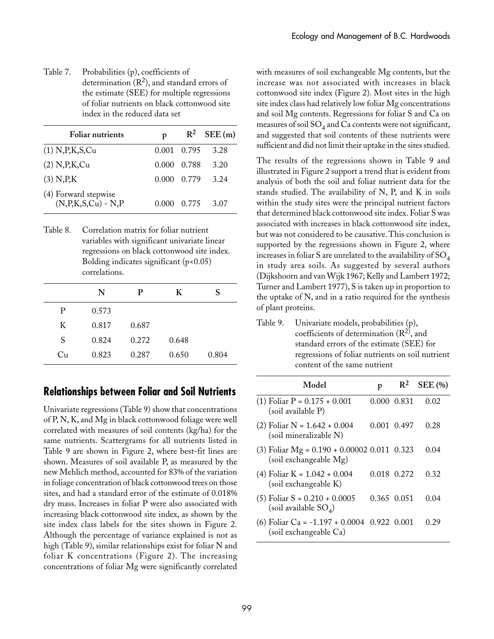Table 7. Probabilities (p), coefficients of determination  $(R^2)$ , and standard errors of the estimate (SEE) for multiple regressions of foliar nutrients on black cottonwood site index in the reduced data set

| <b>Foliar nutrients</b>                           | p           | $\mathbb{R}^2$ | SEE(m) |
|---------------------------------------------------|-------------|----------------|--------|
| (1) N, P, K, S, Cu                                | 0.001 0.795 |                | 3.28   |
| $(2)$ N, P, K, Cu                                 | 0.000       | 0.788          | 3.20   |
| $(3)$ N, P, K                                     | 0.000       | 0.779          | 3.24   |
| (4) Forward stepwise<br>$(N, P, K, S, Cu) - N, P$ | 0.000       | 0.775          | 3.07   |

Table 8. Correlation matrix for foliar nutrient variables with significant univariate linear regressions on black cottonwood site index. Bolding indicates significant  $(p<0.05)$ correlations.

|    | N     | Р     | K     | S     |
|----|-------|-------|-------|-------|
| P  | 0.573 |       |       |       |
| K  | 0.817 | 0.687 |       |       |
| S  | 0.824 | 0.272 | 0.648 |       |
| Cu | 0.823 | 0.287 | 0.650 | 0.804 |

#### **Relationships between Foliar and Soil Nutrients**

Univariate regressions (Table 9) show that concentrations of P, N, K, and Mg in black cottonwood foliage were well correlated with measures of soil contents (kg/ha) for the same nutrients. Scattergrams for all nutrients listed in Table 9 are shown in Figure 2, where best-fit lines are shown. Measures of soil available P, as measured by the new Mehlich method, accounted for 83% of the variation in foliage concentration of black cottonwood trees on those sites, and had a standard error of the estimate of 0.018% dry mass. Increases in foliar P were also associated with increasing black cottonwood site index, as shown by the site index class labels for the sites shown in Figure 2. Although the percentage of variance explained is not as high (Table 9), similar relationships exist for foliar N and foliar K concentrations (Figure 2). The increasing concentrations of foliar Mg were significantly correlated

with measures of soil exchangeable Mg contents, but the increase was not associated with increases in black cottonwood site index (Figure 2). Most sites in the high site index class had relatively low foliar Mg concentrations and soil Mg contents. Regressions for foliar S and Ca on measures of soil  $SO_4$  and  $Ca$  contents were not significant, and suggested that soil contents of these nutrients were sufficient and did not limit their uptake in the sites studied.

The results of the regressions shown in Table 9 and illustrated in Figure 2 support a trend that is evident from analysis of both the soil and foliar nutrient data for the stands studied. The availability of N, P, and K in soils within the study sites were the principal nutrient factors that determined black cottonwood site index. Foliar S was associated with increases in black cottonwood site index, but was not considered to be causative. This conclusion is supported by the regressions shown in Figure 2, where increases in foliar S are unrelated to the availability of SO<sub>4</sub> in study area soils. As suggested by several authors (Dijkshoorn and van Wijk 1967; Kelly and Lambert 1972; Turner and Lambert 1977), S is taken up in proportion to the uptake of N, and in a ratio required for the synthesis of plant proteins.

Table 9. Univariate models, probabilities (p), coefficients of determination  $(R^2)$ , and standard errors of the estimate (SEE) for regressions of foliar nutrients on soil nutrient content of the same nutrient

| Model                                                                   | p           | $R^2$ | <b>SEE</b> (%) |
|-------------------------------------------------------------------------|-------------|-------|----------------|
| (1) Foliar P = 0.175 + 0.001<br>(soil available P)                      | 0.000 0.831 |       | 0.02           |
| (2) Foliar N = 1.642 + 0.004<br>(soil mineralizable N)                  | 0.001 0.497 |       | 0.28           |
| (3) Foliar Mg = $0.190 + 0.00002$ 0.011 0.323<br>(soil exchangeable Mg) |             |       | 0.04           |
| (4) Foliar K = 1.042 + 0.004<br>(soil exchangeable K)                   | 0.018 0.272 |       | 0.32           |
| $(5)$ Foliar S = 0.210 + 0.0005<br>(soil available $SO_4$ )             | 0.365 0.051 |       | 0.04           |
| (6) Foliar Ca = $-1.197 + 0.0004$ 0.922 0.001                           |             |       | 0.29           |

(soil exchangeable Ca)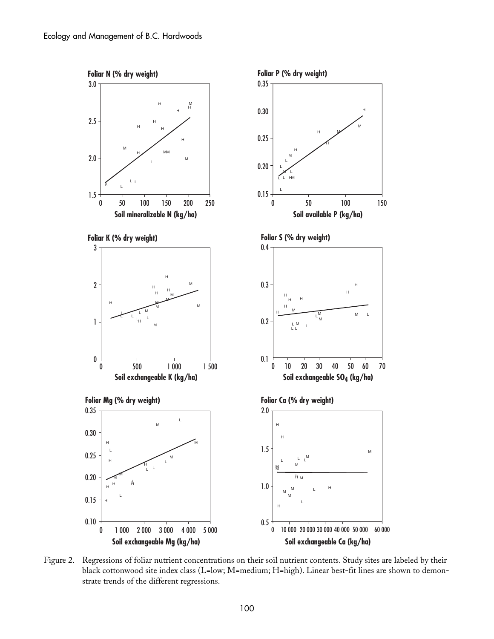

Figure 2. Regressions of foliar nutrient concentrations on their soil nutrient contents. Study sites are labeled by their black cottonwood site index class (L=low; M=medium; H=high). Linear best-fit lines are shown to demonstrate trends of the different regressions.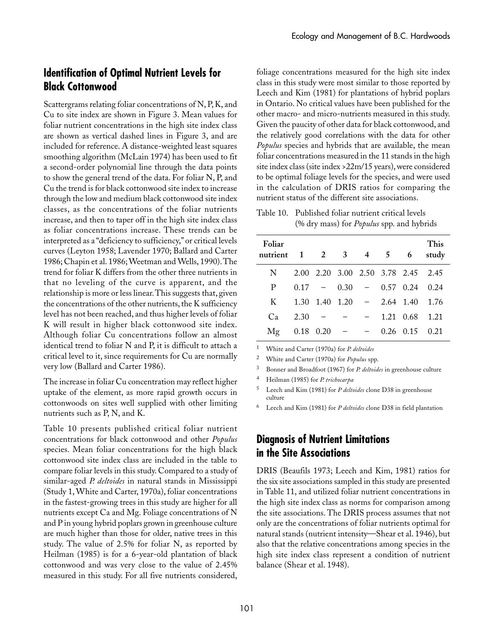## **Identification of Optimal Nutrient Levels for Black Cottonwood**

Scattergrams relating foliar concentrations of N, P, K, and Cu to site index are shown in Figure 3. Mean values for foliar nutrient concentrations in the high site index class are shown as vertical dashed lines in Figure 3, and are included for reference. A distance-weighted least squares smoothing algorithm (McLain 1974) has been used to fit a second-order polynomial line through the data points to show the general trend of the data. For foliar N, P, and Cu the trend is for black cottonwood site index to increase through the low and medium black cottonwood site index classes, as the concentrations of the foliar nutrients increase, and then to taper off in the high site index class as foliar concentrations increase. These trends can be interpreted as a "deficiency to sufficiency," or critical levels curves (Leyton 1958; Lavender 1970; Ballard and Carter 1986; Chapin et al. 1986; Weetman and Wells, 1990). The trend for foliar K differs from the other three nutrients in that no leveling of the curve is apparent, and the relationship is more or less linear. This suggests that, given the concentrations of the other nutrients, the K sufficiency level has not been reached, and thus higher levels of foliar K will result in higher black cottonwood site index. Although foliar Cu concentrations follow an almost identical trend to foliar N and P, it is difficult to attach a critical level to it, since requirements for Cu are normally very low (Ballard and Carter 1986).

The increase in foliar Cu concentration may reflect higher uptake of the element, as more rapid growth occurs in cottonwoods on sites well supplied with other limiting nutrients such as P, N, and K.

Table 10 presents published critical foliar nutrient concentrations for black cottonwood and other *Populus* species. Mean foliar concentrations for the high black cottonwood site index class are included in the table to compare foliar levels in this study. Compared to a study of similar-aged *P. deltoides* in natural stands in Mississippi (Study 1, White and Carter, 1970a), foliar concentrations in the fastest-growing trees in this study are higher for all nutrients except Ca and Mg. Foliage concentrations of N and P in young hybrid poplars grown in greenhouse culture are much higher than those for older, native trees in this study. The value of 2.5% for foliar N, as reported by Heilman (1985) is for a 6-year-old plantation of black cottonwood and was very close to the value of 2.45% measured in this study. For all five nutrients considered,

foliage concentrations measured for the high site index class in this study were most similar to those reported by Leech and Kim (1981) for plantations of hybrid poplars in Ontario. No critical values have been published for the other macro- and micro-nutrients measured in this study. Given the paucity of other data for black cottonwood, and the relatively good correlations with the data for other *Populus* species and hybrids that are available, the mean foliar concentrations measured in the 11 stands in the high site index class (site index >22m/15 years), were considered to be optimal foliage levels for the species, and were used in the calculation of DRIS ratios for comparing the nutrient status of the different site associations.

Table 10. Published foliar nutrient critical levels (%␣ dry mass) for *Populus* spp. and hybrids

| Foliar<br>nutrient 1 2 3 4 5 6 |      |                 |                          |                                             | This<br>study |
|--------------------------------|------|-----------------|--------------------------|---------------------------------------------|---------------|
| N.                             |      |                 |                          | 2.00 2.20 3.00 2.50 3.78 2.45 2.45          |               |
| P                              |      |                 |                          | $0.17 - 0.30 - 0.57 0.24 0.24$              |               |
| K                              |      |                 |                          | $1.30$ $1.40$ $1.20$ - $2.64$ $1.40$ $1.76$ |               |
| Ca                             | 2.30 |                 | $\overline{\phantom{0}}$ | 1.21 0.68 1.21                              |               |
| Mg                             |      | $0.18$ $0.20$ - | $-$                      | $0.26$ $0.15$ $0.21$                        |               |

<sup>1</sup> White and Carter (1970a) for *P. deltoides*

<sup>2</sup> White and Carter (1970a) for *Populus* spp.

<sup>3</sup> Bonner and Broadfoot (1967) for *P. deltoides* in greenhouse culture

<sup>4</sup> Heilman (1985) for *P. trichocarpa*

<sup>5</sup> Leech and Kim (1981) for *P deltoides* clone D38 in greenhouse culture

<sup>6</sup> Leech and Kim (1981) for *P deltoides* clone D38 in field plantation

### **Diagnosis of Nutrient Limitations in the Site Associations**

DRIS (Beaufils 1973; Leech and Kim, 1981) ratios for the six site associations sampled in this study are presented in Table 11, and utilized foliar nutrient concentrations in the high site index class as norms for comparison among the site associations. The DRIS process assumes that not only are the concentrations of foliar nutrients optimal for natural stands (nutrient intensity—Shear et al. 1946), but also that the relative concentrations among species in the high site index class represent a condition of nutrient balance (Shear et al. 1948).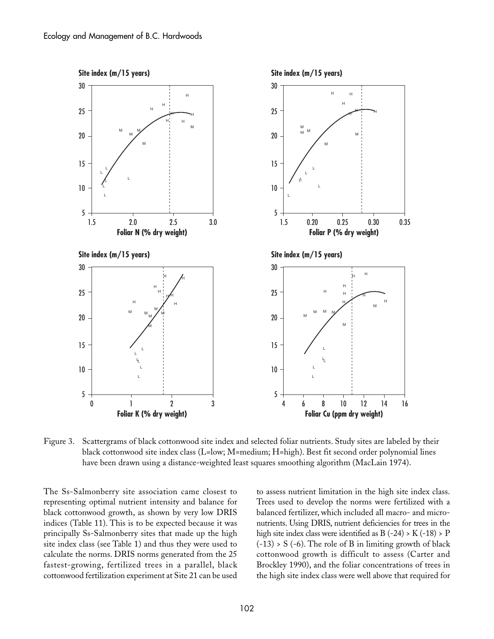

Figure 3. Scattergrams of black cottonwood site index and selected foliar nutrients. Study sites are labeled by their black cottonwood site index class (L=low; M=medium; H=high). Best fit second order polynomial lines have been drawn using a distance-weighted least squares smoothing algorithm (MacLain 1974).

The Ss-Salmonberry site association came closest to representing optimal nutrient intensity and balance for black cottonwood growth, as shown by very low DRIS indices (Table 11). This is to be expected because it was principally Ss-Salmonberry sites that made up the high site index class (see Table 1) and thus they were used to calculate the norms. DRIS norms generated from the 25 fastest-growing, fertilized trees in a parallel, black cottonwood fertilization experiment at Site 21 can be used

to assess nutrient limitation in the high site index class. Trees used to develop the norms were fertilized with a balanced fertilizer, which included all macro- and micronutrients. Using DRIS, nutrient deficiencies for trees in the high site index class were identified as  $B(-24) > K(-18) > P$  $(-13)$  > S  $(-6)$ . The role of B in limiting growth of black cottonwood growth is difficult to assess (Carter and Brockley 1990), and the foliar concentrations of trees in the high site index class were well above that required for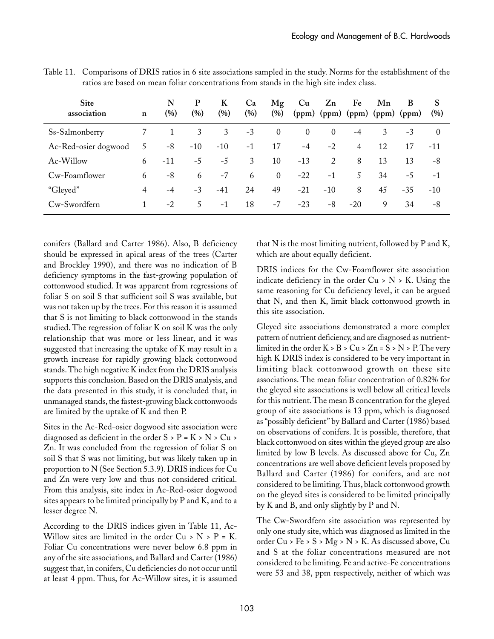| Site<br>association  | $\mathbf n$ | N<br>(%) | P<br>$\left( % \right)$ | K<br>$(\%)$ | Ca<br>(%) | Mg<br>(%)      | Cu             | $Z_{n}$<br>$(ppm)$ $(ppm)$ $(ppm)$ $(ppm)$ $(ppm)$ | Fe             | Mn | B     | S<br>(%) |
|----------------------|-------------|----------|-------------------------|-------------|-----------|----------------|----------------|----------------------------------------------------|----------------|----|-------|----------|
| Ss-Salmonberry       |             |          | 3                       | 3           | $-3$      | $\theta$       | $\overline{0}$ | $\theta$                                           | $-4$           | 3  | $-3$  | $\Omega$ |
| Ac-Red-osier dogwood | 5           | -8       | $-10$                   | $-10$       | $-1$      | 17             | $-4$           | $-2$                                               | $\overline{4}$ | 12 | 17    | -11      |
| Ac-Willow            | 6           | $-11$    | $-5$                    | $-5$        | 3         | 10             | $-13$          | 2                                                  | 8              | 13 | 13    | -8       |
| Cw-Foamflower        | 6           | -8       | 6                       | $-7$        | 6         | $\overline{0}$ | $-22$          | $-1$                                               | 5              | 34 | $-5$  | $-1$     |
| "Gleyed"             | 4           | $-4$     | $-3$                    | $-41$       | 24        | 49             | $-21$          | $-10$                                              | 8              | 45 | $-35$ | $-10$    |
| Cw-Swordfern         |             | $-2$     | 5.                      | $-1$        | 18        | $-7$           | $-23$          | -8                                                 | $-20$          | 9  | 34    | -8       |

Table 11. Comparisons of DRIS ratios in 6 site associations sampled in the study. Norms for the establishment of the ratios are based on mean foliar concentrations from stands in the high site index class.

conifers (Ballard and Carter 1986). Also, B deficiency should be expressed in apical areas of the trees (Carter and Brockley 1990), and there was no indication of B deficiency symptoms in the fast-growing population of cottonwood studied. It was apparent from regressions of foliar S on soil S that sufficient soil S was available, but was not taken up by the trees. For this reason it is assumed that S is not limiting to black cottonwood in the stands studied. The regression of foliar K on soil K was the only relationship that was more or less linear, and it was suggested that increasing the uptake of K may result in a growth increase for rapidly growing black cottonwood stands. The high negative K index from the DRIS analysis supports this conclusion. Based on the DRIS analysis, and the data presented in this study, it is concluded that, in unmanaged stands, the fastest-growing black cottonwoods are limited by the uptake of K and then P.

Sites in the Ac-Red-osier dogwood site association were diagnosed as deficient in the order  $S > P = K > N > Cu >$ Zn. It was concluded from the regression of foliar S on soil S that S was not limiting, but was likely taken up in proportion to N (See Section 5.3.9). DRIS indices for Cu and Zn were very low and thus not considered critical. From this analysis, site index in Ac-Red-osier dogwood sites appears to be limited principally by P and K, and to a lesser degree N.

According to the DRIS indices given in Table 11, Ac-Willow sites are limited in the order  $Cu > N > P = K$ . Foliar Cu concentrations were never below 6.8 ppm in any of the site associations, and Ballard and Carter (1986) suggest that, in conifers, Cu deficiencies do not occur until at least 4 ppm. Thus, for Ac-Willow sites, it is assumed that N is the most limiting nutrient, followed by P and K, which are about equally deficient.

DRIS indices for the Cw-Foamflower site association indicate deficiency in the order  $Cu > N > K$ . Using the same reasoning for Cu deficiency level, it can be argued that N, and then K, limit black cottonwood growth in this site association.

Gleyed site associations demonstrated a more complex pattern of nutrient deficiency, and are diagnosed as nutrientlimited in the order  $K > B > Cu > Zn = S > N > P$ . The very high K DRIS index is considered to be very important in limiting black cottonwood growth on these site associations. The mean foliar concentration of 0.82% for the gleyed site associations is well below all critical levels for this nutrient. The mean B concentration for the gleyed group of site associations is 13 ppm, which is diagnosed as "possibly deficient" by Ballard and Carter (1986) based on observations of conifers. It is possible, therefore, that black cottonwood on sites within the gleyed group are also limited by low B levels. As discussed above for Cu, Zn concentrations are well above deficient levels proposed by Ballard and Carter (1986) for conifers, and are not considered to be limiting. Thus, black cottonwood growth on the gleyed sites is considered to be limited principally by K and B, and only slightly by P and N.

The Cw-Swordfern site association was represented by only one study site, which was diagnosed as limited in the order Cu > Fe > S > Mg > N > K. As discussed above, Cu and S at the foliar concentrations measured are not considered to be limiting. Fe and active-Fe concentrations were 53 and 38, ppm respectively, neither of which was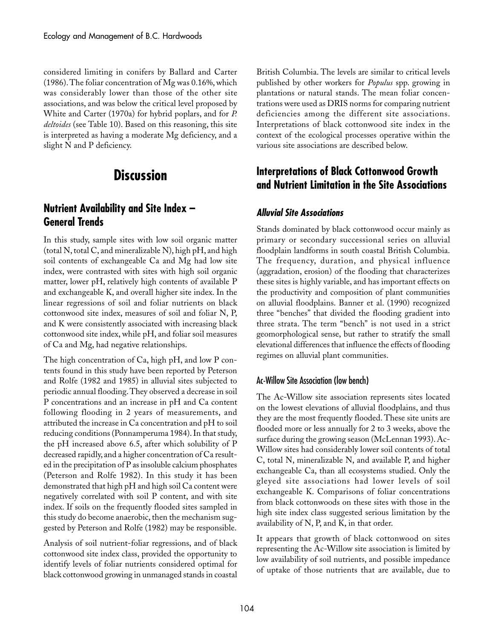considered limiting in conifers by Ballard and Carter (1986). The foliar concentration of Mg was 0.16%, which was considerably lower than those of the other site associations, and was below the critical level proposed by White and Carter (1970a) for hybrid poplars, and for *P. deltoides* (see Table 10). Based on this reasoning, this site is interpreted as having a moderate Mg deficiency, and a slight N and P deficiency.

# **Discussion**

## **Nutrient Availability and Site Index – General Trends**

In this study, sample sites with low soil organic matter (total N, total C, and mineralizable N), high pH, and high soil contents of exchangeable Ca and Mg had low site index, were contrasted with sites with high soil organic matter, lower pH, relatively high contents of available P and exchangeable K, and overall higher site index. In the linear regressions of soil and foliar nutrients on black cottonwood site index, measures of soil and foliar N, P, and K were consistently associated with increasing black cottonwood site index, while pH, and foliar soil measures of Ca and Mg, had negative relationships.

The high concentration of Ca, high pH, and low P contents found in this study have been reported by Peterson and Rolfe (1982 and 1985) in alluvial sites subjected to periodic annual flooding. They observed a decrease in soil P concentrations and an increase in pH and Ca content following flooding in 2 years of measurements, and attributed the increase in Ca concentration and pH to soil reducing conditions (Ponnamperuma 1984). In that study, the pH increased above 6.5, after which solubility of P decreased rapidly, and a higher concentration of Ca resulted in the precipitation of P as insoluble calcium phosphates (Peterson and Rolfe 1982). In this study it has been demonstrated that high pH and high soil Ca content were negatively correlated with soil P content, and with site index. If soils on the frequently flooded sites sampled in this study do become anaerobic, then the mechanism suggested by Peterson and Rolfe (1982) may be responsible.

Analysis of soil nutrient-foliar regressions, and of black cottonwood site index class, provided the opportunity to identify levels of foliar nutrients considered optimal for black cottonwood growing in unmanaged stands in coastal

British Columbia. The levels are similar to critical levels published by other workers for *Populus* spp. growing in plantations or natural stands. The mean foliar concentrations were used as DRIS norms for comparing nutrient deficiencies among the different site associations. Interpretations of black cottonwood site index in the context of the ecological processes operative within the various site associations are described below.

## **Interpretations of Black Cottonwood Growth and Nutrient Limitation in the Site Associations**

#### **Alluvial Site Associations**

Stands dominated by black cottonwood occur mainly as primary or secondary successional series on alluvial floodplain landforms in south coastal British Columbia. The frequency, duration, and physical influence (aggradation, erosion) of the flooding that characterizes these sites is highly variable, and has important effects on the productivity and composition of plant communities on alluvial floodplains. Banner et al. (1990) recognized three "benches" that divided the flooding gradient into three strata. The term "bench" is not used in a strict geomorphological sense, but rather to stratify the small elevational differences that influence the effects of flooding regimes on alluvial plant communities.

#### Ac-Willow Site Association (low bench)

The Ac-Willow site association represents sites located on the lowest elevations of alluvial floodplains, and thus they are the most frequently flooded. These site units are flooded more or less annually for 2 to 3 weeks, above the surface during the growing season (McLennan 1993). Ac-Willow sites had considerably lower soil contents of total C, total N, mineralizable N, and available P, and higher exchangeable Ca, than all ecosystems studied. Only the gleyed site associations had lower levels of soil exchangeable K. Comparisons of foliar concentrations from black cottonwoods on these sites with those in the high site index class suggested serious limitation by the availability of N, P, and K, in that order.

It appears that growth of black cottonwood on sites representing the Ac-Willow site association is limited by low availability of soil nutrients, and possible impedance of uptake of those nutrients that are available, due to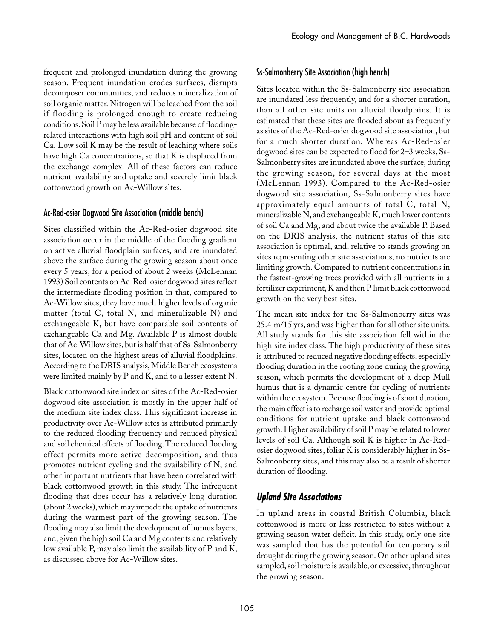frequent and prolonged inundation during the growing season. Frequent inundation erodes surfaces, disrupts decomposer communities, and reduces mineralization of soil organic matter. Nitrogen will be leached from the soil if flooding is prolonged enough to create reducing conditions. Soil P may be less available because of floodingrelated interactions with high soil pH and content of soil Ca. Low soil K may be the result of leaching where soils have high Ca concentrations, so that K is displaced from the exchange complex. All of these factors can reduce nutrient availability and uptake and severely limit black cottonwood growth on Ac-Willow sites.

#### Ac-Red-osier Dogwood Site Association (middle bench)

Sites classified within the Ac-Red-osier dogwood site association occur in the middle of the flooding gradient on active alluvial floodplain surfaces, and are inundated above the surface during the growing season about once every 5 years, for a period of about 2 weeks (McLennan 1993) Soil contents on Ac-Red-osier dogwood sites reflect the intermediate flooding position in that, compared to Ac-Willow sites, they have much higher levels of organic matter (total C, total N, and mineralizable N) and exchangeable K, but have comparable soil contents of exchangeable Ca and Mg. Available P is almost double that of Ac-Willow sites, but is half that of Ss-Salmonberry sites, located on the highest areas of alluvial floodplains. According to the DRIS analysis, Middle Bench ecosystems were limited mainly by P and K, and to a lesser extent N.

Black cottonwood site index on sites of the Ac-Red-osier dogwood site association is mostly in the upper half of the medium site index class. This significant increase in productivity over Ac-Willow sites is attributed primarily to the reduced flooding frequency and reduced physical and soil chemical effects of flooding. The reduced flooding effect permits more active decomposition, and thus promotes nutrient cycling and the availability of N, and other important nutrients that have been correlated with black cottonwood growth in this study. The infrequent flooding that does occur has a relatively long duration (about 2 weeks), which may impede the uptake of nutrients during the warmest part of the growing season. The flooding may also limit the development of humus layers, and, given the high soil Ca and Mg contents and relatively low available P, may also limit the availability of P and K, as discussed above for Ac-Willow sites.

#### Ss-Salmonberry Site Association (high bench)

Sites located within the Ss-Salmonberry site association are inundated less frequently, and for a shorter duration, than all other site units on alluvial floodplains. It is estimated that these sites are flooded about as frequently as sites of the Ac-Red-osier dogwood site association, but for a much shorter duration. Whereas Ac-Red-osier dogwood sites can be expected to flood for 2–3 weeks, Ss-Salmonberry sites are inundated above the surface, during the growing season, for several days at the most (McLennan 1993). Compared to the Ac-Red-osier dogwood site association, Ss-Salmonberry sites have approximately equal amounts of total C, total N, mineralizable N, and exchangeable K, much lower contents of soil Ca and Mg, and about twice the available P. Based on the DRIS analysis, the nutrient status of this site association is optimal, and, relative to stands growing on sites representing other site associations, no nutrients are limiting growth. Compared to nutrient concentrations in the fastest-growing trees provided with all nutrients in a fertilizer experiment, K and then P limit black cottonwood growth on the very best sites.

The mean site index for the Ss-Salmonberry sites was 25.4␣ m/15 yrs, and was higher than for all other site units. All study stands for this site association fell within the high site index class. The high productivity of these sites is attributed to reduced negative flooding effects, especially flooding duration in the rooting zone during the growing season, which permits the development of a deep Mull humus that is a dynamic centre for cycling of nutrients within the ecosystem. Because flooding is of short duration, the main effect is to recharge soil water and provide optimal conditions for nutrient uptake and black cottonwood growth. Higher availability of soil P may be related to lower levels of soil Ca. Although soil K is higher in Ac-Redosier dogwood sites, foliar K is considerably higher in Ss-Salmonberry sites, and this may also be a result of shorter duration of flooding.

#### **Upland Site Associations**

In upland areas in coastal British Columbia, black cottonwood is more or less restricted to sites without a growing season water deficit. In this study, only one site was sampled that has the potential for temporary soil drought during the growing season. On other upland sites sampled, soil moisture is available, or excessive, throughout the growing season.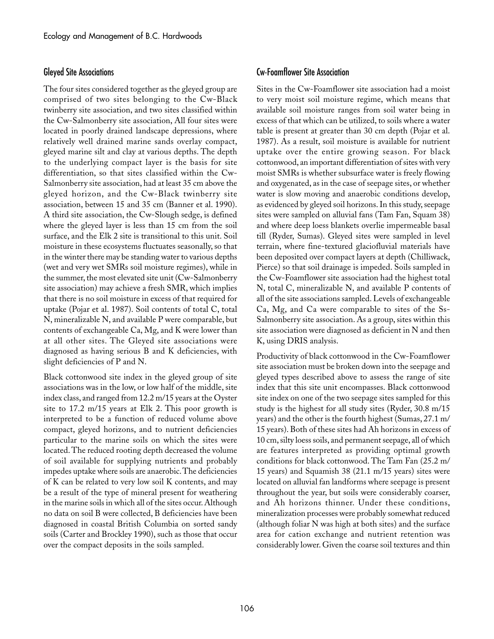#### Gleyed Site Associations

The four sites considered together as the gleyed group are comprised of two sites belonging to the Cw-Black twinberry site association, and two sites classified within the Cw-Salmonberry site association, All four sites were located in poorly drained landscape depressions, where relatively well drained marine sands overlay compact, gleyed marine silt and clay at various depths. The depth to the underlying compact layer is the basis for site differentiation, so that sites classified within the Cw-Salmonberry site association, had at least 35 cm above the gleyed horizon, and the Cw-Black twinberry site association, between 15 and 35 cm (Banner et al. 1990). A third site association, the Cw-Slough sedge, is defined where the gleyed layer is less than 15 cm from the soil surface, and the Elk 2 site is transitional to this unit. Soil moisture in these ecosystems fluctuates seasonally, so that in the winter there may be standing water to various depths (wet and very wet SMRs soil moisture regimes), while in the summer, the most elevated site unit (Cw-Salmonberry site association) may achieve a fresh SMR, which implies that there is no soil moisture in excess of that required for uptake (Pojar et al. 1987). Soil contents of total C, total N, mineralizable N, and available P were comparable, but contents of exchangeable Ca, Mg, and K were lower than at all other sites. The Gleyed site associations were diagnosed as having serious B and K deficiencies, with slight deficiencies of P and N.

Black cottonwood site index in the gleyed group of site associations was in the low, or low half of the middle, site index class, and ranged from 12.2 m/15 years at the Oyster site to 17.2 m/15 years at Elk 2. This poor growth is interpreted to be a function of reduced volume above compact, gleyed horizons, and to nutrient deficiencies particular to the marine soils on which the sites were located. The reduced rooting depth decreased the volume of soil available for supplying nutrients and probably impedes uptake where soils are anaerobic. The deficiencies of K can be related to very low soil K contents, and may be a result of the type of mineral present for weathering in the marine soils in which all of the sites occur. Although no data on soil B were collected, B deficiencies have been diagnosed in coastal British Columbia on sorted sandy soils (Carter and Brockley 1990), such as those that occur over the compact deposits in the soils sampled.

#### Cw-Foamflower Site Association

Sites in the Cw-Foamflower site association had a moist to very moist soil moisture regime, which means that available soil moisture ranges from soil water being in excess of that which can be utilized, to soils where a water table is present at greater than 30 cm depth (Pojar et al. 1987). As a result, soil moisture is available for nutrient uptake over the entire growing season. For black cottonwood, an important differentiation of sites with very moist SMRs is whether subsurface water is freely flowing and oxygenated, as in the case of seepage sites, or whether water is slow moving and anaerobic conditions develop, as evidenced by gleyed soil horizons. In this study, seepage sites were sampled on alluvial fans (Tam Fan, Squam 38) and where deep loess blankets overlie impermeable basal till (Ryder, Sumas). Gleyed sites were sampled in level terrain, where fine-textured glaciofluvial materials have been deposited over compact layers at depth (Chilliwack, Pierce) so that soil drainage is impeded. Soils sampled in the Cw-Foamflower site association had the highest total N, total C, mineralizable N, and available P contents of all of the site associations sampled. Levels of exchangeable Ca, Mg, and Ca were comparable to sites of the Ss-Salmonberry site association. As a group, sites within this site association were diagnosed as deficient in N and then K, using DRIS analysis.

Productivity of black cottonwood in the Cw-Foamflower site association must be broken down into the seepage and gleyed types described above to assess the range of site index that this site unit encompasses. Black cottonwood site index on one of the two seepage sites sampled for this study is the highest for all study sites (Ryder, 30.8 m/15 years) and the other is the fourth highest (Sumas, 27.1 m/ 15 years). Both of these sites had Ah horizons in excess of 10 cm, silty loess soils, and permanent seepage, all of which are features interpreted as providing optimal growth conditions for black cottonwood. The Tam Fan (25.2 m/ 15 years) and Squamish 38 (21.1 m/15 years) sites were located on alluvial fan landforms where seepage is present throughout the year, but soils were considerably coarser, and Ah horizons thinner. Under these conditions, mineralization processes were probably somewhat reduced (although foliar N was high at both sites) and the surface area for cation exchange and nutrient retention was considerably lower. Given the coarse soil textures and thin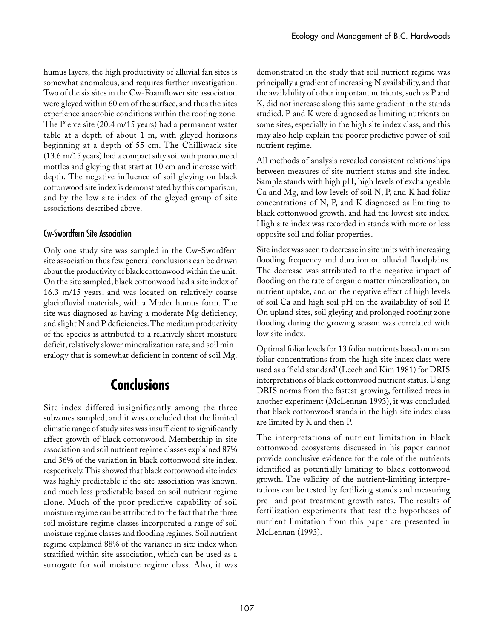humus layers, the high productivity of alluvial fan sites is somewhat anomalous, and requires further investigation. Two of the six sites in the Cw-Foamflower site association were gleyed within 60 cm of the surface, and thus the sites experience anaerobic conditions within the rooting zone. The Pierce site (20.4 m/15 years) had a permanent water table at a depth of about 1 m, with gleyed horizons beginning at a depth of 55 cm. The Chilliwack site (13.6␣ m/15 years) had a compact silty soil with pronounced mottles and gleying that start at 10 cm and increase with depth. The negative influence of soil gleying on black cottonwood site index is demonstrated by this comparison, and by the low site index of the gleyed group of site associations described above.

#### Cw-Swordfern Site Association

Only one study site was sampled in the Cw-Swordfern site association thus few general conclusions can be drawn about the productivity of black cottonwood within the unit. On the site sampled, black cottonwood had a site index of 16.3 m/15 years, and was located on relatively coarse glaciofluvial materials, with a Moder humus form. The site was diagnosed as having a moderate Mg deficiency, and slight N and P deficiencies. The medium productivity of the species is attributed to a relatively short moisture deficit, relatively slower mineralization rate, and soil mineralogy that is somewhat deficient in content of soil Mg.

# **Conclusions**

Site index differed insignificantly among the three subzones sampled, and it was concluded that the limited climatic range of study sites was insufficient to significantly affect growth of black cottonwood. Membership in site association and soil nutrient regime classes explained 87% and 36% of the variation in black cottonwood site index, respectively. This showed that black cottonwood site index was highly predictable if the site association was known, and much less predictable based on soil nutrient regime alone. Much of the poor predictive capability of soil moisture regime can be attributed to the fact that the three soil moisture regime classes incorporated a range of soil moisture regime classes and flooding regimes. Soil nutrient regime explained 88% of the variance in site index when stratified within site association, which can be used as a surrogate for soil moisture regime class. Also, it was

demonstrated in the study that soil nutrient regime was principally a gradient of increasing N availability, and that the availability of other important nutrients, such as P and K, did not increase along this same gradient in the stands studied. P and K were diagnosed as limiting nutrients on some sites, especially in the high site index class, and this may also help explain the poorer predictive power of soil nutrient regime.

All methods of analysis revealed consistent relationships between measures of site nutrient status and site index. Sample stands with high pH, high levels of exchangeable Ca and Mg, and low levels of soil N, P, and K had foliar concentrations of N, P, and K diagnosed as limiting to black cottonwood growth, and had the lowest site index. High site index was recorded in stands with more or less opposite soil and foliar properties.

Site index was seen to decrease in site units with increasing flooding frequency and duration on alluvial floodplains. The decrease was attributed to the negative impact of flooding on the rate of organic matter mineralization, on nutrient uptake, and on the negative effect of high levels of soil Ca and high soil pH on the availability of soil P. On upland sites, soil gleying and prolonged rooting zone flooding during the growing season was correlated with low site index.

Optimal foliar levels for 13 foliar nutrients based on mean foliar concentrations from the high site index class were used as a 'field standard' (Leech and Kim 1981) for DRIS interpretations of black cottonwood nutrient status. Using DRIS norms from the fastest-growing, fertilized trees in another experiment (McLennan 1993), it was concluded that black cottonwood stands in the high site index class are limited by K and then P.

The interpretations of nutrient limitation in black cottonwood ecosystems discussed in his paper cannot provide conclusive evidence for the role of the nutrients identified as potentially limiting to black cottonwood growth. The validity of the nutrient-limiting interpretations can be tested by fertilizing stands and measuring pre- and post-treatment growth rates. The results of fertilization experiments that test the hypotheses of nutrient limitation from this paper are presented in McLennan (1993).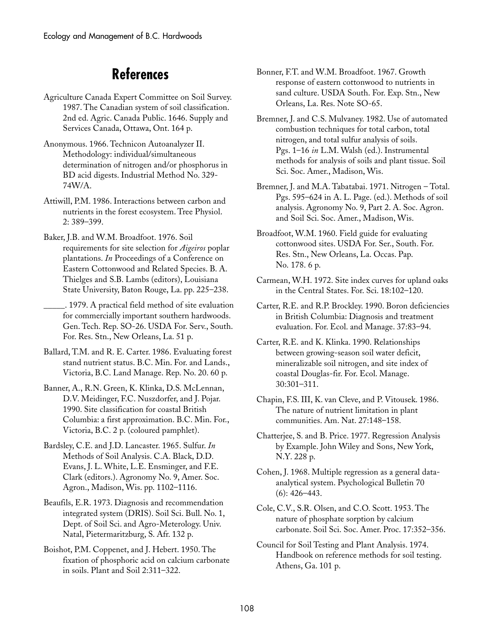# **References**

- Agriculture Canada Expert Committee on Soil Survey. 1987. The Canadian system of soil classification. 2nd ed. Agric. Canada Public. 1646. Supply and Services Canada, Ottawa, Ont. 164 p.
- Anonymous. 1966. Technicon Autoanalyzer II. Methodology: individual/simultaneous determination of nitrogen and/or phosphorus in BD acid digests. Industrial Method No. 329- 74W/A.
- Attiwill, P.M. 1986. Interactions between carbon and nutrients in the forest ecosystem. Tree Physiol. 2:␣ 389–399.
- Baker, J.B. and W.M. Broadfoot. 1976. Soil requirements for site selection for *Aigeiros* poplar plantations. *In* Proceedings of a Conference on Eastern Cottonwood and Related Species. B. A. Thielges and S.B. Lambs (editors), Louisiana State University, Baton Rouge, La. pp. 225–238.
- \_\_\_\_\_. 1979. A practical field method of site evaluation for commercially important southern hardwoods. Gen. Tech. Rep. SO-26. USDA For. Serv., South. For. Res. Stn., New Orleans, La. 51 p.
- Ballard, T.M. and R. E. Carter. 1986. Evaluating forest stand nutrient status. B.C. Min. For. and Lands., Victoria, B.C. Land Manage. Rep. No. 20. 60 p.
- Banner, A., R.N. Green, K. Klinka, D.S. McLennan, D.V. Meidinger, F.C. Nuszdorfer, and J. Pojar. 1990. Site classification for coastal British Columbia: a first approximation. B.C. Min. For., Victoria, B.C. 2 p. (coloured pamphlet).
- Bardsley, C.E. and J.D. Lancaster. 1965. Sulfur. *In* Methods of Soil Analysis. C.A. Black, D.D. Evans, J. L. White, L.E. Ensminger, and F.E. Clark (editors.). Agronomy No. 9, Amer. Soc. Agron., Madison, Wis. pp. 1102–1116.
- Beaufils, E.R. 1973. Diagnosis and recommendation integrated system (DRIS). Soil Sci. Bull. No. 1, Dept. of Soil Sci. and Agro-Meterology. Univ. Natal, Pietermaritzburg, S. Afr. 132 p.
- Boishot, P.M. Coppenet, and J. Hebert. 1950. The fixation of phosphoric acid on calcium carbonate in soils. Plant and Soil 2:311–322.
- Bonner, F.T. and W.M. Broadfoot. 1967. Growth response of eastern cottonwood to nutrients in sand culture. USDA South. For. Exp. Stn., New Orleans, La. Res. Note SO-65.
- Bremner, J. and C.S. Mulvaney. 1982. Use of automated combustion techniques for total carbon, total nitrogen, and total sulfur analysis of soils. Pgs. 1–16 *in* L.M. Walsh (ed.). Instrumental methods for analysis of soils and plant tissue. Soil Sci. Soc. Amer., Madison, Wis.
- Bremner, J. and M.A. Tabatabai. 1971. Nitrogen Total. Pgs. 595–624 in A. L. Page. (ed.). Methods of soil analysis. Agronomy No. 9, Part 2. A. Soc. Agron. and Soil Sci. Soc. Amer., Madison, Wis.
- Broadfoot, W.M. 1960. Field guide for evaluating cottonwood sites. USDA For. Ser., South. For. Res. Stn., New Orleans, La. Occas. Pap. No. 178. 6 p.
- Carmean, W.H. 1972. Site index curves for upland oaks in the Central States. For. Sci. 18:102–120.
- Carter, R.E. and R.P. Brockley. 1990. Boron deficiencies in British Columbia: Diagnosis and treatment evaluation. For. Ecol. and Manage. 37:83–94.
- Carter, R.E. and K. Klinka. 1990. Relationships between growing-season soil water deficit, mineralizable soil nitrogen, and site index of coastal Douglas-fir. For. Ecol. Manage. 30:301–311.
- Chapin, F.S. III, K. van Cleve, and P. Vitousek. 1986. The nature of nutrient limitation in plant communities. Am. Nat. 27:148–158.
- Chatterjee, S. and B. Price. 1977. Regression Analysis by Example. John Wiley and Sons, New York, N.Y. 228 p.
- Cohen, J. 1968. Multiple regression as a general dataanalytical system. Psychological Bulletin 70  $(6)$ : 426–443.
- Cole, C.V., S.R. Olsen, and C.O. Scott. 1953. The nature of phosphate sorption by calcium carbonate. Soil Sci. Soc. Amer. Proc. 17:352–356.
- Council for Soil Testing and Plant Analysis. 1974. Handbook on reference methods for soil testing. Athens, Ga. 101 p.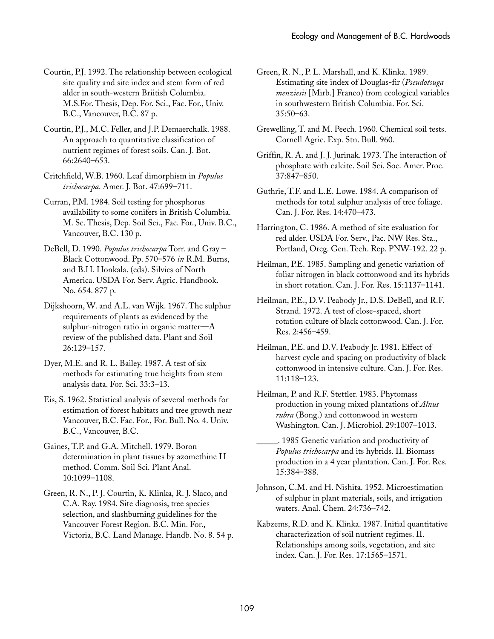Courtin, P.J. 1992. The relationship between ecological site quality and site index and stem form of red alder in south-western Briitish Columbia. M.S.For. Thesis, Dep. For. Sci., Fac. For., Univ. B.C., Vancouver, B.C. 87 p.

Courtin, P.J., M.C. Feller, and J.P. Demaerchalk. 1988. An approach to quantitative classification of nutrient regimes of forest soils. Can. J. Bot. 66:2640–653.

Critchfield, W.B. 1960. Leaf dimorphism in *Populus trichocarpa*. Amer. J. Bot. 47:699–711.

Curran, P.M. 1984. Soil testing for phosphorus availability to some conifers in British Columbia. M. Sc. Thesis, Dep. Soil Sci., Fac. For., Univ. B.C., Vancouver, B.C. 130 p.

DeBell, D. 1990. *Populus trichocarpa* Torr. and Gray – Black Cottonwood. Pp. 570–576 *in* R.M. Burns, and B.H. Honkala. (eds). Silvics of North America. USDA For. Serv. Agric. Handbook. No. 654. 877 p.

Dijkshoorn, W. and A.L. van Wijk. 1967. The sulphur requirements of plants as evidenced by the sulphur-nitrogen ratio in organic matter—A review of the published data. Plant and Soil 26:129–157.

Dyer, M.E. and R. L. Bailey. 1987. A test of six methods for estimating true heights from stem analysis data. For. Sci. 33:3–13.

Eis, S. 1962. Statistical analysis of several methods for estimation of forest habitats and tree growth near Vancouver, B.C. Fac. For., For. Bull. No. 4. Univ. B.C., Vancouver, B.C.

Gaines, T.P. and G.A. Mitchell. 1979. Boron determination in plant tissues by azomethine H method. Comm. Soil Sci. Plant Anal. 10:1099–1108.

Green, R. N., P. J. Courtin, K. Klinka, R. J. Slaco, and C.A. Ray. 1984. Site diagnosis, tree species selection, and slashburning guidelines for the Vancouver Forest Region. B.C. Min. For., Victoria, B.C. Land Manage. Handb. No. 8. 54 p. Green, R. N., P. L. Marshall, and K. Klinka. 1989. Estimating site index of Douglas-fir (*Pseudotsuga menziesii* [Mirb.] Franco) from ecological variables in southwestern British Columbia. For. Sci. 35:50–63.

Grewelling, T. and M. Peech. 1960. Chemical soil tests. Cornell Agric. Exp. Stn. Bull. 960.

Griffin, R. A. and J. J. Jurinak. 1973. The interaction of phosphate with calcite. Soil Sci. Soc. Amer. Proc. 37:847–850.

Guthrie, T.F. and L.E. Lowe. 1984. A comparison of methods for total sulphur analysis of tree foliage. Can. J. For. Res. 14:470–473.

Harrington, C. 1986. A method of site evaluation for red alder. USDA For. Serv., Pac. NW Res. Sta., Portland, Oreg. Gen. Tech. Rep. PNW-192. 22 p.

Heilman, P.E. 1985. Sampling and genetic variation of foliar nitrogen in black cottonwood and its hybrids in short rotation. Can. J. For. Res. 15:1137–1141.

Heilman, P.E., D.V. Peabody Jr., D.S. DeBell, and R.F. Strand. 1972. A test of close-spaced, short rotation culture of black cottonwood. Can. J. For. Res. 2:456–459.

Heilman, P.E. and D.V. Peabody Jr. 1981. Effect of harvest cycle and spacing on productivity of black cottonwood in intensive culture. Can. J. For. Res. 11:118–123.

Heilman, P. and R.F. Stettler. 1983. Phytomass production in young mixed plantations of *Alnus rubra* (Bong.) and cottonwood in western Washington. Can. J. Microbiol. 29:1007–1013.

\_\_\_\_\_. 1985 Genetic variation and productivity of *Populus trichocarpa* and its hybrids. II. Biomass production in a 4 year plantation. Can. J. For. Res. 15:384–388.

Johnson, C.M. and H. Nishita. 1952. Microestimation of sulphur in plant materials, soils, and irrigation waters. Anal. Chem. 24:736–742.

Kabzems, R.D. and K. Klinka. 1987. Initial quantitative characterization of soil nutrient regimes. II. Relationships among soils, vegetation, and site index. Can. J. For. Res. 17:1565–1571.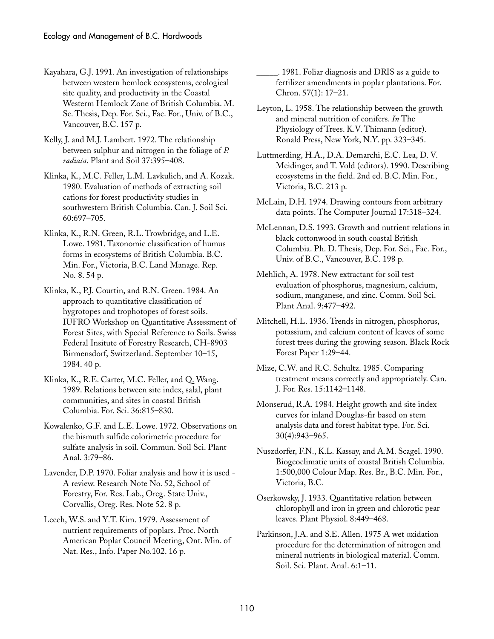- Kayahara, G.J. 1991. An investigation of relationships between western hemlock ecosystems, ecological site quality, and productivity in the Coastal Westerm Hemlock Zone of British Columbia. M. Sc. Thesis, Dep. For. Sci., Fac. For., Univ. of B.C., Vancouver, B.C. 157 p.
- Kelly, J. and M.J. Lambert. 1972. The relationship between sulphur and nitrogen in the foliage of *P. radiata*. Plant and Soil 37:395–408.
- Klinka, K., M.C. Feller, L.M. Lavkulich, and A. Kozak. 1980. Evaluation of methods of extracting soil cations for forest productivity studies in southwestern British Columbia. Can. J. Soil Sci. 60:697–705.
- Klinka, K., R.N. Green, R.L. Trowbridge, and L.E. Lowe. 1981. Taxonomic classification of humus forms in ecosystems of British Columbia. B.C. Min. For., Victoria, B.C. Land Manage. Rep. No. 8. 54 p.

Klinka, K., P.J. Courtin, and R.N. Green. 1984. An approach to quantitative classification of hygrotopes and trophotopes of forest soils. IUFRO Workshop on Quantitative Assessment of Forest Sites, with Special Reference to Soils. Swiss Federal Insitute of Forestry Research, CH-8903 Birmensdorf, Switzerland. September 10–15, 1984. 40 p.

- Klinka, K., R.E. Carter, M.C. Feller, and Q. Wang. 1989. Relations between site index, salal, plant communities, and sites in coastal British Columbia. For. Sci. 36:815–830.
- Kowalenko, G.F. and L.E. Lowe. 1972. Observations on the bismuth sulfide colorimetric procedure for sulfate analysis in soil. Commun. Soil Sci. Plant Anal. 3:79–86.
- Lavender, D.P. 1970. Foliar analysis and how it is used A review. Research Note No. 52, School of Forestry, For. Res. Lab., Oreg. State Univ., Corvallis, Oreg. Res. Note 52. 8 p.
- Leech, W.S. and Y.T. Kim. 1979. Assessment of nutrient requirements of poplars. Proc. North American Poplar Council Meeting, Ont. Min. of Nat. Res., Info. Paper No.102. 16 p.

\_\_\_\_\_. 1981. Foliar diagnosis and DRIS as a guide to fertilizer amendments in poplar plantations. For. Chron. 57(1): 17–21.

- Leyton, L. 1958. The relationship between the growth and mineral nutrition of conifers. *In* The Physiology of Trees. K.V. Thimann (editor). Ronald Press, New York, N.Y. pp. 323–345.
- Luttmerding, H.A., D.A. Demarchi, E.C. Lea, D. V. Meidinger, and T. Vold (editors). 1990. Describing ecosystems in the field. 2nd ed. B.C. Min. For., Victoria, B.C. 213 p.
- McLain, D.H. 1974. Drawing contours from arbitrary data points. The Computer Journal 17:318–324.
- McLennan, D.S. 1993. Growth and nutrient relations in black cottonwood in south coastal British Columbia. Ph. D. Thesis, Dep. For. Sci., Fac. For., Univ. of B.C., Vancouver, B.C. 198 p.
- Mehlich, A. 1978. New extractant for soil test evaluation of phosphorus, magnesium, calcium, sodium, manganese, and zinc. Comm. Soil Sci. Plant Anal. 9:477–492.
- Mitchell, H.L. 1936. Trends in nitrogen, phosphorus, potassium, and calcium content of leaves of some forest trees during the growing season. Black Rock Forest Paper 1:29–44.
- Mize, C.W. and R.C. Schultz. 1985. Comparing treatment means correctly and appropriately. Can. J. For. Res. 15:1142–1148.
- Monserud, R.A. 1984. Height growth and site index curves for inland Douglas-fir based on stem analysis data and forest habitat type. For. Sci. 30(4):943–965.
- Nuszdorfer, F.N., K.L. Kassay, and A.M. Scagel. 1990. Biogeoclimatic units of coastal British Columbia. 1:500,000 Colour Map. Res. Br., B.C. Min. For., Victoria, B.C.
- Oserkowsky, J. 1933. Quantitative relation between chlorophyll and iron in green and chlorotic pear leaves. Plant Physiol. 8:449–468.
- Parkinson, J.A. and S.E. Allen. 1975 A wet oxidation procedure for the determination of nitrogen and mineral nutrients in biological material. Comm. Soil. Sci. Plant. Anal. 6:1–11.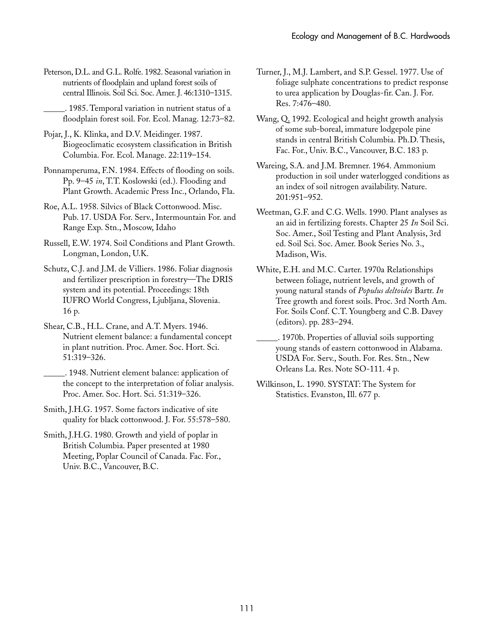Peterson, D.L. and G.L. Rolfe. 1982. Seasonal variation in nutrients of floodplain and upland forest soils of central Illinois. Soil Sci. Soc. Amer. J. 46:1310–1315.

\_\_\_\_\_. 1985. Temporal variation in nutrient status of a floodplain forest soil. For. Ecol. Manag. 12:73–82.

- Pojar, J., K. Klinka, and D.V. Meidinger. 1987. Biogeoclimatic ecosystem classification in British Columbia. For. Ecol. Manage. 22:119–154.
- Ponnamperuma, F.N. 1984. Effects of flooding on soils. Pp. 9–45 *in*, T.T. Koslowski (ed.). Flooding and Plant Growth. Academic Press Inc., Orlando, Fla.
- Roe, A.L. 1958. Silvics of Black Cottonwood. Misc. Pub. 17. USDA For. Serv., Intermountain For. and Range Exp. Stn., Moscow, Idaho
- Russell, E.W. 1974. Soil Conditions and Plant Growth. Longman, London, U.K.
- Schutz, C.J. and J.M. de Villiers. 1986. Foliar diagnosis and fertilizer prescription in forestry—The DRIS system and its potential. Proceedings: 18th IUFRO World Congress, Ljubljana, Slovenia. 16␣ p.
- Shear, C.B., H.L. Crane, and A.T. Myers. 1946. Nutrient element balance: a fundamental concept in plant nutrition. Proc. Amer. Soc. Hort. Sci. 51:319–326.
- \_\_\_\_\_. 1948. Nutrient element balance: application of the concept to the interpretation of foliar analysis. Proc. Amer. Soc. Hort. Sci. 51:319–326.
- Smith, J.H.G. 1957. Some factors indicative of site quality for black cottonwood. J. For. 55:578–580.
- Smith, J.H.G. 1980. Growth and yield of poplar in British Columbia. Paper presented at 1980 Meeting, Poplar Council of Canada. Fac. For., Univ. B.C., Vancouver, B.C.
- Turner, J., M.J. Lambert, and S.P. Gessel. 1977. Use of foliage sulphate concentrations to predict response to urea application by Douglas-fir. Can. J. For. Res. 7:476–480.
- Wang, Q. 1992. Ecological and height growth analysis of some sub-boreal, immature lodgepole pine stands in central British Columbia. Ph.D. Thesis, Fac. For., Univ. B.C., Vancouver, B.C. 183 p.
- Wareing, S.A. and J.M. Bremner. 1964. Ammonium production in soil under waterlogged conditions as an index of soil nitrogen availability. Nature. 201:951–952.
- Weetman, G.F. and C.G. Wells. 1990. Plant analyses as an aid in fertilizing forests. Chapter 25 *In* Soil Sci. Soc. Amer., Soil Testing and Plant Analysis, 3rd ed. Soil Sci. Soc. Amer. Book Series No. 3., Madison, Wis.
- White, E.H. and M.C. Carter. 1970a Relationships between foliage, nutrient levels, and growth of young natural stands of *Populus deltoides* Bartr. *In* Tree growth and forest soils. Proc. 3rd North Am. For. Soils Conf. C.T. Youngberg and C.B. Davey (editors). pp. 283–294.
- \_\_\_\_\_. 1970b. Properties of alluvial soils supporting young stands of eastern cottonwood in Alabama. USDA For. Serv., South. For. Res. Stn., New Orleans La. Res. Note SO-111. 4 p.
- Wilkinson, L. 1990. SYSTAT: The System for Statistics. Evanston, Ill. 677 p.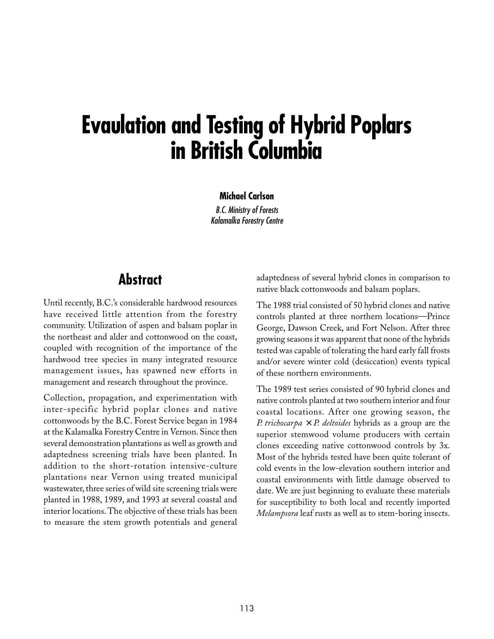# **Evaulation and Testing of Hybrid Poplars in British Columbia**

**Michael Carlson** B.C. Ministry of Forests Kalamalka Forestry Centre

# **Abstract**

Until recently, B.C.'s considerable hardwood resources have received little attention from the forestry community. Utilization of aspen and balsam poplar in the northeast and alder and cottonwood on the coast, coupled with recognition of the importance of the hardwood tree species in many integrated resource management issues, has spawned new efforts in management and research throughout the province.

Collection, propagation, and experimentation with inter-specific hybrid poplar clones and native cottonwoods by the B.C. Forest Service began in 1984 at the Kalamalka Forestry Centre in Vernon. Since then several demonstration plantations as well as growth and adaptedness screening trials have been planted. In addition to the short-rotation intensive-culture plantations near Vernon using treated municipal wastewater, three series of wild site screening trials were planted in 1988, 1989, and 1993 at several coastal and interior locations. The objective of these trials has been to measure the stem growth potentials and general adaptedness of several hybrid clones in comparison to native black cottonwoods and balsam poplars.

The 1988 trial consisted of 50 hybrid clones and native controls planted at three northern locations—Prince George, Dawson Creek, and Fort Nelson. After three growing seasons it was apparent that none of the hybrids tested was capable of tolerating the hard early fall frosts and/or severe winter cold (desiccation) events typical of these northern environments.

The 1989 test series consisted of 90 hybrid clones and native controls planted at two southern interior and four coastal locations. After one growing season, the *P. trichocarpa*  $\times$  *P. deltoides* hybrids as a group are the superior stemwood volume producers with certain clones exceeding native cottonwood controls by 3x. Most of the hybrids tested have been quite tolerant of cold events in the low-elevation southern interior and coastal environments with little damage observed to date. We are just beginning to evaluate these materials for susceptibility to both local and recently imported *Melampsora* leaf rusts as well as to stem-boring insects.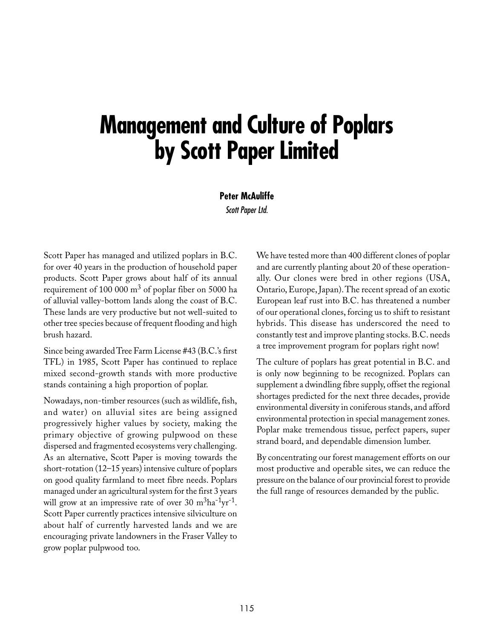# **Management and Culture of Poplars by Scott Paper Limited**

**Peter McAuliffe**

Scott Paper Ltd.

Scott Paper has managed and utilized poplars in B.C. for over 40 years in the production of household paper products. Scott Paper grows about half of its annual requirement of 100 000  $\text{m}^3$  of poplar fiber on 5000 ha of alluvial valley-bottom lands along the coast of B.C. These lands are very productive but not well-suited to other tree species because of frequent flooding and high brush hazard.

Since being awarded Tree Farm License #43 (B.C.'s first TFL) in 1985, Scott Paper has continued to replace mixed second-growth stands with more productive stands containing a high proportion of poplar.

Nowadays, non-timber resources (such as wildlife, fish, and water) on alluvial sites are being assigned progressively higher values by society, making the primary objective of growing pulpwood on these dispersed and fragmented ecosystems very challenging. As an alternative, Scott Paper is moving towards the short-rotation (12–15 years) intensive culture of poplars on good quality farmland to meet fibre needs. Poplars managed under an agricultural system for the first 3 years will grow at an impressive rate of over 30  $m<sup>3</sup>ha<sup>-1</sup>yr<sup>-1</sup>$ . Scott Paper currently practices intensive silviculture on about half of currently harvested lands and we are encouraging private landowners in the Fraser Valley to grow poplar pulpwood too.

We have tested more than 400 different clones of poplar and are currently planting about 20 of these operationally. Our clones were bred in other regions (USA, Ontario, Europe, Japan). The recent spread of an exotic European leaf rust into B.C. has threatened a number of our operational clones, forcing us to shift to resistant hybrids. This disease has underscored the need to constantly test and improve planting stocks. B.C. needs a tree improvement program for poplars right now!

The culture of poplars has great potential in B.C. and is only now beginning to be recognized. Poplars can supplement a dwindling fibre supply, offset the regional shortages predicted for the next three decades, provide environmental diversity in coniferous stands, and afford environmental protection in special management zones. Poplar make tremendous tissue, perfect papers, super strand board, and dependable dimension lumber.

By concentrating our forest management efforts on our most productive and operable sites, we can reduce the pressure on the balance of our provincial forest to provide the full range of resources demanded by the public.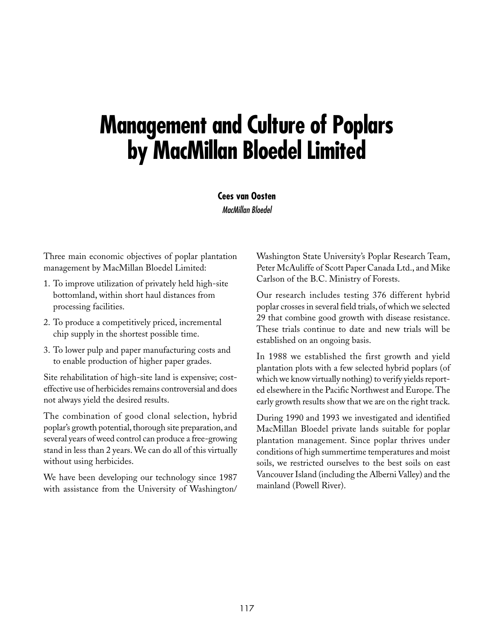# **Management and Culture of Poplars by MacMillan Bloedel Limited**

**Cees van Oosten** MacMillan Bloedel

Three main economic objectives of poplar plantation management by MacMillan Bloedel Limited:

- 1. To improve utilization of privately held high-site bottomland, within short haul distances from processing facilities.
- 2. To produce a competitively priced, incremental chip supply in the shortest possible time.
- 3. To lower pulp and paper manufacturing costs and to enable production of higher paper grades.

Site rehabilitation of high-site land is expensive; costeffective use of herbicides remains controversial and does not always yield the desired results.

The combination of good clonal selection, hybrid poplar's growth potential, thorough site preparation, and several years of weed control can produce a free-growing stand in less than 2 years. We can do all of this virtually without using herbicides.

We have been developing our technology since 1987 with assistance from the University of Washington/ Washington State University's Poplar Research Team, Peter McAuliffe of Scott Paper Canada Ltd., and Mike Carlson of the B.C. Ministry of Forests.

Our research includes testing 376 different hybrid poplar crosses in several field trials, of which we selected 29 that combine good growth with disease resistance. These trials continue to date and new trials will be established on an ongoing basis.

In 1988 we established the first growth and yield plantation plots with a few selected hybrid poplars (of which we know virtually nothing) to verify yields reported elsewhere in the Pacific Northwest and Europe. The early growth results show that we are on the right track.

During 1990 and 1993 we investigated and identified MacMillan Bloedel private lands suitable for poplar plantation management. Since poplar thrives under conditions of high summertime temperatures and moist soils, we restricted ourselves to the best soils on east Vancouver Island (including the Alberni Valley) and the mainland (Powell River).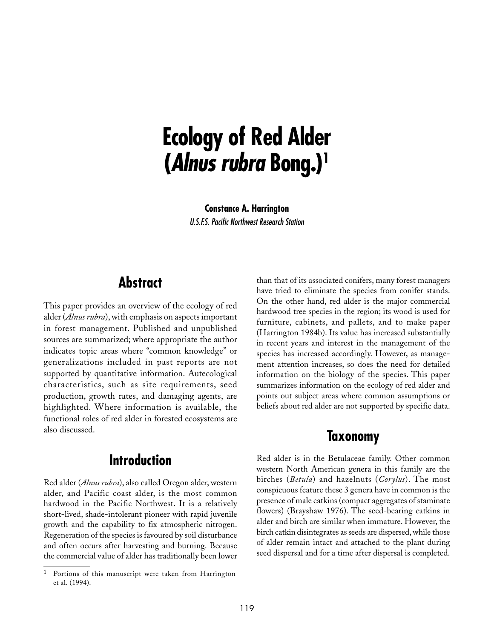# **Ecology of Red Alder (Alnus rubra Bong.)1**

**Constance A. Harrington** U.S.F.S. Pacific Northwest Research Station

# **Abstract**

This paper provides an overview of the ecology of red alder (*Alnus rubra*), with emphasis on aspects important in forest management. Published and unpublished sources are summarized; where appropriate the author indicates topic areas where "common knowledge" or generalizations included in past reports are not supported by quantitative information. Autecological characteristics, such as site requirements, seed production, growth rates, and damaging agents, are highlighted. Where information is available, the functional roles of red alder in forested ecosystems are also discussed.

# **Introduction**

Red alder (*Alnus rubra*), also called Oregon alder, western alder, and Pacific coast alder, is the most common hardwood in the Pacific Northwest. It is a relatively short-lived, shade-intolerant pioneer with rapid juvenile growth and the capability to fix atmospheric nitrogen. Regeneration of the species is favoured by soil disturbance and often occurs after harvesting and burning. Because the commercial value of alder has traditionally been lower than that of its associated conifers, many forest managers have tried to eliminate the species from conifer stands. On the other hand, red alder is the major commercial hardwood tree species in the region; its wood is used for furniture, cabinets, and pallets, and to make paper (Harrington 1984b). Its value has increased substantially in recent years and interest in the management of the species has increased accordingly. However, as management attention increases, so does the need for detailed information on the biology of the species. This paper summarizes information on the ecology of red alder and points out subject areas where common assumptions or beliefs about red alder are not supported by specific data.

## **Taxonomy**

Red alder is in the Betulaceae family. Other common western North American genera in this family are the birches (*Betula*) and hazelnuts (*Corylus*). The most conspicuous feature these 3 genera have in common is the presence of male catkins (compact aggregates of staminate flowers) (Brayshaw 1976). The seed-bearing catkins in alder and birch are similar when immature. However, the birch catkin disintegrates as seeds are dispersed, while those of alder remain intact and attached to the plant during seed dispersal and for a time after dispersal is completed.

<sup>1</sup> Portions of this manuscript were taken from Harrington et al. (1994).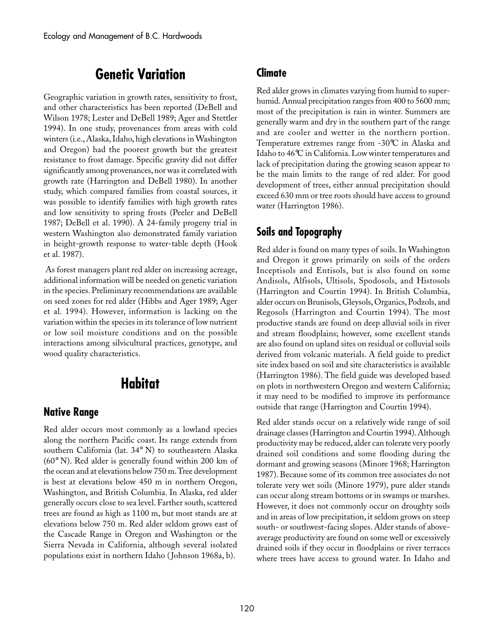# **Genetic Variation**

Geographic variation in growth rates, sensitivity to frost, and other characteristics has been reported (DeBell and Wilson 1978; Lester and DeBell 1989; Ager and Stettler 1994). In one study, provenances from areas with cold winters (i.e., Alaska, Idaho, high elevations in Washington and Oregon) had the poorest growth but the greatest resistance to frost damage. Specific gravity did not differ significantly among provenances, nor was it correlated with growth rate (Harrington and DeBell 1980). In another study, which compared families from coastal sources, it was possible to identify families with high growth rates and low sensitivity to spring frosts (Peeler and DeBell 1987; DeBell et al. 1990). A 24-family progeny trial in western Washington also demonstrated family variation in height-growth response to water-table depth (Hook et al. 1987).

 As forest managers plant red alder on increasing acreage, additional information will be needed on genetic variation in the species. Preliminary recommendations are available on seed zones for red alder (Hibbs and Ager 1989; Ager et al. 1994). However, information is lacking on the variation within the species in its tolerance of low nutrient or low soil moisture conditions and on the possible interactions among silvicultural practices, genotype, and wood quality characteristics.

# **Habitat**

#### **Native Range**

Red alder occurs most commonly as a lowland species along the northern Pacific coast. Its range extends from southern California (lat. 34° N) to southeastern Alaska (60° N). Red alder is generally found within 200 km of the ocean and at elevations below 750 m. Tree development is best at elevations below 450 m in northern Oregon, Washington, and British Columbia. In Alaska, red alder generally occurs close to sea level. Farther south, scattered trees are found as high as 1100 m, but most stands are at elevations below 750 m. Red alder seldom grows east of the Cascade Range in Oregon and Washington or the Sierra Nevada in California, although several isolated populations exist in northern Idaho ( Johnson 1968a, b).

#### **Climate**

Red alder grows in climates varying from humid to superhumid. Annual precipitation ranges from 400 to 5600 mm; most of the precipitation is rain in winter. Summers are generally warm and dry in the southern part of the range and are cooler and wetter in the northern portion. Temperature extremes range from -30°C in Alaska and Idaho to 46°C in California. Low winter temperatures and lack of precipitation during the growing season appear to be the main limits to the range of red alder. For good development of trees, either annual precipitation should exceed 630 mm or tree roots should have access to ground water (Harrington 1986).

### **Soils and Topography**

Red alder is found on many types of soils. In Washington and Oregon it grows primarily on soils of the orders Inceptisols and Entisols, but is also found on some Andisols, Alfisols, Ultisols, Spodosols, and Histosols (Harrington and Courtin 1994). In British Columbia, alder occurs on Brunisols, Gleysols, Organics, Podzols, and Regosols (Harrington and Courtin 1994). The most productive stands are found on deep alluvial soils in river and stream floodplains; however, some excellent stands are also found on upland sites on residual or colluvial soils derived from volcanic materials. A field guide to predict site index based on soil and site characteristics is available (Harrington 1986). The field guide was developed based on plots in northwestern Oregon and western California; it may need to be modified to improve its performance outside that range (Harrington and Courtin 1994).

Red alder stands occur on a relatively wide range of soil drainage classes (Harrington and Courtin 1994). Although productivity may be reduced, alder can tolerate very poorly drained soil conditions and some flooding during the dormant and growing seasons (Minore 1968; Harrington 1987). Because some of its common tree associates do not tolerate very wet soils (Minore 1979), pure alder stands can occur along stream bottoms or in swamps or marshes. However, it does not commonly occur on droughty soils and in areas of low precipitation, it seldom grows on steep south- or southwest-facing slopes. Alder stands of aboveaverage productivity are found on some well or excessively drained soils if they occur in floodplains or river terraces where trees have access to ground water. In Idaho and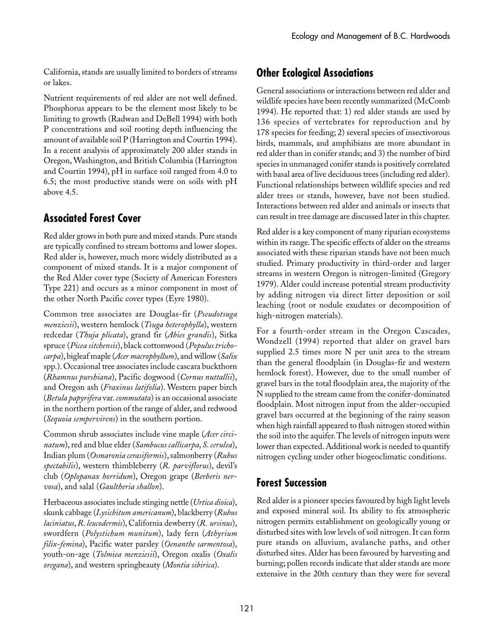California, stands are usually limited to borders of streams or lakes.

Nutrient requirements of red alder are not well defined. Phosphorus appears to be the element most likely to be limiting to growth (Radwan and DeBell 1994) with both P concentrations and soil rooting depth influencing the amount of available soil P (Harrington and Courtin 1994). In a recent analysis of approximately 200 alder stands in Oregon, Washington, and British Columbia (Harrington and Courtin 1994), pH in surface soil ranged from 4.0 to 6.5; the most productive stands were on soils with pH above 4.5.

## **Associated Forest Cover**

Red alder grows in both pure and mixed stands. Pure stands are typically confined to stream bottoms and lower slopes. Red alder is, however, much more widely distributed as a component of mixed stands. It is a major component of the Red Alder cover type (Society of American Foresters Type 221) and occurs as a minor component in most of the other North Pacific cover types (Eyre 1980).

Common tree associates are Douglas-fir (*Pseudotsuga menziesii*), western hemlock (*Tsuga heterophylla*), western redcedar (*Thuja plicata*), grand fir (*Abies grandis*), Sitka spruce (*Picea sitchensis*), black cottonwood (*Populus trichocarpa*), bigleaf maple (*Acer macrophyllum*), and willow (*Salix* spp.). Occasional tree associates include cascara buckthorn (*Rhamnus purshiana*), Pacific dogwood (*Cornus nuttallii*), and Oregon ash (*Fraxinus latifolia*). Western paper birch (*Betula papyrifera* var. *commutata*) is an occasional associate in the northern portion of the range of alder, and redwood (*Sequoia sempervirens*) in the southern portion.

Common shrub associates include vine maple (*Acer circinatum*), red and blue elder (*Sambucus callicarpa*, *S. cerulea*), Indian plum (*Osmaronia cerasiformis*), salmonberry (*Rubus spectabilis*), western thimbleberry (*R. parviflorus*), devil's club (*Oplopanax horridum*), Oregon grape (*Berberis nervosa*), and salal (*Gaultheria shallon*).

Herbaceous associates include stinging nettle (*Urtica dioica*), skunk cabbage (*Lysichitum americanum*), blackberry (*Rubus laciniatus*, *R. leucodermis*), California dewberry (*R.␣ ursinus*), swordfern (*Polystichum munitum*), lady fern (*Athyrium filix-femina*), Pacific water parsley (*Oenanthe sarmentosa*), youth-on-age (*Tolmiea menziesii*), Oregon oxalis (*Oxalis oregana*), and western springbeauty (*Montia sibirica*).

## **Other Ecological Associations**

General associations or interactions between red alder and wildlife species have been recently summarized (McComb 1994). He reported that: 1) red alder stands are used by 136 species of vertebrates for reproduction and by 178␣ species for feeding; 2) several species of insectivorous birds, mammals, and amphibians are more abundant in red alder than in conifer stands; and 3) the number of bird species in unmanaged conifer stands is positively correlated with basal area of live deciduous trees (including red alder). Functional relationships between wildlife species and red alder trees or stands, however, have not been studied. Interactions between red alder and animals or insects that can result in tree damage are discussed later in this chapter.

Red alder is a key component of many riparian ecosystems within its range. The specific effects of alder on the streams associated with these riparian stands have not been much studied. Primary productivity in third-order and larger streams in western Oregon is nitrogen-limited (Gregory 1979). Alder could increase potential stream productivity by adding nitrogen via direct litter deposition or soil leaching (root or nodule exudates or decomposition of high-nitrogen materials).

For a fourth-order stream in the Oregon Cascades, Wondzell (1994) reported that alder on gravel bars supplied 2.5 times more N per unit area to the stream than the general floodplain (in Douglas-fir and western hemlock forest). However, due to the small number of gravel bars in the total floodplain area, the majority of the N supplied to the stream came from the conifer-dominated floodplain. Most nitrogen input from the alder-occupied gravel bars occurred at the beginning of the rainy season when high rainfall appeared to flush nitrogen stored within the soil into the aquifer. The levels of nitrogen inputs were lower than expected. Additional work is needed to quantify nitrogen cycling under other biogeoclimatic conditions.

## **Forest Succession**

Red alder is a pioneer species favoured by high light levels and exposed mineral soil. Its ability to fix atmospheric nitrogen permits establishment on geologically young or disturbed sites with low levels of soil nitrogen. It can form pure stands on alluvium, avalanche paths, and other disturbed sites. Alder has been favoured by harvesting and burning; pollen records indicate that alder stands are more extensive in the 20th century than they were for several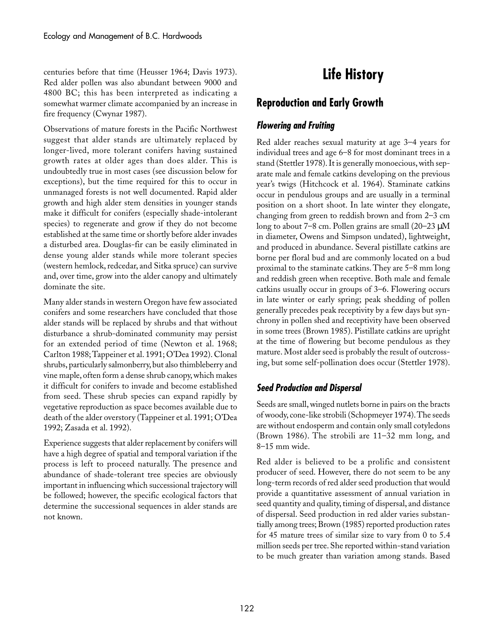centuries before that time (Heusser 1964; Davis 1973). Red alder pollen was also abundant between 9000 and 4800 BC; this has been interpreted as indicating a somewhat warmer climate accompanied by an increase in fire frequency (Cwynar 1987).

Observations of mature forests in the Pacific Northwest suggest that alder stands are ultimately replaced by longer-lived, more tolerant conifers having sustained growth rates at older ages than does alder. This is undoubtedly true in most cases (see discussion below for exceptions), but the time required for this to occur in unmanaged forests is not well documented. Rapid alder growth and high alder stem densities in younger stands make it difficult for conifers (especially shade-intolerant species) to regenerate and grow if they do not become established at the same time or shortly before alder invades a disturbed area. Douglas-fir can be easily eliminated in dense young alder stands while more tolerant species (western hemlock, redcedar, and Sitka spruce) can survive and, over time, grow into the alder canopy and ultimately dominate the site.

Many alder stands in western Oregon have few associated conifers and some researchers have concluded that those alder stands will be replaced by shrubs and that without disturbance a shrub-dominated community may persist for an extended period of time (Newton et al. 1968; Carlton 1988; Tappeiner et al. 1991; O'Dea 1992). Clonal shrubs, particularly salmonberry, but also thimbleberry and vine maple, often form a dense shrub canopy, which makes it difficult for conifers to invade and become established from seed. These shrub species can expand rapidly by vegetative reproduction as space becomes available due to death of the alder overstory (Tappeiner et al. 1991; O'Dea 1992; Zasada et al. 1992).

Experience suggests that alder replacement by conifers will have a high degree of spatial and temporal variation if the process is left to proceed naturally. The presence and abundance of shade-tolerant tree species are obviously important in influencing which successional trajectory will be followed; however, the specific ecological factors that determine the successional sequences in alder stands are not known.

# **Life History**

# **Reproduction and Early Growth**

### **Flowering and Fruiting**

Red alder reaches sexual maturity at age 3–4 years for individual trees and age 6–8 for most dominant trees in a stand (Stettler 1978). It is generally monoecious, with separate male and female catkins developing on the previous year's twigs (Hitchcock et al. 1964). Staminate catkins occur in pendulous groups and are usually in a terminal position on a short shoot. In late winter they elongate, changing from green to reddish brown and from 2–3 cm long to about 7–8 cm. Pollen grains are small (20–23 µM in diameter, Owens and Simpson undated), lightweight, and produced in abundance. Several pistillate catkins are borne per floral bud and are commonly located on a bud proximal to the staminate catkins. They are 5–8 mm long and reddish green when receptive. Both male and female catkins usually occur in groups of 3–6. Flowering occurs in late winter or early spring; peak shedding of pollen generally precedes peak receptivity by a few days but synchrony in pollen shed and receptivity have been observed in some trees (Brown 1985). Pistillate catkins are upright at the time of flowering but become pendulous as they mature. Most alder seed is probably the result of outcrossing, but some self-pollination does occur (Stettler 1978).

#### **Seed Production and Dispersal**

Seeds are small, winged nutlets borne in pairs on the bracts of woody, cone-like strobili (Schopmeyer 1974). The seeds are without endosperm and contain only small cotyledons (Brown 1986). The strobili are 11–32 mm long, and 8–15␣ mm wide.

Red alder is believed to be a prolific and consistent producer of seed. However, there do not seem to be any long-term records of red alder seed production that would provide a quantitative assessment of annual variation in seed quantity and quality, timing of dispersal, and distance of dispersal. Seed production in red alder varies substantially among trees; Brown (1985) reported production rates for 45 mature trees of similar size to vary from 0 to 5.4 million seeds per tree. She reported within-stand variation to be much greater than variation among stands. Based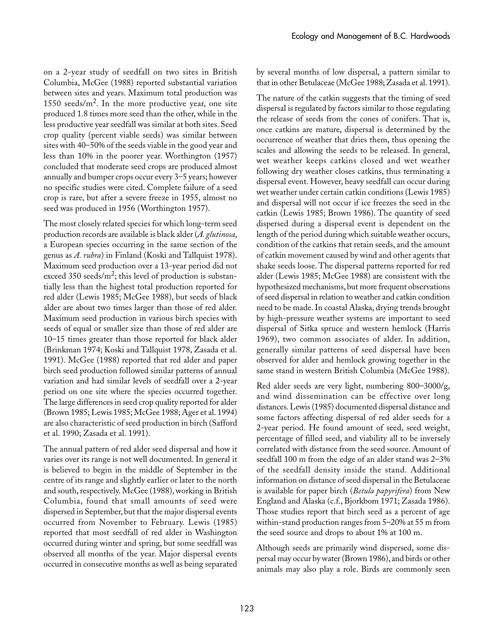on a 2-year study of seedfall on two sites in British Columbia, McGee (1988) reported substantial variation between sites and years. Maximum total production was 1550 seeds/ $m<sup>2</sup>$ . In the more productive year, one site produced 1.8 times more seed than the other, while in the less productive year seedfall was similar at both sites. Seed crop quality (percent viable seeds) was similar between sites with 40–50% of the seeds viable in the good year and less than 10% in the poorer year. Worthington (1957) concluded that moderate seed crops are produced almost annually and bumper crops occur every 3–5 years; however no specific studies were cited. Complete failure of a seed crop is rare, but after a severe freeze in 1955, almost no seed was produced in 1956 (Worthington 1957).

The most closely related species for which long-term seed production records are available is black alder (*A. glutinosa*, a European species occurring in the same section of the genus as *A. rubra*) in Finland (Koski and Tallquist 1978). Maximum seed production over a 13-year period did not exceed 350 seeds/ $m^2$ ; this level of production is substantially less than the highest total production reported for red alder (Lewis 1985; McGee 1988), but seeds of black alder are about two times larger than those of red alder. Maximum seed production in various birch species with seeds of equal or smaller size than those of red alder are 10–15 times greater than those reported for black alder (Brinkman 1974; Koski and Tallquist 1978, Zasada et al. 1991). McGee (1988) reported that red alder and paper birch seed production followed similar patterns of annual variation and had similar levels of seedfall over a 2-year period on one site where the species occurred together. The large differences in seed crop quality reported for alder (Brown 1985; Lewis 1985; McGee 1988; Ager et al. 1994) are also characteristic of seed production in birch (Safford et al. 1990; Zasada et al. 1991).

The annual pattern of red alder seed dispersal and how it varies over its range is not well documented. In general it is believed to begin in the middle of September in the centre of its range and slightly earlier or later to the north and south, respectively. McGee (1988), working in British Columbia, found that small amounts of seed were dispersed in September, but that the major dispersal events occurred from November to February. Lewis (1985) reported that most seedfall of red alder in Washington occurred during winter and spring, but some seedfall was observed all months of the year. Major dispersal events occurred in consecutive months as well as being separated

by several months of low dispersal, a pattern similar to that in other Betulaceae (McGee 1988; Zasada et al. 1991).

The nature of the catkin suggests that the timing of seed dispersal is regulated by factors similar to those regulating the release of seeds from the cones of conifers. That is, once catkins are mature, dispersal is determined by the occurrence of weather that dries them, thus opening the scales and allowing the seeds to be released. In general, wet weather keeps catkins closed and wet weather following dry weather closes catkins, thus terminating a dispersal event. However, heavy seedfall can occur during wet weather under certain catkin conditions (Lewis 1985) and dispersal will not occur if ice freezes the seed in the catkin (Lewis 1985; Brown 1986). The quantity of seed dispersed during a dispersal event is dependent on the length of the period during which suitable weather occurs, condition of the catkins that retain seeds, and the amount of catkin movement caused by wind and other agents that shake seeds loose. The dispersal patterns reported for red alder (Lewis 1985; McGee 1988) are consistent with the hypothesized mechanisms, but more frequent observations of seed dispersal in relation to weather and catkin condition need to be made. In coastal Alaska, drying trends brought by high-pressure weather systems are important to seed dispersal of Sitka spruce and western hemlock (Harris 1969), two common associates of alder. In addition, generally similar patterns of seed dispersal have been observed for alder and hemlock growing together in the same stand in western British Columbia (McGee 1988).

Red alder seeds are very light, numbering 800–3000/g, and wind dissemination can be effective over long distances. Lewis (1985) documented dispersal distance and some factors affecting dispersal of red alder seeds for a 2-year period. He found amount of seed, seed weight, percentage of filled seed, and viability all to be inversely correlated with distance from the seed source. Amount of seedfall 100 m from the edge of an alder stand was 2–3% of the seedfall density inside the stand. Additional information on distance of seed dispersal in the Betulaceae is available for paper birch (*Betula papyrifera*) from New England and Alaska (c.f., Bjorkbom 1971; Zasada 1986). Those studies report that birch seed as a percent of age within-stand production ranges from 5–20% at 55 m from the seed source and drops to about 1% at 100 m.

Although seeds are primarily wind dispersed, some dispersal may occur by water (Brown 1986), and birds or other animals may also play a role. Birds are commonly seen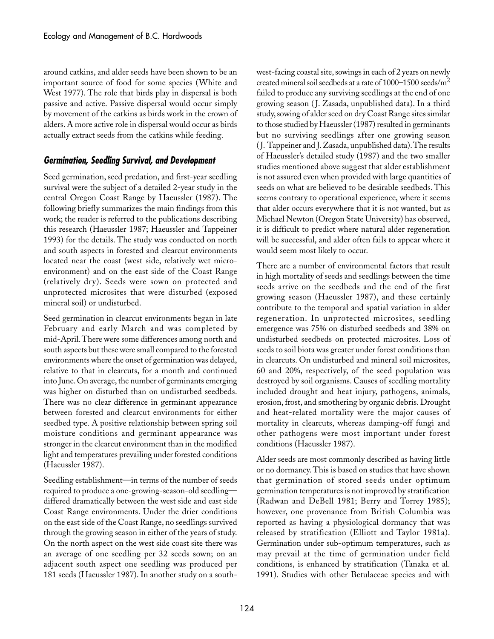around catkins, and alder seeds have been shown to be an important source of food for some species (White and West 1977). The role that birds play in dispersal is both passive and active. Passive dispersal would occur simply by movement of the catkins as birds work in the crown of alders. A more active role in dispersal would occur as birds actually extract seeds from the catkins while feeding.

#### **Germination, Seedling Survival, and Development**

Seed germination, seed predation, and first-year seedling survival were the subject of a detailed 2-year study in the central Oregon Coast Range by Haeussler (1987). The following briefly summarizes the main findings from this work; the reader is referred to the publications describing this research (Haeussler 1987; Haeussler and Tappeiner 1993) for the details. The study was conducted on north and south aspects in forested and clearcut environments located near the coast (west side, relatively wet microenvironment) and on the east side of the Coast Range (relatively dry). Seeds were sown on protected and unprotected microsites that were disturbed (exposed mineral soil) or undisturbed.

Seed germination in clearcut environments began in late February and early March and was completed by mid-April. There were some differences among north and south aspects but these were small compared to the forested environments where the onset of germination was delayed, relative to that in clearcuts, for a month and continued into June. On average, the number of germinants emerging was higher on disturbed than on undisturbed seedbeds. There was no clear difference in germinant appearance between forested and clearcut environments for either seedbed type. A positive relationship between spring soil moisture conditions and germinant appearance was stronger in the clearcut environment than in the modified light and temperatures prevailing under forested conditions (Haeussler 1987).

Seedling establishment—in terms of the number of seeds required to produce a one-growing-season-old seedling differed dramatically between the west side and east side Coast Range environments. Under the drier conditions on the east side of the Coast Range, no seedlings survived through the growing season in either of the years of study. On the north aspect on the west side coast site there was an average of one seedling per 32 seeds sown; on an adjacent south aspect one seedling was produced per 181␣ seeds (Haeussler 1987). In another study on a southwest-facing coastal site, sowings in each of 2 years on newly created mineral soil seedbeds at a rate of  $1000-1500$  seeds/m<sup>2</sup> failed to produce any surviving seedlings at the end of one growing season ( J. Zasada, unpublished data). In a third study, sowing of alder seed on dry Coast Range sites similar to those studied by Haeussler (1987) resulted in germinants but no surviving seedlings after one growing season (J. Tappeiner and J. Zasada, unpublished data). The results of Haeussler's detailed study (1987) and the two smaller studies mentioned above suggest that alder establishment is not assured even when provided with large quantities of seeds on what are believed to be desirable seedbeds. This seems contrary to operational experience, where it seems that alder occurs everywhere that it is not wanted, but as Michael Newton (Oregon State University) has observed, it is difficult to predict where natural alder regeneration will be successful, and alder often fails to appear where it would seem most likely to occur.

There are a number of environmental factors that result in high mortality of seeds and seedlings between the time seeds arrive on the seedbeds and the end of the first growing season (Haeussler 1987), and these certainly contribute to the temporal and spatial variation in alder regeneration. In unprotected microsites, seedling emergence was 75% on disturbed seedbeds and 38% on undisturbed seedbeds on protected microsites. Loss of seeds to soil biota was greater under forest conditions than in clearcuts. On undisturbed and mineral soil microsites, 60 and 20%, respectively, of the seed population was destroyed by soil organisms. Causes of seedling mortality included drought and heat injury, pathogens, animals, erosion, frost, and smothering by organic debris. Drought and heat-related mortality were the major causes of mortality in clearcuts, whereas damping-off fungi and other pathogens were most important under forest conditions (Haeussler 1987).

Alder seeds are most commonly described as having little or no dormancy. This is based on studies that have shown that germination of stored seeds under optimum germination temperatures is not improved by stratification (Radwan and DeBell 1981; Berry and Torrey 1985); however, one provenance from British Columbia was reported as having a physiological dormancy that was released by stratification (Elliott and Taylor 1981a). Germination under sub-optimum temperatures, such as may prevail at the time of germination under field conditions, is enhanced by stratification (Tanaka et al. 1991). Studies with other Betulaceae species and with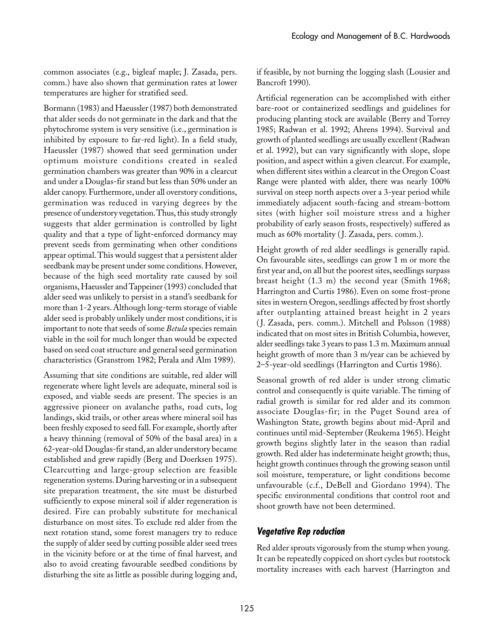common associates (e.g., bigleaf maple; J. Zasada, pers. comm.) have also shown that germination rates at lower temperatures are higher for stratified seed.

Bormann (1983) and Haeussler (1987) both demonstrated that alder seeds do not germinate in the dark and that the phytochrome system is very sensitive (i.e., germination is inhibited by exposure to far-red light). In a field study, Haeussler (1987) showed that seed germination under optimum moisture conditions created in sealed germination chambers was greater than 90% in a clearcut and under a Douglas-fir stand but less than 50% under an alder canopy. Furthermore, under all overstory conditions, germination was reduced in varying degrees by the presence of understory vegetation. Thus, this study strongly suggests that alder germination is controlled by light quality and that a type of light-enforced dormancy may prevent seeds from germinating when other conditions appear optimal. This would suggest that a persistent alder seedbank may be present under some conditions. However, because of the high seed mortality rate caused by soil organisms, Haeussler and Tappeiner (1993) concluded that alder seed was unlikely to persist in a stand's seedbank for more than 1-2 years. Although long-term storage of viable alder seed is probably unlikely under most conditions, it is important to note that seeds of some *Betula* species remain viable in the soil for much longer than would be expected based on seed coat structure and general seed germination characteristics (Granstrom 1982; Perala and Alm 1989).

Assuming that site conditions are suitable, red alder will regenerate where light levels are adequate, mineral soil is exposed, and viable seeds are present. The species is an aggressive pioneer on avalanche paths, road cuts, log landings, skid trails, or other areas where mineral soil has been freshly exposed to seed fall. For example, shortly after a heavy thinning (removal of 50% of the basal area) in a 62-year-old Douglas-fir stand, an alder understory became established and grew rapidly (Berg and Doerksen 1975). Clearcutting and large-group selection are feasible regeneration systems. During harvesting or in a subsequent site preparation treatment, the site must be disturbed sufficiently to expose mineral soil if alder regeneration is desired. Fire can probably substitute for mechanical disturbance on most sites. To exclude red alder from the next rotation stand, some forest managers try to reduce the supply of alder seed by cutting possible alder seed trees in the vicinity before or at the time of final harvest, and also to avoid creating favourable seedbed conditions by disturbing the site as little as possible during logging and,

if feasible, by not burning the logging slash (Lousier and Bancroft 1990).

Artificial regeneration can be accomplished with either bare-root or containerized seedlings and guidelines for producing planting stock are available (Berry and Torrey 1985; Radwan et al. 1992; Ahrens 1994). Survival and growth of planted seedlings are usually excellent (Radwan et al. 1992), but can vary significantly with slope, slope position, and aspect within a given clearcut. For example, when different sites within a clearcut in the Oregon Coast Range were planted with alder, there was nearly 100% survival on steep north aspects over a 3-year period while immediately adjacent south-facing and stream-bottom sites (with higher soil moisture stress and a higher probability of early season frosts, respectively) suffered as much as 60% mortality (J. Zasada, pers. comm.).

Height growth of red alder seedlings is generally rapid. On favourable sites, seedlings can grow 1 m or more the first year and, on all but the poorest sites, seedlings surpass breast height (1.3 m) the second year (Smith 1968; Harrington and Curtis 1986). Even on some frost-prone sites in western Oregon, seedlings affected by frost shortly after outplanting attained breast height in 2 years (J. Zasada, pers. comm.). Mitchell and Polsson (1988) indicated that on most sites in British Columbia, however, alder seedlings take 3 years to pass 1.3 m. Maximum annual height growth of more than 3 m/year can be achieved by 2–5-year-old seedlings (Harrington and Curtis 1986).

Seasonal growth of red alder is under strong climatic control and consequently is quite variable. The timing of radial growth is similar for red alder and its common associate Douglas-fir; in the Puget Sound area of Washington State, growth begins about mid-April and continues until mid-September (Reukema 1965). Height growth begins slightly later in the season than radial growth. Red alder has indeterminate height growth; thus, height growth continues through the growing season until soil moisture, temperature, or light conditions become unfavourable (c.f., DeBell and Giordano 1994). The specific environmental conditions that control root and shoot growth have not been determined.

#### **Vegetative Rep roduction**

Red alder sprouts vigorously from the stump when young. It can be repeatedly coppiced on short cycles but rootstock mortality increases with each harvest (Harrington and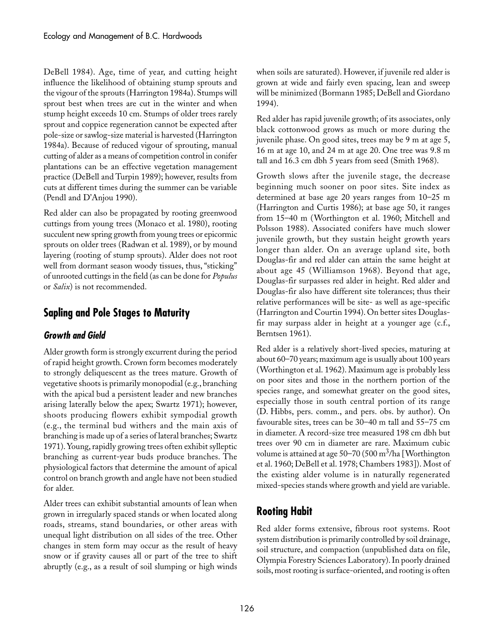DeBell 1984). Age, time of year, and cutting height influence the likelihood of obtaining stump sprouts and the vigour of the sprouts (Harrington 1984a). Stumps will sprout best when trees are cut in the winter and when stump height exceeds 10 cm. Stumps of older trees rarely sprout and coppice regeneration cannot be expected after pole-size or sawlog-size material is harvested (Harrington 1984a). Because of reduced vigour of sprouting, manual cutting of alder as a means of competition control in conifer plantations can be an effective vegetation management practice (DeBell and Turpin 1989); however, results from cuts at different times during the summer can be variable (Pendl and D'Anjou 1990).

Red alder can also be propagated by rooting greenwood cuttings from young trees (Monaco et al. 1980), rooting succulent new spring growth from young trees or epicormic sprouts on older trees (Radwan et al. 1989), or by mound layering (rooting of stump sprouts). Alder does not root well from dormant season woody tissues, thus, "sticking" of unrooted cuttings in the field (as can be done for *Populus* or *Salix*) is not recommended.

## **Sapling and Pole Stages to Maturity**

#### **Growth and Gield**

Alder growth form is strongly excurrent during the period of rapid height growth. Crown form becomes moderately to strongly deliquescent as the trees mature. Growth of vegetative shoots is primarily monopodial (e.g., branching with the apical bud a persistent leader and new branches arising laterally below the apex; Swartz 1971); however, shoots producing flowers exhibit sympodial growth (e.g.,␣ the terminal bud withers and the main axis of branching is made up of a series of lateral branches; Swartz 1971). Young, rapidly growing trees often exhibit sylleptic branching as current-year buds produce branches. The physiological factors that determine the amount of apical control on branch growth and angle have not been studied for alder.

Alder trees can exhibit substantial amounts of lean when grown in irregularly spaced stands or when located along roads, streams, stand boundaries, or other areas with unequal light distribution on all sides of the tree. Other changes in stem form may occur as the result of heavy snow or if gravity causes all or part of the tree to shift abruptly (e.g., as a result of soil slumping or high winds

when soils are saturated). However, if juvenile red alder is grown at wide and fairly even spacing, lean and sweep will be minimized (Bormann 1985; DeBell and Giordano 1994).

Red alder has rapid juvenile growth; of its associates, only black cottonwood grows as much or more during the juvenile phase. On good sites, trees may be 9 m at age 5, 16 m at age 10, and 24 m at age 20. One tree was 9.8 m tall and 16.3 cm dbh 5 years from seed (Smith 1968).

Growth slows after the juvenile stage, the decrease beginning much sooner on poor sites. Site index as determined at base age 20 years ranges from 10–25 m (Harrington and Curtis 1986); at base age 50, it ranges from 15–40 m (Worthington et al. 1960; Mitchell and Polsson 1988). Associated conifers have much slower juvenile growth, but they sustain height growth years longer than alder. On an average upland site, both Douglas-fir and red alder can attain the same height at about age 45 (Williamson 1968). Beyond that age, Douglas-fir surpasses red alder in height. Red alder and Douglas-fir also have different site tolerances; thus their relative performances will be site- as well as age-specific (Harrington and Courtin 1994). On better sites Douglasfir may surpass alder in height at a younger age (c.f., Berntsen 1961).

Red alder is a relatively short-lived species, maturing at about 60–70 years; maximum age is usually about 100 years (Worthington et al. 1962). Maximum age is probably less on poor sites and those in the northern portion of the species range, and somewhat greater on the good sites, especially those in south central portion of its range (D.␣ Hibbs, pers. comm., and pers. obs. by author). On favourable sites, trees can be 30–40 m tall and 55–75 cm in diameter. A record-size tree measured 198 cm dbh but trees over 90 cm in diameter are rare. Maximum cubic volume is attained at age  $50-70$  (500 m<sup>3</sup>/ha [Worthington et al. 1960; DeBell et al. 1978; Chambers 1983]). Most of the existing alder volume is in naturally regenerated mixed-species stands where growth and yield are variable.

# **Rooting Habit**

Red alder forms extensive, fibrous root systems. Root system distribution is primarily controlled by soil drainage, soil structure, and compaction (unpublished data on file, Olympia Forestry Sciences Laboratory). In poorly drained soils, most rooting is surface-oriented, and rooting is often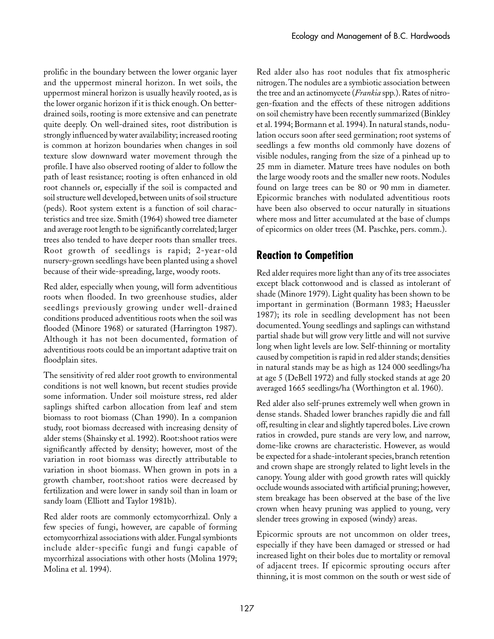prolific in the boundary between the lower organic layer and the uppermost mineral horizon. In wet soils, the uppermost mineral horizon is usually heavily rooted, as is the lower organic horizon if it is thick enough. On betterdrained soils, rooting is more extensive and can penetrate quite deeply. On well-drained sites, root distribution is strongly influenced by water availability; increased rooting is common at horizon boundaries when changes in soil texture slow downward water movement through the profile. I have also observed rooting of alder to follow the path of least resistance; rooting is often enhanced in old root channels or, especially if the soil is compacted and soil structure well developed, between units of soil structure (peds). Root system extent is a function of soil characteristics and tree size. Smith (1964) showed tree diameter and average root length to be significantly correlated; larger trees also tended to have deeper roots than smaller trees. Root growth of seedlings is rapid; 2-year-old nursery-grown seedlings have been planted using a shovel because of their wide-spreading, large, woody roots.

Red alder, especially when young, will form adventitious roots when flooded. In two greenhouse studies, alder seedlings previously growing under well-drained conditions produced adventitious roots when the soil was flooded (Minore 1968) or saturated (Harrington 1987). Although it has not been documented, formation of adventitious roots could be an important adaptive trait on floodplain sites.

The sensitivity of red alder root growth to environmental conditions is not well known, but recent studies provide some information. Under soil moisture stress, red alder saplings shifted carbon allocation from leaf and stem biomass to root biomass (Chan 1990). In a companion study, root biomass decreased with increasing density of alder stems (Shainsky et al. 1992). Root:shoot ratios were significantly affected by density; however, most of the variation in root biomass was directly attributable to variation in shoot biomass. When grown in pots in a growth chamber, root:shoot ratios were decreased by fertilization and were lower in sandy soil than in loam or sandy loam (Elliott and Taylor 1981b).

Red alder roots are commonly ectomycorrhizal. Only a few species of fungi, however, are capable of forming ectomycorrhizal associations with alder. Fungal symbionts include alder-specific fungi and fungi capable of mycorrhizal associations with other hosts (Molina 1979; Molina et al. 1994).

Red alder also has root nodules that fix atmospheric nitrogen. The nodules are a symbiotic association between the tree and an actinomycete (*Frankia* spp.). Rates of nitrogen-fixation and the effects of these nitrogen additions on soil chemistry have been recently summarized (Binkley et al. 1994; Bormann et al. 1994). In natural stands, nodulation occurs soon after seed germination; root systems of seedlings a few months old commonly have dozens of visible nodules, ranging from the size of a pinhead up to 25 mm in diameter. Mature trees have nodules on both the large woody roots and the smaller new roots. Nodules found on large trees can be 80 or 90 mm in diameter. Epicormic branches with nodulated adventitious roots have been also observed to occur naturally in situations where moss and litter accumulated at the base of clumps of epicormics on older trees (M.␣ Paschke, pers. comm.).

## **Reaction to Competition**

Red alder requires more light than any of its tree associates except black cottonwood and is classed as intolerant of shade (Minore 1979). Light quality has been shown to be important in germination (Bormann 1983; Haeussler 1987); its role in seedling development has not been documented. Young seedlings and saplings can withstand partial shade but will grow very little and will not survive long when light levels are low. Self-thinning or mortality caused by competition is rapid in red alder stands; densities in natural stands may be as high as 124 000 seedlings/ha at age 5 (DeBell 1972) and fully stocked stands at age 20 averaged 1665 seedlings/ha (Worthington et al. 1960).

Red alder also self-prunes extremely well when grown in dense stands. Shaded lower branches rapidly die and fall off, resulting in clear and slightly tapered boles. Live crown ratios in crowded, pure stands are very low, and narrow, dome-like crowns are characteristic. However, as would be expected for a shade-intolerant species, branch retention and crown shape are strongly related to light levels in the canopy. Young alder with good growth rates will quickly occlude wounds associated with artificial pruning; however, stem breakage has been observed at the base of the live crown when heavy pruning was applied to young, very slender trees growing in exposed (windy) areas.

Epicormic sprouts are not uncommon on older trees, especially if they have been damaged or stressed or had increased light on their boles due to mortality or removal of adjacent trees. If epicormic sprouting occurs after thinning, it is most common on the south or west side of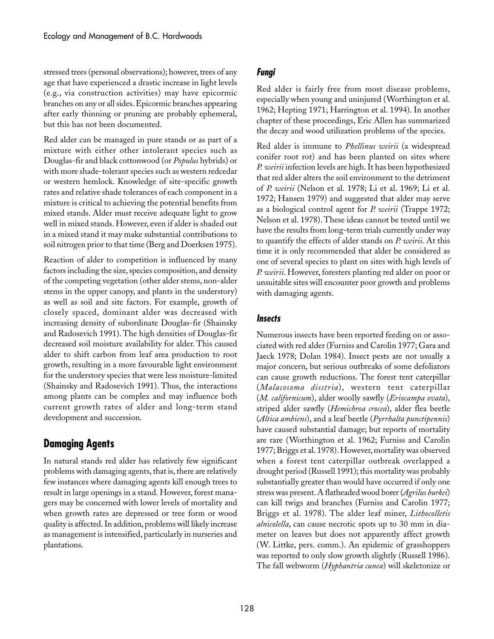stressed trees (personal observations); however, trees of any age that have experienced a drastic increase in light levels (e.g., via construction activities) may have epicormic branches on any or all sides. Epicormic branches appearing after early thinning or pruning are probably ephemeral, but this has not been documented.

Red alder can be managed in pure stands or as part of a mixture with either other intolerant species such as Douglas-fir and black cottonwood (or *Populus* hybrids) or with more shade-tolerant species such as western redcedar or western hemlock. Knowledge of site-specific growth rates and relative shade tolerances of each component in a mixture is critical to achieving the potential benefits from mixed stands. Alder must receive adequate light to grow well in mixed stands. However, even if alder is shaded out in a mixed stand it may make substantial contributions to soil nitrogen prior to that time (Berg and Doerksen 1975).

Reaction of alder to competition is influenced by many factors including the size, species composition, and density of the competing vegetation (other alder stems, non-alder stems in the upper canopy, and plants in the understory) as well as soil and site factors. For example, growth of closely spaced, dominant alder was decreased with increasing density of subordinate Douglas-fir (Shainsky and Radosevich 1991). The high densities of Douglas-fir decreased soil moisture availability for alder. This caused alder to shift carbon from leaf area production to root growth, resulting in a more favourable light environment for the understory species that were less moisture-limited (Shainsky and Radosevich 1991). Thus, the interactions among plants can be complex and may influence both current growth rates of alder and long-term stand development and succession.

## **Damaging Agents**

In natural stands red alder has relatively few significant problems with damaging agents, that is, there are relatively few instances where damaging agents kill enough trees to result in large openings in a stand. However, forest managers may be concerned with lower levels of mortality and when growth rates are depressed or tree form or wood quality is affected. In addition, problems will likely increase as management is intensified, particularly in nurseries and plantations.

### **Fungi**

Red alder is fairly free from most disease problems, especially when young and uninjured (Worthington et al. 1962; Hepting 1971; Harrington et al. 1994). In another chapter of these proceedings, Eric Allen has summarized the decay and wood utilization problems of the species.

Red alder is immune to *Phellinus weirii* (a widespread conifer root rot) and has been planted on sites where *P.␣ weirii* infection levels are high. It has been hypothesized that red alder alters the soil environment to the detriment of *P. weirii* (Nelson et al. 1978; Li et al. 1969; Li et al. 1972; Hansen 1979) and suggested that alder may serve as a biological control agent for *P. weirii* (Trappe 1972; Nelson et al. 1978). These ideas cannot be tested until we have the results from long-term trials currently under way to quantify the effects of alder stands on *P. weirii*. At this time it is only recommended that alder be considered as one of several species to plant on sites with high levels of *P. weirii*. However, foresters planting red alder on poor or unsuitable sites will encounter poor growth and problems with damaging agents.

#### **Insects**

Numerous insects have been reported feeding on or associated with red alder (Furniss and Carolin 1977; Gara and Jaeck 1978; Dolan 1984). Insect pests are not usually a major concern, but serious outbreaks of some defoliators can cause growth reductions. The forest tent caterpillar (*Malacosoma disstria*), western tent caterpillar (*M.␣ californicum*), alder woolly sawfly (*Eriocampa ovata*), striped alder sawfly (*Hemichroa crocea*), alder flea beetle (*Altica ambiens*), and a leaf beetle (*Pyrrhalta punctipennis*) have caused substantial damage; but reports of mortality are rare (Worthington et al. 1962; Furniss and Carolin 1977; Briggs et al. 1978). However, mortality was observed when a forest tent caterpillar outbreak overlapped a drought period (Russell 1991); this mortality was probably substantially greater than would have occurred if only one stress was present. A flatheaded wood borer (*Agrilus burkei*) can kill twigs and branches (Furniss and Carolin 1977; Briggs et al. 1978). The alder leaf miner, *Lithocolletis alnicolella*, can cause necrotic spots up to 30 mm in diameter on leaves but does not apparently affect growth (W.␣ Littke, pers. comm.). An epidemic of grasshoppers was reported to only slow growth slightly (Russell 1986). The fall webworm (*Hyphantria cunea*) will skeletonize or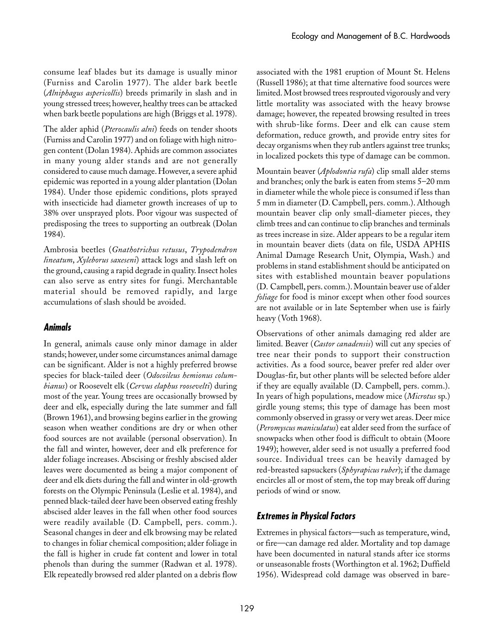consume leaf blades but its damage is usually minor (Furniss and Carolin 1977). The alder bark beetle (*Alniphagus aspericollis*) breeds primarily in slash and in young stressed trees; however, healthy trees can be attacked when bark beetle populations are high (Briggs et al. 1978).

The alder aphid (*Pterocaulis alni*) feeds on tender shoots (Furniss and Carolin 1977) and on foliage with high nitrogen content (Dolan 1984). Aphids are common associates in many young alder stands and are not generally considered to cause much damage. However, a severe aphid epidemic was reported in a young alder plantation (Dolan 1984). Under those epidemic conditions, plots sprayed with insecticide had diameter growth increases of up to 38% over unsprayed plots. Poor vigour was suspected of predisposing the trees to supporting an outbreak (Dolan 1984).

Ambrosia beetles (*Gnathotrichus retusus*, *Trypodendron lineatum*, *Xyleborus saxeseni*) attack logs and slash left on the ground, causing a rapid degrade in quality. Insect holes can also serve as entry sites for fungi. Merchantable material should be removed rapidly, and large accumulations of slash should be avoided.

#### **Animals**

In general, animals cause only minor damage in alder stands; however, under some circumstances animal damage can be significant. Alder is not a highly preferred browse species for black-tailed deer (*Odocoileus hemionus columbianus*) or Roosevelt elk (*Cervus elaphus roosevelti*) during most of the year. Young trees are occasionally browsed by deer and elk, especially during the late summer and fall (Brown 1961), and browsing begins earlier in the growing season when weather conditions are dry or when other food sources are not available (personal observation). In the fall and winter, however, deer and elk preference for alder foliage increases. Abscising or freshly abscised alder leaves were documented as being a major component of deer and elk diets during the fall and winter in old-growth forests on the Olympic Peninsula (Leslie et al. 1984), and penned black-tailed deer have been observed eating freshly abscised alder leaves in the fall when other food sources were readily available (D. Campbell, pers. comm.). Seasonal changes in deer and elk browsing may be related to changes in foliar chemical composition; alder foliage in the fall is higher in crude fat content and lower in total phenols than during the summer (Radwan et al. 1978). Elk repeatedly browsed red alder planted on a debris flow

associated with the 1981 eruption of Mount St. Helens (Russell 1986); at that time alternative food sources were limited. Most browsed trees resprouted vigorously and very little mortality was associated with the heavy browse damage; however, the repeated browsing resulted in trees with shrub-like forms. Deer and elk can cause stem deformation, reduce growth, and provide entry sites for decay organisms when they rub antlers against tree trunks; in localized pockets this type of damage can be common.

Mountain beaver (*Aplodontia rufa*) clip small alder stems and branches; only the bark is eaten from stems 5–20 mm in diameter while the whole piece is consumed if less than 5 mm in diameter (D. Campbell, pers. comm.). Although mountain beaver clip only small-diameter pieces, they climb trees and can continue to clip branches and terminals as trees increase in size. Alder appears to be a regular item in mountain beaver diets (data on file, USDA APHIS Animal Damage Research Unit, Olympia, Wash.) and problems in stand establishment should be anticipated on sites with established mountain beaver populations (D.␣ Campbell, pers. comm.). Mountain beaver use of alder *foliage* for food is minor except when other food sources are not available or in late September when use is fairly heavy (Voth 1968).

Observations of other animals damaging red alder are limited. Beaver (*Castor canadensis*) will cut any species of tree near their ponds to support their construction activities. As a food source, beaver prefer red alder over Douglas-fir, but other plants will be selected before alder if they are equally available (D. Campbell, pers. comm.). In years of high populations, meadow mice (*Microtus* sp.) girdle young stems; this type of damage has been most commonly observed in grassy or very wet areas. Deer mice (*Peromyscus maniculatus*) eat alder seed from the surface of snowpacks when other food is difficult to obtain (Moore 1949); however, alder seed is not usually a preferred food source. Individual trees can be heavily damaged by red-breasted sapsuckers (*Sphyrapicus ruber*); if the damage encircles all or most of stem, the top may break off during periods of wind or snow.

#### **Extremes in Physical Factors**

Extremes in physical factors—such as temperature, wind, or fire—can damage red alder. Mortality and top damage have been documented in natural stands after ice storms or unseasonable frosts (Worthington et al. 1962; Duffield 1956). Widespread cold damage was observed in bare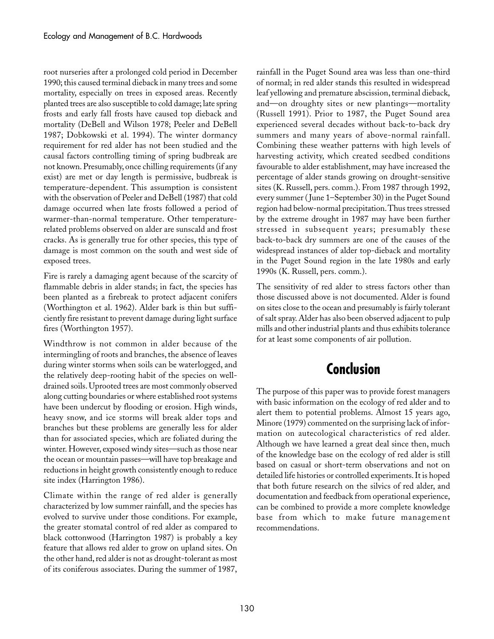root nurseries after a prolonged cold period in December 1990; this caused terminal dieback in many trees and some mortality, especially on trees in exposed areas. Recently planted trees are also susceptible to cold damage; late spring frosts and early fall frosts have caused top dieback and mortality (DeBell and Wilson 1978; Peeler and DeBell 1987; Dobkowski et al. 1994). The winter dormancy requirement for red alder has not been studied and the causal factors controlling timing of spring budbreak are not known. Presumably, once chilling requirements (if any exist) are met or day length is permissive, budbreak is temperature-dependent. This assumption is consistent with the observation of Peeler and DeBell (1987) that cold damage occurred when late frosts followed a period of warmer-than-normal temperature. Other temperaturerelated problems observed on alder are sunscald and frost cracks. As is generally true for other species, this type of damage is most common on the south and west side of exposed trees.

Fire is rarely a damaging agent because of the scarcity of flammable debris in alder stands; in fact, the species has been planted as a firebreak to protect adjacent conifers (Worthington et al. 1962). Alder bark is thin but sufficiently fire resistant to prevent damage during light surface fires (Worthington 1957).

Windthrow is not common in alder because of the intermingling of roots and branches, the absence of leaves during winter storms when soils can be waterlogged, and the relatively deep-rooting habit of the species on welldrained soils. Uprooted trees are most commonly observed along cutting boundaries or where established root systems have been undercut by flooding or erosion. High winds, heavy snow, and ice storms will break alder tops and branches but these problems are generally less for alder than for associated species, which are foliated during the winter. However, exposed windy sites—such as those near the ocean or mountain passes—will have top breakage and reductions in height growth consistently enough to reduce site index (Harrington 1986).

Climate within the range of red alder is generally characterized by low summer rainfall, and the species has evolved to survive under those conditions. For example, the greater stomatal control of red alder as compared to black cottonwood (Harrington 1987) is probably a key feature that allows red alder to grow on upland sites. On the other hand, red alder is not as drought-tolerant as most of its coniferous associates. During the summer of 1987,

rainfall in the Puget Sound area was less than one-third of normal; in red alder stands this resulted in widespread leaf yellowing and premature abscission, terminal dieback, and—on droughty sites or new plantings—mortality (Russell 1991). Prior to 1987, the Puget Sound area experienced several decades without back-to-back dry summers and many years of above-normal rainfall. Combining these weather patterns with high levels of harvesting activity, which created seedbed conditions favourable to alder establishment, may have increased the percentage of alder stands growing on drought-sensitive sites (K. Russell, pers. comm.). From 1987 through 1992, every summer ( June 1–September 30) in the Puget Sound region had below-normal precipitation. Thus trees stressed by the extreme drought in 1987 may have been further stressed in subsequent years; presumably these back-to-back dry summers are one of the causes of the widespread instances of alder top-dieback and mortality in the Puget Sound region in the late 1980s and early 1990s (K. Russell, pers. comm.).

The sensitivity of red alder to stress factors other than those discussed above is not documented. Alder is found on sites close to the ocean and presumably is fairly tolerant of salt spray. Alder has also been observed adjacent to pulp mills and other industrial plants and thus exhibits tolerance for at least some components of air pollution.

# **Conclusion**

The purpose of this paper was to provide forest managers with basic information on the ecology of red alder and to alert them to potential problems. Almost 15 years ago, Minore (1979) commented on the surprising lack of information on autecological characteristics of red alder. Although we have learned a great deal since then, much of the knowledge base on the ecology of red alder is still based on casual or short-term observations and not on detailed life histories or controlled experiments. It is hoped that both future research on the silvics of red alder, and documentation and feedback from operational experience, can be combined to provide a more complete knowledge base from which to make future management recommendations.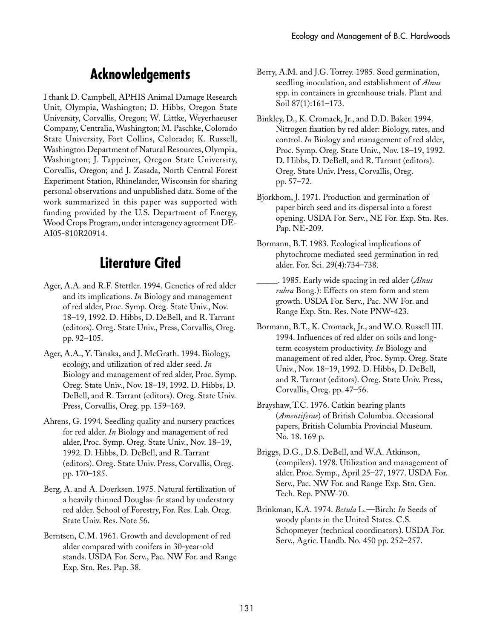# **Acknowledgements**

I thank D. Campbell, APHIS Animal Damage Research Unit, Olympia, Washington; D. Hibbs, Oregon State University, Corvallis, Oregon; W. Littke, Weyerhaeuser Company, Centralia, Washington; M. Paschke, Colorado State University, Fort Collins, Colorado; K. Russell, Washington Department of Natural Resources, Olympia, Washington; J. Tappeiner, Oregon State University, Corvallis, Oregon; and J. Zasada, North Central Forest Experiment Station, Rhinelander, Wisconsin for sharing personal observations and unpublished data. Some of the work summarized in this paper was supported with funding provided by the U.S. Department of Energy, Wood Crops Program, under interagency agreement DE-AI05-810R20914.

# **Literature Cited**

- Ager, A.A. and R.F. Stettler. 1994. Genetics of red alder and its implications. *In* Biology and management of red alder, Proc. Symp. Oreg. State Univ., Nov. 18–19, 1992. D. Hibbs, D. DeBell, and R. Tarrant (editors). Oreg. State Univ., Press, Corvallis, Oreg. pp. 92–105.
- Ager, A.A., Y. Tanaka, and J. McGrath. 1994. Biology, ecology, and utilization of red alder seed. *In* Biology and management of red alder, Proc. Symp. Oreg. State Univ., Nov. 18–19, 1992. D. Hibbs, D. DeBell, and R. Tarrant (editors). Oreg. State Univ. Press, Corvallis, Oreg. pp. 159–169.
- Ahrens, G. 1994. Seedling quality and nursery practices for red alder. *In* Biology and management of red alder, Proc. Symp. Oreg. State Univ., Nov. 18–19, 1992. D. Hibbs, D. DeBell, and R. Tarrant (editors). Oreg. State Univ. Press, Corvallis, Oreg. pp. 170–185.
- Berg, A. and A. Doerksen. 1975. Natural fertilization of a heavily thinned Douglas-fir stand by understory red alder. School of Forestry, For. Res. Lab. Oreg. State Univ. Res. Note 56.
- Berntsen, C.M. 1961. Growth and development of red alder compared with conifers in 30-year-old stands. USDA For. Serv., Pac. NW For. and Range Exp. Stn. Res. Pap. 38.
- Berry, A.M. and J.G. Torrey. 1985. Seed germination, seedling inoculation, and establishment of *Alnus* spp. in containers in greenhouse trials. Plant and Soil 87(1):161–173.
- Binkley, D., K. Cromack, Jr., and D.D. Baker. 1994. Nitrogen fixation by red alder: Biology, rates, and control. *In* Biology and management of red alder, Proc. Symp. Oreg. State Univ., Nov. 18–19, 1992. D. Hibbs, D. DeBell, and R. Tarrant (editors). Oreg. State Univ. Press, Corvallis, Oreg. pp. 57–72.
- Bjorkbom, J. 1971. Production and germination of paper birch seed and its dispersal into a forest opening. USDA For. Serv., NE For. Exp. Stn. Res. Pap. NE-209.
- Bormann, B.T. 1983. Ecological implications of phytochrome mediated seed germination in red alder. For. Sci. 29(4):734–738.
- \_\_\_\_\_. 1985. Early wide spacing in red alder (*Alnus rubra* Bong.): Effects on stem form and stem growth. USDA For. Serv., Pac. NW For. and Range Exp. Stn. Res. Note PNW-423.
- Bormann, B.T., K. Cromack, Jr., and W.O. Russell III. 1994. Influences of red alder on soils and longterm ecosystem productivity. *In* Biology and management of red alder, Proc. Symp. Oreg. State Univ., Nov. 18–19, 1992. D. Hibbs, D. DeBell, and R. Tarrant (editors). Oreg. State Univ. Press, Corvallis, Oreg. pp. 47–56.
- Brayshaw, T.C. 1976. Catkin bearing plants (*Amentiferae*) of British Columbia. Occasional papers, British Columbia Provincial Museum. No. 18. 169 p.
- Briggs, D.G., D.S. DeBell, and W.A. Atkinson, (compilers). 1978. Utilization and management of alder. Proc. Symp., April 25–27, 1977. USDA For. Serv., Pac. NW For. and Range Exp. Stn. Gen. Tech. Rep. PNW-70.
- Brinkman, K.A. 1974. *Betula* L.—Birch: *In* Seeds of woody plants in the United States. C.S. Schopmeyer (technical coordinators). USDA For. Serv., Agric. Handb. No. 450 pp. 252–257.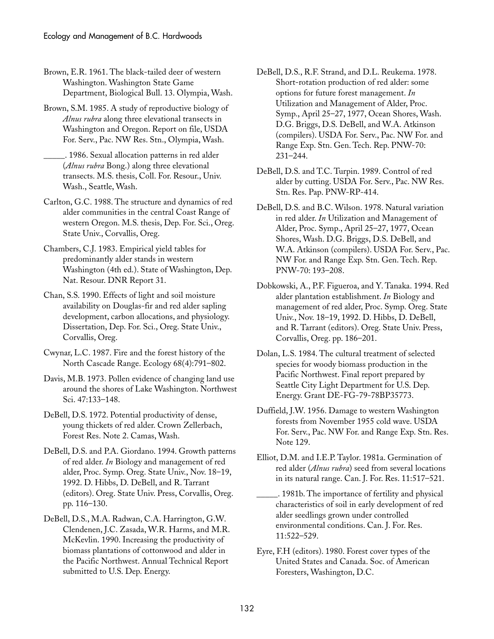Brown, E.R. 1961. The black-tailed deer of western Washington. Washington State Game Department, Biological Bull. 13. Olympia, Wash.

Brown, S.M. 1985. A study of reproductive biology of *Alnus rubra* along three elevational transects in Washington and Oregon. Report on file, USDA For. Serv., Pac. NW Res. Stn., Olympia, Wash.

\_\_\_\_\_. 1986. Sexual allocation patterns in red alder (*Alnus rubra* Bong.) along three elevational transects. M.S. thesis, Coll. For. Resour., Univ. Wash., Seattle, Wash.

Carlton, G.C. 1988. The structure and dynamics of red alder communities in the central Coast Range of western Oregon. M.S. thesis, Dep. For. Sci., Oreg. State Univ., Corvallis, Oreg.

Chambers, C.J. 1983. Empirical yield tables for predominantly alder stands in western Washington (4th ed.). State of Washington, Dep. Nat. Resour. DNR Report 31.

Chan, S.S. 1990. Effects of light and soil moisture availability on Douglas-fir and red alder sapling development, carbon allocations, and physiology. Dissertation, Dep. For. Sci., Oreg. State Univ., Corvallis, Oreg.

Cwynar, L.C. 1987. Fire and the forest history of the North Cascade Range. Ecology 68(4):791–802.

Davis, M.B. 1973. Pollen evidence of changing land use around the shores of Lake Washington. Northwest Sci. 47:133–148.

DeBell, D.S. 1972. Potential productivity of dense, young thickets of red alder. Crown Zellerbach, Forest Res. Note 2. Camas, Wash.

DeBell, D.S. and P.A. Giordano. 1994. Growth patterns of red alder. *In* Biology and management of red alder, Proc. Symp. Oreg. State Univ., Nov. 18–19, 1992. D. Hibbs, D. DeBell, and R. Tarrant (editors). Oreg. State Univ. Press, Corvallis, Oreg. pp. 116–130.

DeBell, D.S., M.A. Radwan, C.A. Harrington, G.W. Clendenen, J.C. Zasada, W.R. Harms, and M.R. McKevlin. 1990. Increasing the productivity of biomass plantations of cottonwood and alder in the Pacific Northwest. Annual Technical Report submitted to U.S. Dep. Energy.

- DeBell, D.S., R.F. Strand, and D.L. Reukema. 1978. Short-rotation production of red alder: some options for future forest management. *In* Utilization and Management of Alder, Proc. Symp., April 25–27, 1977, Ocean Shores, Wash. D.G. Briggs, D.S. DeBell, and W.A. Atkinson (compilers). USDA For. Serv., Pac. NW For. and Range Exp. Stn. Gen. Tech. Rep. PNW-70: 231–244.
- DeBell, D.S. and T.C. Turpin. 1989. Control of red alder by cutting. USDA For. Serv., Pac. NW Res. Stn. Res. Pap. PNW-RP-414.
- DeBell, D.S. and B.C. Wilson. 1978. Natural variation in red alder. *In* Utilization and Management of Alder, Proc. Symp., April 25–27, 1977, Ocean Shores, Wash. D.G. Briggs, D.S. DeBell, and W.A. Atkinson (compilers). USDA For. Serv., Pac. NW For. and Range Exp. Stn. Gen. Tech. Rep. PNW-70: 193–208.
- Dobkowski, A., P.F. Figueroa, and Y. Tanaka. 1994. Red alder plantation establishment. *In* Biology and management of red alder, Proc. Symp. Oreg. State Univ., Nov. 18–19, 1992. D. Hibbs, D. DeBell, and R. Tarrant (editors). Oreg. State Univ. Press, Corvallis, Oreg. pp. 186–201.
- Dolan, L.S. 1984. The cultural treatment of selected species for woody biomass production in the Pacific Northwest. Final report prepared by Seattle City Light Department for U.S. Dep. Energy. Grant DE-FG-79-78BP35773.
- Duffield, J.W. 1956. Damage to western Washington forests from November 1955 cold wave. USDA For. Serv., Pac. NW For. and Range Exp. Stn. Res. Note 129.

Elliot, D.M. and I.E.P. Taylor. 1981a. Germination of red alder (*Alnus rubra*) seed from several locations in its natural range. Can. J. For. Res. 11:517–521.

\_\_\_\_\_. 1981b. The importance of fertility and physical characteristics of soil in early development of red alder seedlings grown under controlled environmental conditions. Can. J. For. Res. 11:522–529.

Eyre, F.H (editors). 1980. Forest cover types of the United States and Canada. Soc. of American Foresters, Washington, D.C.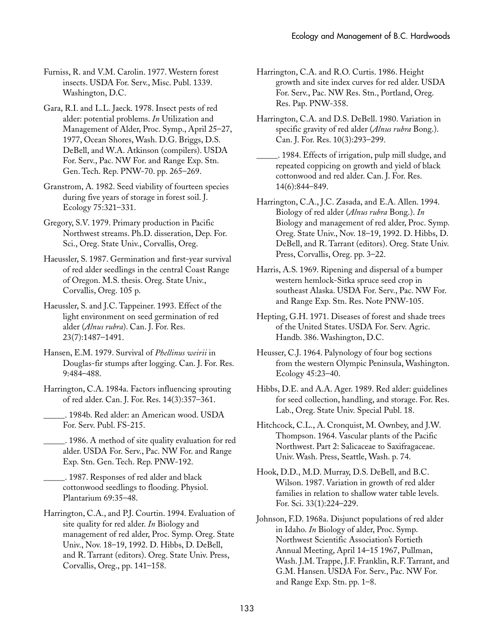Furniss, R. and V.M. Carolin. 1977. Western forest insects. USDA For. Serv., Misc. Publ. 1339. Washington, D.C.

Gara, R.I. and L.L. Jaeck. 1978. Insect pests of red alder: potential problems. *In* Utilization and Management of Alder, Proc. Symp., April 25–27, 1977, Ocean Shores, Wash. D.G. Briggs, D.S. DeBell, and W.A. Atkinson (compilers). USDA For. Serv., Pac. NW For. and Range Exp. Stn. Gen. Tech. Rep. PNW-70. pp. 265–269.

Granstrom, A. 1982. Seed viability of fourteen species during five years of storage in forest soil. J. Ecology 75:321–331.

Gregory, S.V. 1979. Primary production in Pacific Northwest streams. Ph.D. disseration, Dep. For. Sci., Oreg. State Univ., Corvallis, Oreg.

Haeussler, S. 1987. Germination and first-year survival of red alder seedlings in the central Coast Range of Oregon. M.S. thesis. Oreg. State Univ., Corvallis, Oreg. 105 p.

Haeussler, S. and J.C. Tappeiner. 1993. Effect of the light environment on seed germination of red alder (*Alnus rubra*). Can. J. For. Res. 23(7):1487–1491.

Hansen, E.M. 1979. Survival of *Phellinus weirii* in Douglas-fir stumps after logging. Can. J. For. Res. 9:484–488.

Harrington, C.A. 1984a. Factors influencing sprouting of red alder. Can. J. For. Res. 14(3):357–361.

\_\_\_\_\_. 1984b. Red alder: an American wood. USDA For. Serv. Publ. FS-215.

\_\_\_\_\_. 1986. A method of site quality evaluation for red alder. USDA For. Serv., Pac. NW For. and Range Exp. Stn. Gen. Tech. Rep. PNW-192.

\_\_\_\_\_. 1987. Responses of red alder and black cottonwood seedlings to flooding. Physiol. Plantarium 69:35–48.

Harrington, C.A., and P.J. Courtin. 1994. Evaluation of site quality for red alder. *In* Biology and management of red alder, Proc. Symp. Oreg. State Univ., Nov. 18–19, 1992. D. Hibbs, D. DeBell, and R. Tarrant (editors). Oreg. State Univ. Press, Corvallis, Oreg., pp. 141–158.

Harrington, C.A. and R.O. Curtis. 1986. Height growth and site index curves for red alder. USDA For. Serv., Pac. NW Res. Stn., Portland, Oreg. Res. Pap. PNW-358.

Harrington, C.A. and D.S. DeBell. 1980. Variation in specific gravity of red alder (*Alnus rubra* Bong.). Can. J. For. Res. 10(3):293–299.

\_\_\_\_\_. 1984. Effects of irrigation, pulp mill sludge, and repeated coppicing on growth and yield of black cottonwood and red alder. Can. J. For. Res. 14(6):844–849.

Harrington, C.A., J.C. Zasada, and E.A. Allen. 1994. Biology of red alder (*Alnus rubra* Bong.). *In* Biology and management of red alder, Proc. Symp. Oreg. State Univ., Nov. 18–19, 1992. D. Hibbs, D. DeBell, and R. Tarrant (editors). Oreg. State Univ. Press, Corvallis, Oreg. pp. 3–22.

Harris, A.S. 1969. Ripening and dispersal of a bumper western hemlock-Sitka spruce seed crop in southeast Alaska. USDA For. Serv., Pac. NW For. and Range Exp. Stn. Res. Note PNW-105.

Hepting, G.H. 1971. Diseases of forest and shade trees of the United States. USDA For. Serv. Agric. Handb. 386. Washington, D.C.

Heusser, C.J. 1964. Palynology of four bog sections from the western Olympic Peninsula, Washington. Ecology 45:23–40.

Hibbs, D.E. and A.A. Ager. 1989. Red alder: guidelines for seed collection, handling, and storage. For. Res. Lab., Oreg. State Univ. Special Publ. 18.

Hitchcock, C.L., A. Cronquist, M. Ownbey, and J.W. Thompson. 1964. Vascular plants of the Pacific Northwest. Part 2: Salicaceae to Saxifragaceae. Univ. Wash. Press, Seattle, Wash. p. 74.

Hook, D.D., M.D. Murray, D.S. DeBell, and B.C. Wilson. 1987. Variation in growth of red alder families in relation to shallow water table levels. For. Sci. 33(1):224–229.

Johnson, F.D. 1968a. Disjunct populations of red alder in Idaho. *In* Biology of alder, Proc. Symp. Northwest Scientific Association's Fortieth Annual Meeting, April 14–15 1967, Pullman, Wash. J.M. Trappe, J.F. Franklin, R.F. Tarrant, and G.M. Hansen. USDA For. Serv., Pac. NW For. and Range Exp. Stn. pp. 1–8.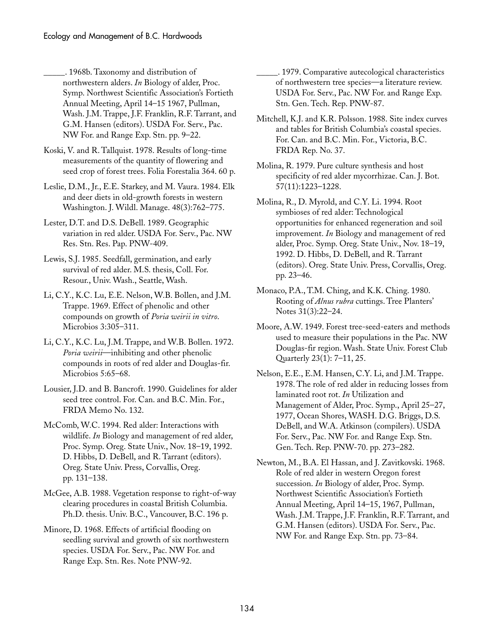\_\_\_\_\_. 1968b. Taxonomy and distribution of northwestern alders. *In* Biology of alder, Proc. Symp. Northwest Scientific Association's Fortieth Annual Meeting, April 14–15 1967, Pullman, Wash. J.M. Trappe, J.F. Franklin, R.F. Tarrant, and G.M. Hansen (editors). USDA For. Serv., Pac. NW For. and Range Exp. Stn. pp. 9–22.

Koski, V. and R. Tallquist. 1978. Results of long-time measurements of the quantity of flowering and seed crop of forest trees. Folia Forestalia 364. 60 p.

Leslie, D.M., Jr., E.E. Starkey, and M. Vaura. 1984. Elk and deer diets in old-growth forests in western Washington. J. Wildl. Manage. 48(3):762–775.

Lester, D.T. and D.S. DeBell. 1989. Geographic variation in red alder. USDA For. Serv., Pac. NW Res. Stn. Res. Pap. PNW-409.

Lewis, S.J. 1985. Seedfall, germination, and early survival of red alder. M.S. thesis, Coll. For. Resour., Univ. Wash., Seattle, Wash.

Li, C.Y., K.C. Lu, E.E. Nelson, W.B. Bollen, and J.M. Trappe. 1969. Effect of phenolic and other compounds on growth of *Poria weirii in vitro*. Microbios 3:305–311.

Li, C.Y., K.C. Lu, J.M. Trappe, and W.B. Bollen. 1972. *Poria weirii*—inhibiting and other phenolic compounds in roots of red alder and Douglas-fir. Microbios 5:65–68.

Lousier, J.D. and B. Bancroft. 1990. Guidelines for alder seed tree control. For. Can. and B.C. Min. For., FRDA Memo No. 132.

McComb, W.C. 1994. Red alder: Interactions with wildlife. *In* Biology and management of red alder, Proc. Symp. Oreg. State Univ., Nov. 18–19, 1992. D. Hibbs, D. DeBell, and R. Tarrant (editors). Oreg. State Univ. Press, Corvallis, Oreg. pp. 131–138.

McGee, A.B. 1988. Vegetation response to right-of-way clearing procedures in coastal British Columbia. Ph.D. thesis. Univ. B.C., Vancouver, B.C. 196 p.

Minore, D. 1968. Effects of artificial flooding on seedling survival and growth of six northwestern species. USDA For. Serv., Pac. NW For. and Range Exp. Stn. Res. Note PNW-92.

\_\_\_\_\_. 1979. Comparative autecological characteristics of northwestern tree species—a literature review. USDA For. Serv., Pac. NW For. and Range Exp. Stn. Gen. Tech. Rep. PNW-87.

Mitchell, K.J. and K.R. Polsson. 1988. Site index curves and tables for British Columbia's coastal species. For. Can. and B.C. Min. For., Victoria, B.C. FRDA Rep. No. 37.

Molina, R. 1979. Pure culture synthesis and host specificity of red alder mycorrhizae. Can. J. Bot. 57(11):1223–1228.

Molina, R., D. Myrold, and C.Y. Li. 1994. Root symbioses of red alder: Technological opportunities for enhanced regeneration and soil improvement. *In* Biology and management of red alder, Proc. Symp. Oreg. State Univ., Nov. 18–19, 1992. D. Hibbs, D. DeBell, and R. Tarrant (editors). Oreg. State Univ. Press, Corvallis, Oreg. pp. 23–46.

Monaco, P.A., T.M. Ching, and K.K. Ching. 1980. Rooting of *Alnus rubra* cuttings. Tree Planters' Notes 31(3):22–24.

Moore, A.W. 1949. Forest tree-seed-eaters and methods used to measure their populations in the Pac. NW Douglas-fir region. Wash. State Univ. Forest Club Quarterly 23(1): 7–11, 25.

Nelson, E.E., E.M. Hansen, C.Y. Li, and J.M. Trappe. 1978. The role of red alder in reducing losses from laminated root rot. *In* Utilization and Management of Alder, Proc. Symp., April 25–27, 1977, Ocean Shores, WASH. D.G. Briggs, D.S. DeBell, and W.A. Atkinson (compilers). USDA For. Serv., Pac. NW For. and Range Exp. Stn. Gen. Tech. Rep. PNW-70. pp. 273–282.

Newton, M., B.A. El Hassan, and J. Zavitkovski. 1968. Role of red alder in western Oregon forest succession. *In* Biology of alder, Proc. Symp. Northwest Scientific Association's Fortieth Annual Meeting, April 14–15, 1967, Pullman, Wash. J.M. Trappe, J.F. Franklin, R.F. Tarrant, and G.M. Hansen (editors). USDA For. Serv., Pac. NW For. and Range Exp. Stn. pp. 73–84.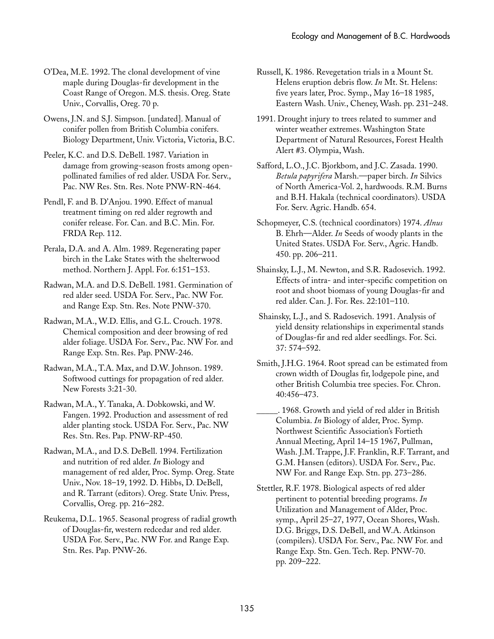- O'Dea, M.E. 1992. The clonal development of vine maple during Douglas-fir development in the Coast Range of Oregon. M.S. thesis. Oreg. State Univ., Corvallis, Oreg. 70 p.
- Owens, J.N. and S.J. Simpson. [undated]. Manual of conifer pollen from British Columbia conifers. Biology Department, Univ. Victoria, Victoria, B.C.
- Peeler, K.C. and D.S. DeBell. 1987. Variation in damage from growing-season frosts among openpollinated families of red alder. USDA For. Serv., Pac. NW Res. Stn. Res. Note PNW-RN-464.
- Pendl, F. and B. D'Anjou. 1990. Effect of manual treatment timing on red alder regrowth and conifer release. For. Can. and B.C. Min. For. FRDA Rep. 112.
- Perala, D.A. and A. Alm. 1989. Regenerating paper birch in the Lake States with the shelterwood method. Northern J. Appl. For. 6:151–153.
- Radwan, M.A. and D.S. DeBell. 1981. Germination of red alder seed. USDA For. Serv., Pac. NW For. and Range Exp. Stn. Res. Note PNW-370.
- Radwan, M.A., W.D. Ellis, and G.L. Crouch. 1978. Chemical composition and deer browsing of red alder foliage. USDA For. Serv., Pac. NW For. and Range Exp. Stn. Res. Pap. PNW-246.
- Radwan, M.A., T.A. Max, and D.W. Johnson. 1989. Softwood cuttings for propagation of red alder. New Forests 3:21-30.
- Radwan, M.A., Y. Tanaka, A. Dobkowski, and W. Fangen. 1992. Production and assessment of red alder planting stock. USDA For. Serv., Pac. NW Res. Stn. Res. Pap. PNW-RP-450.
- Radwan, M.A., and D.S. DeBell. 1994. Fertilization and nutrition of red alder. *In* Biology and management of red alder, Proc. Symp. Oreg. State Univ., Nov. 18–19, 1992. D. Hibbs, D. DeBell, and R. Tarrant (editors). Oreg. State Univ. Press, Corvallis, Oreg. pp. 216–282.
- Reukema, D.L. 1965. Seasonal progress of radial growth of Douglas-fir, western redcedar and red alder. USDA For. Serv., Pac. NW For. and Range Exp. Stn. Res. Pap. PNW-26.
- Russell, K. 1986. Revegetation trials in a Mount St. Helens eruption debris flow. *In* Mt. St. Helens: five years later, Proc. Symp., May 16–18 1985, Eastern Wash. Univ., Cheney, Wash. pp. 231–248.
- 1991. Drought injury to trees related to summer and winter weather extremes. Washington State Department of Natural Resources, Forest Health Alert #3. Olympia, Wash.
- Safford, L.O., J.C. Bjorkbom, and J.C. Zasada. 1990. *Betula papyrifera* Marsh.—paper birch. *In* Silvics of North America-Vol. 2, hardwoods. R.M. Burns and B.H. Hakala (technical coordinators). USDA For. Serv. Agric. Handb. 654.
- Schopmeyer, C.S. (technical coordinators) 1974. *Alnus* B. Ehrh—Alder. *In* Seeds of woody plants in the United States. USDA For. Serv., Agric. Handb. 450. pp. 206–211.
- Shainsky, L.J., M. Newton, and S.R. Radosevich. 1992. Effects of intra- and inter-specific competition on root and shoot biomass of young Douglas-fir and red alder. Can. J. For. Res. 22:101–110.
- Shainsky, L.J., and S. Radosevich. 1991. Analysis of yield density relationships in experimental stands of Douglas-fir and red alder seedlings. For. Sci. 37:␣ 574–592.
- Smith, J.H.G. 1964. Root spread can be estimated from crown width of Douglas fir, lodgepole pine, and other British Columbia tree species. For. Chron. 40:456–473.
- \_\_\_\_\_. 1968. Growth and yield of red alder in British Columbia. *In* Biology of alder, Proc. Symp. Northwest Scientific Association's Fortieth Annual Meeting, April 14–15 1967, Pullman, Wash. J.M. Trappe, J.F. Franklin, R.F. Tarrant, and G.M. Hansen (editors). USDA For. Serv., Pac. NW For. and Range Exp. Stn. pp. 273–286.
- Stettler, R.F. 1978. Biological aspects of red alder pertinent to potential breeding programs. *In* Utilization and Management of Alder, Proc. symp., April 25–27, 1977, Ocean Shores, Wash. D.G. Briggs, D.S. DeBell, and W.A. Atkinson (compilers). USDA For. Serv., Pac. NW For. and Range Exp. Stn. Gen. Tech. Rep. PNW-70. pp.␣ 209–222.